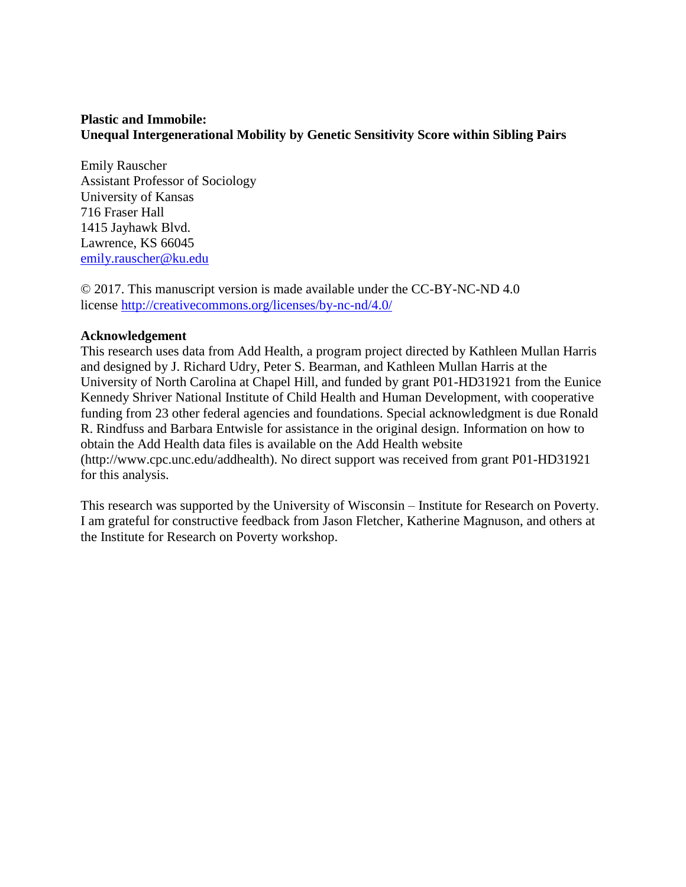# **Plastic and Immobile: Unequal Intergenerational Mobility by Genetic Sensitivity Score within Sibling Pairs**

Emily Rauscher Assistant Professor of Sociology University of Kansas 716 Fraser Hall 1415 Jayhawk Blvd. Lawrence, KS 66045 [emily.rauscher@ku.edu](mailto:emily.rauscher@ku.edu)

© 2017. This manuscript version is made available under the CC-BY-NC-ND 4.0 license <http://creativecommons.org/licenses/by-nc-nd/4.0/>

# **Acknowledgement**

This research uses data from Add Health, a program project directed by Kathleen Mullan Harris and designed by J. Richard Udry, Peter S. Bearman, and Kathleen Mullan Harris at the University of North Carolina at Chapel Hill, and funded by grant P01-HD31921 from the Eunice Kennedy Shriver National Institute of Child Health and Human Development, with cooperative funding from 23 other federal agencies and foundations. Special acknowledgment is due Ronald R. Rindfuss and Barbara Entwisle for assistance in the original design. Information on how to obtain the Add Health data files is available on the Add Health website (http://www.cpc.unc.edu/addhealth). No direct support was received from grant P01-HD31921 for this analysis.

This research was supported by the University of Wisconsin – Institute for Research on Poverty. I am grateful for constructive feedback from Jason Fletcher, Katherine Magnuson, and others at the Institute for Research on Poverty workshop.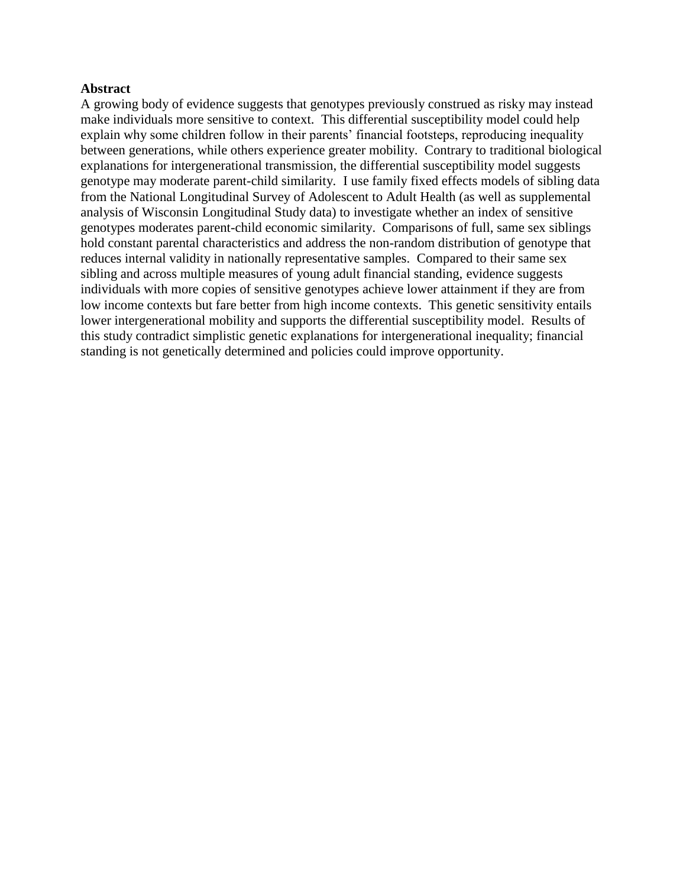# **Abstract**

A growing body of evidence suggests that genotypes previously construed as risky may instead make individuals more sensitive to context. This differential susceptibility model could help explain why some children follow in their parents' financial footsteps, reproducing inequality between generations, while others experience greater mobility. Contrary to traditional biological explanations for intergenerational transmission, the differential susceptibility model suggests genotype may moderate parent-child similarity. I use family fixed effects models of sibling data from the National Longitudinal Survey of Adolescent to Adult Health (as well as supplemental analysis of Wisconsin Longitudinal Study data) to investigate whether an index of sensitive genotypes moderates parent-child economic similarity. Comparisons of full, same sex siblings hold constant parental characteristics and address the non-random distribution of genotype that reduces internal validity in nationally representative samples. Compared to their same sex sibling and across multiple measures of young adult financial standing, evidence suggests individuals with more copies of sensitive genotypes achieve lower attainment if they are from low income contexts but fare better from high income contexts. This genetic sensitivity entails lower intergenerational mobility and supports the differential susceptibility model. Results of this study contradict simplistic genetic explanations for intergenerational inequality; financial standing is not genetically determined and policies could improve opportunity.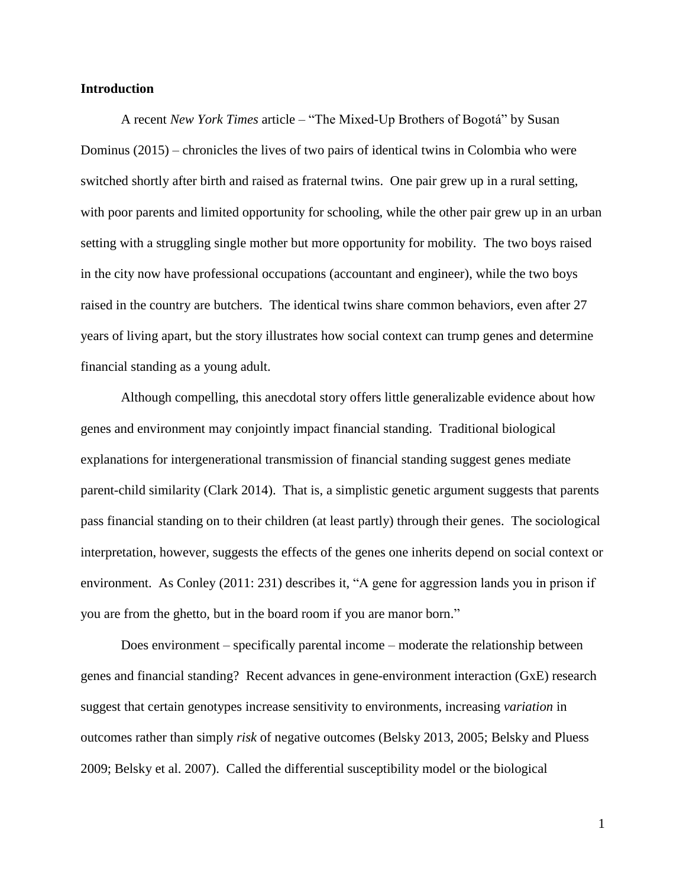## **Introduction**

A recent *New York Times* article – "The Mixed-Up Brothers of Bogotá" by Susan Dominus (2015) – chronicles the lives of two pairs of identical twins in Colombia who were switched shortly after birth and raised as fraternal twins. One pair grew up in a rural setting, with poor parents and limited opportunity for schooling, while the other pair grew up in an urban setting with a struggling single mother but more opportunity for mobility. The two boys raised in the city now have professional occupations (accountant and engineer), while the two boys raised in the country are butchers. The identical twins share common behaviors, even after 27 years of living apart, but the story illustrates how social context can trump genes and determine financial standing as a young adult.

Although compelling, this anecdotal story offers little generalizable evidence about how genes and environment may conjointly impact financial standing. Traditional biological explanations for intergenerational transmission of financial standing suggest genes mediate parent-child similarity (Clark 2014). That is, a simplistic genetic argument suggests that parents pass financial standing on to their children (at least partly) through their genes. The sociological interpretation, however, suggests the effects of the genes one inherits depend on social context or environment. As Conley (2011: 231) describes it, "A gene for aggression lands you in prison if you are from the ghetto, but in the board room if you are manor born."

Does environment – specifically parental income – moderate the relationship between genes and financial standing? Recent advances in gene-environment interaction (GxE) research suggest that certain genotypes increase sensitivity to environments, increasing *variation* in outcomes rather than simply *risk* of negative outcomes (Belsky 2013, 2005; Belsky and Pluess 2009; Belsky et al. 2007). Called the differential susceptibility model or the biological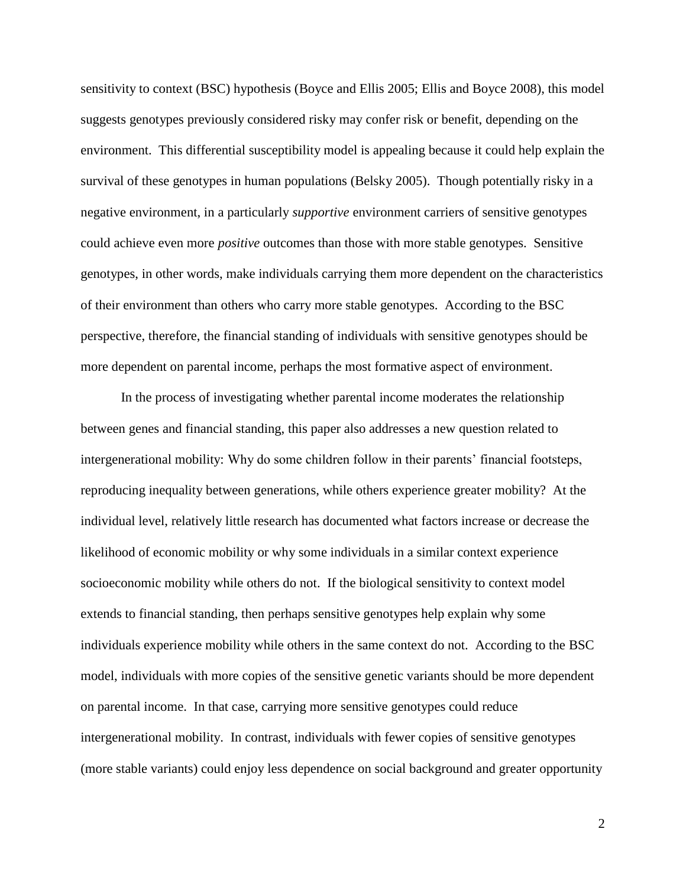sensitivity to context (BSC) hypothesis (Boyce and Ellis 2005; Ellis and Boyce 2008), this model suggests genotypes previously considered risky may confer risk or benefit, depending on the environment. This differential susceptibility model is appealing because it could help explain the survival of these genotypes in human populations (Belsky 2005). Though potentially risky in a negative environment, in a particularly *supportive* environment carriers of sensitive genotypes could achieve even more *positive* outcomes than those with more stable genotypes. Sensitive genotypes, in other words, make individuals carrying them more dependent on the characteristics of their environment than others who carry more stable genotypes. According to the BSC perspective, therefore, the financial standing of individuals with sensitive genotypes should be more dependent on parental income, perhaps the most formative aspect of environment.

In the process of investigating whether parental income moderates the relationship between genes and financial standing, this paper also addresses a new question related to intergenerational mobility: Why do some children follow in their parents' financial footsteps, reproducing inequality between generations, while others experience greater mobility? At the individual level, relatively little research has documented what factors increase or decrease the likelihood of economic mobility or why some individuals in a similar context experience socioeconomic mobility while others do not. If the biological sensitivity to context model extends to financial standing, then perhaps sensitive genotypes help explain why some individuals experience mobility while others in the same context do not. According to the BSC model, individuals with more copies of the sensitive genetic variants should be more dependent on parental income. In that case, carrying more sensitive genotypes could reduce intergenerational mobility. In contrast, individuals with fewer copies of sensitive genotypes (more stable variants) could enjoy less dependence on social background and greater opportunity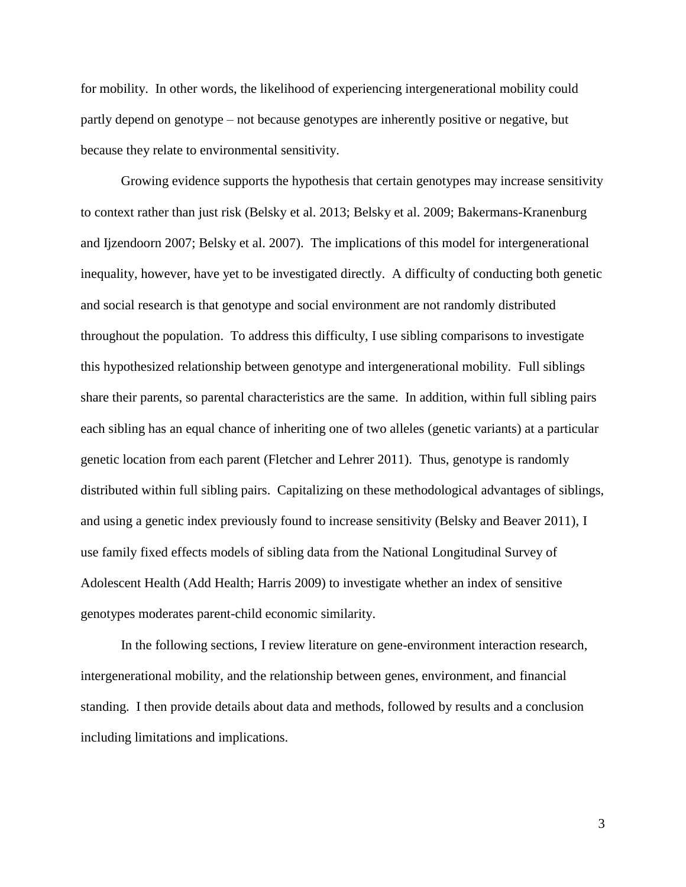for mobility. In other words, the likelihood of experiencing intergenerational mobility could partly depend on genotype – not because genotypes are inherently positive or negative, but because they relate to environmental sensitivity.

Growing evidence supports the hypothesis that certain genotypes may increase sensitivity to context rather than just risk (Belsky et al. 2013; Belsky et al. 2009; Bakermans-Kranenburg and Ijzendoorn 2007; Belsky et al. 2007). The implications of this model for intergenerational inequality, however, have yet to be investigated directly. A difficulty of conducting both genetic and social research is that genotype and social environment are not randomly distributed throughout the population. To address this difficulty, I use sibling comparisons to investigate this hypothesized relationship between genotype and intergenerational mobility. Full siblings share their parents, so parental characteristics are the same. In addition, within full sibling pairs each sibling has an equal chance of inheriting one of two alleles (genetic variants) at a particular genetic location from each parent (Fletcher and Lehrer 2011). Thus, genotype is randomly distributed within full sibling pairs. Capitalizing on these methodological advantages of siblings, and using a genetic index previously found to increase sensitivity (Belsky and Beaver 2011), I use family fixed effects models of sibling data from the National Longitudinal Survey of Adolescent Health (Add Health; Harris 2009) to investigate whether an index of sensitive genotypes moderates parent-child economic similarity.

In the following sections, I review literature on gene-environment interaction research, intergenerational mobility, and the relationship between genes, environment, and financial standing. I then provide details about data and methods, followed by results and a conclusion including limitations and implications.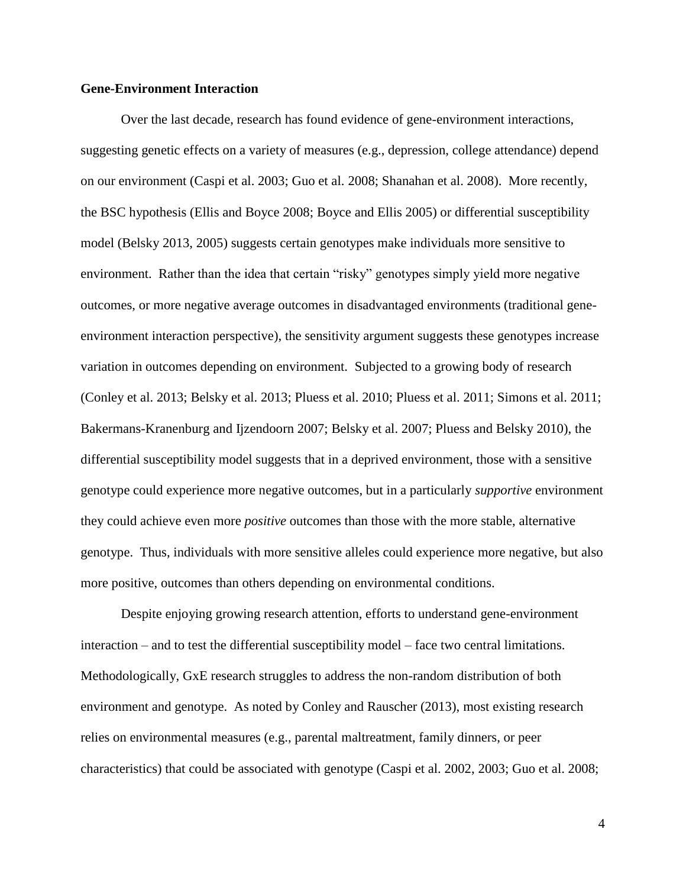## **Gene-Environment Interaction**

Over the last decade, research has found evidence of gene-environment interactions, suggesting genetic effects on a variety of measures (e.g., depression, college attendance) depend on our environment (Caspi et al. 2003; Guo et al. 2008; Shanahan et al. 2008). More recently, the BSC hypothesis (Ellis and Boyce 2008; Boyce and Ellis 2005) or differential susceptibility model (Belsky 2013, 2005) suggests certain genotypes make individuals more sensitive to environment. Rather than the idea that certain "risky" genotypes simply yield more negative outcomes, or more negative average outcomes in disadvantaged environments (traditional geneenvironment interaction perspective), the sensitivity argument suggests these genotypes increase variation in outcomes depending on environment. Subjected to a growing body of research (Conley et al. 2013; Belsky et al. 2013; Pluess et al. 2010; Pluess et al. 2011; Simons et al. 2011; Bakermans-Kranenburg and Ijzendoorn 2007; Belsky et al. 2007; Pluess and Belsky 2010), the differential susceptibility model suggests that in a deprived environment, those with a sensitive genotype could experience more negative outcomes, but in a particularly *supportive* environment they could achieve even more *positive* outcomes than those with the more stable, alternative genotype. Thus, individuals with more sensitive alleles could experience more negative, but also more positive, outcomes than others depending on environmental conditions.

Despite enjoying growing research attention, efforts to understand gene-environment interaction – and to test the differential susceptibility model – face two central limitations. Methodologically, GxE research struggles to address the non-random distribution of both environment and genotype. As noted by Conley and Rauscher (2013), most existing research relies on environmental measures (e.g., parental maltreatment, family dinners, or peer characteristics) that could be associated with genotype (Caspi et al. 2002, 2003; Guo et al. 2008;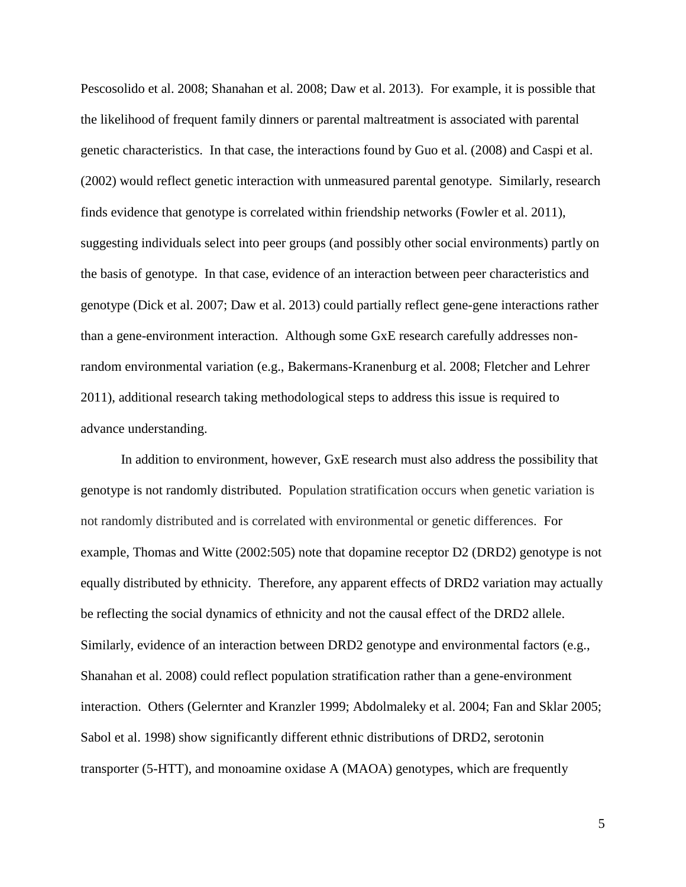Pescosolido et al. 2008; Shanahan et al. 2008; Daw et al. 2013). For example, it is possible that the likelihood of frequent family dinners or parental maltreatment is associated with parental genetic characteristics. In that case, the interactions found by Guo et al. (2008) and Caspi et al. (2002) would reflect genetic interaction with unmeasured parental genotype. Similarly, research finds evidence that genotype is correlated within friendship networks (Fowler et al. 2011), suggesting individuals select into peer groups (and possibly other social environments) partly on the basis of genotype. In that case, evidence of an interaction between peer characteristics and genotype (Dick et al. 2007; Daw et al. 2013) could partially reflect gene-gene interactions rather than a gene-environment interaction. Although some GxE research carefully addresses nonrandom environmental variation (e.g., Bakermans-Kranenburg et al. 2008; Fletcher and Lehrer 2011), additional research taking methodological steps to address this issue is required to advance understanding.

In addition to environment, however, GxE research must also address the possibility that genotype is not randomly distributed. Population stratification occurs when genetic variation is not randomly distributed and is correlated with environmental or genetic differences. For example, Thomas and Witte (2002:505) note that dopamine receptor D2 (DRD2) genotype is not equally distributed by ethnicity. Therefore, any apparent effects of DRD2 variation may actually be reflecting the social dynamics of ethnicity and not the causal effect of the DRD2 allele. Similarly, evidence of an interaction between DRD2 genotype and environmental factors (e.g., Shanahan et al. 2008) could reflect population stratification rather than a gene-environment interaction. Others (Gelernter and Kranzler 1999; Abdolmaleky et al. 2004; Fan and Sklar 2005; Sabol et al. 1998) show significantly different ethnic distributions of DRD2, serotonin transporter (5-HTT), and monoamine oxidase A (MAOA) genotypes, which are frequently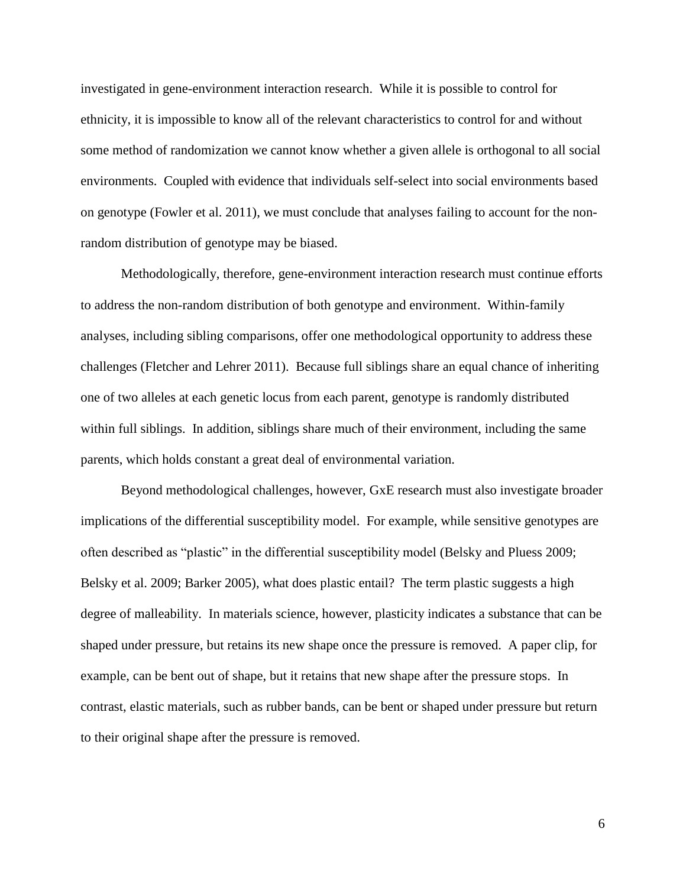investigated in gene-environment interaction research. While it is possible to control for ethnicity, it is impossible to know all of the relevant characteristics to control for and without some method of randomization we cannot know whether a given allele is orthogonal to all social environments. Coupled with evidence that individuals self-select into social environments based on genotype (Fowler et al. 2011), we must conclude that analyses failing to account for the nonrandom distribution of genotype may be biased.

Methodologically, therefore, gene-environment interaction research must continue efforts to address the non-random distribution of both genotype and environment. Within-family analyses, including sibling comparisons, offer one methodological opportunity to address these challenges (Fletcher and Lehrer 2011). Because full siblings share an equal chance of inheriting one of two alleles at each genetic locus from each parent, genotype is randomly distributed within full siblings. In addition, siblings share much of their environment, including the same parents, which holds constant a great deal of environmental variation.

Beyond methodological challenges, however, GxE research must also investigate broader implications of the differential susceptibility model. For example, while sensitive genotypes are often described as "plastic" in the differential susceptibility model (Belsky and Pluess 2009; Belsky et al. 2009; Barker 2005), what does plastic entail? The term plastic suggests a high degree of malleability. In materials science, however, plasticity indicates a substance that can be shaped under pressure, but retains its new shape once the pressure is removed. A paper clip, for example, can be bent out of shape, but it retains that new shape after the pressure stops. In contrast, elastic materials, such as rubber bands, can be bent or shaped under pressure but return to their original shape after the pressure is removed.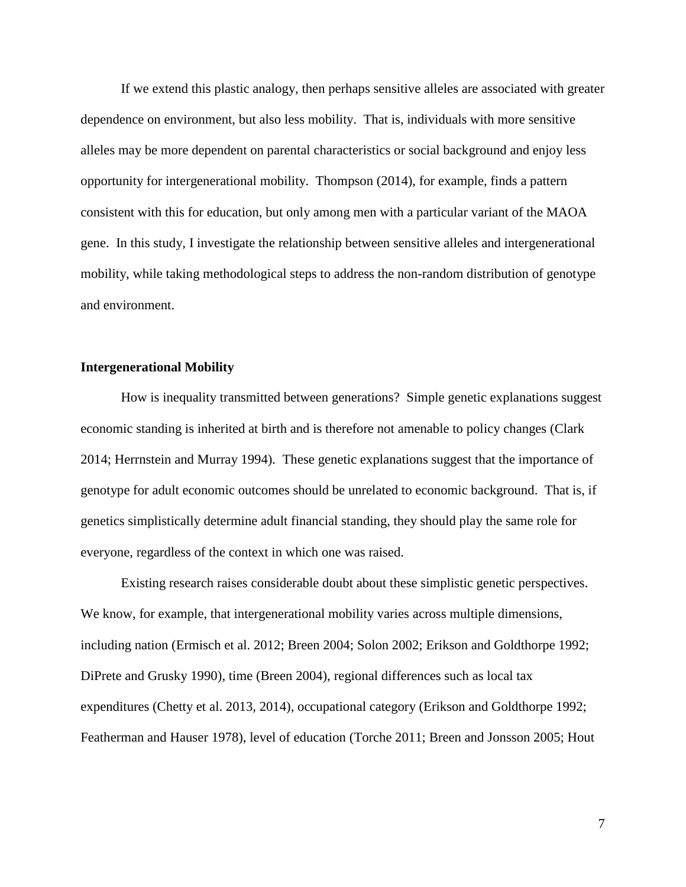If we extend this plastic analogy, then perhaps sensitive alleles are associated with greater dependence on environment, but also less mobility. That is, individuals with more sensitive alleles may be more dependent on parental characteristics or social background and enjoy less opportunity for intergenerational mobility. Thompson (2014), for example, finds a pattern consistent with this for education, but only among men with a particular variant of the MAOA gene. In this study, I investigate the relationship between sensitive alleles and intergenerational mobility, while taking methodological steps to address the non-random distribution of genotype and environment.

# **Intergenerational Mobility**

How is inequality transmitted between generations? Simple genetic explanations suggest economic standing is inherited at birth and is therefore not amenable to policy changes (Clark 2014; Herrnstein and Murray 1994). These genetic explanations suggest that the importance of genotype for adult economic outcomes should be unrelated to economic background. That is, if genetics simplistically determine adult financial standing, they should play the same role for everyone, regardless of the context in which one was raised.

Existing research raises considerable doubt about these simplistic genetic perspectives. We know, for example, that intergenerational mobility varies across multiple dimensions, including nation (Ermisch et al. 2012; Breen 2004; Solon 2002; Erikson and Goldthorpe 1992; DiPrete and Grusky 1990), time (Breen 2004), regional differences such as local tax expenditures (Chetty et al. 2013, 2014), occupational category (Erikson and Goldthorpe 1992; Featherman and Hauser 1978), level of education (Torche 2011; Breen and Jonsson 2005; Hout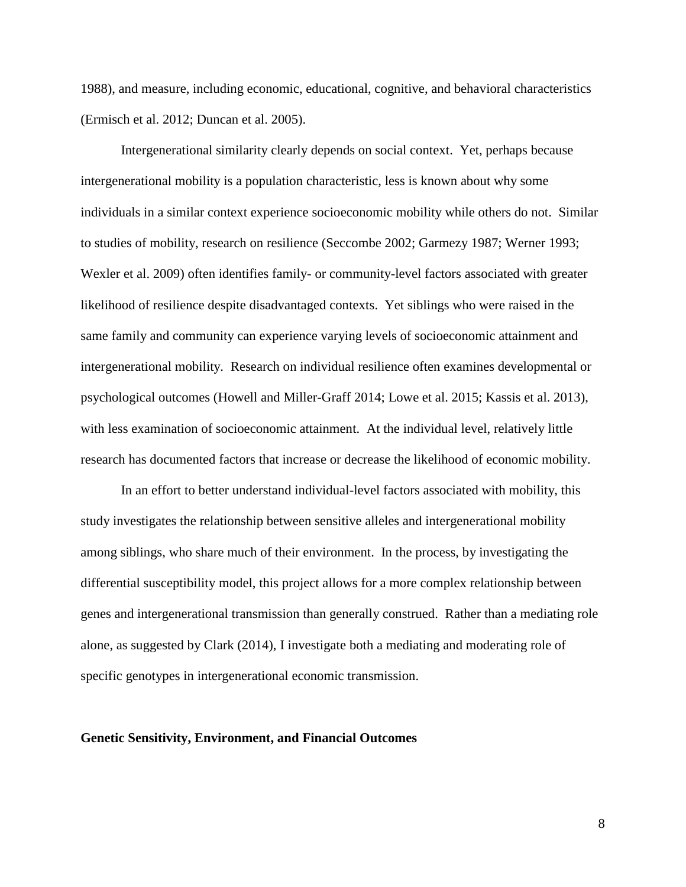1988), and measure, including economic, educational, cognitive, and behavioral characteristics (Ermisch et al. 2012; Duncan et al. 2005).

Intergenerational similarity clearly depends on social context. Yet, perhaps because intergenerational mobility is a population characteristic, less is known about why some individuals in a similar context experience socioeconomic mobility while others do not. Similar to studies of mobility, research on resilience (Seccombe 2002; Garmezy 1987; Werner 1993; Wexler et al. 2009) often identifies family- or community-level factors associated with greater likelihood of resilience despite disadvantaged contexts. Yet siblings who were raised in the same family and community can experience varying levels of socioeconomic attainment and intergenerational mobility. Research on individual resilience often examines developmental or psychological outcomes (Howell and Miller-Graff 2014; Lowe et al. 2015; Kassis et al. 2013), with less examination of socioeconomic attainment. At the individual level, relatively little research has documented factors that increase or decrease the likelihood of economic mobility.

In an effort to better understand individual-level factors associated with mobility, this study investigates the relationship between sensitive alleles and intergenerational mobility among siblings, who share much of their environment. In the process, by investigating the differential susceptibility model, this project allows for a more complex relationship between genes and intergenerational transmission than generally construed. Rather than a mediating role alone, as suggested by Clark (2014), I investigate both a mediating and moderating role of specific genotypes in intergenerational economic transmission.

# **Genetic Sensitivity, Environment, and Financial Outcomes**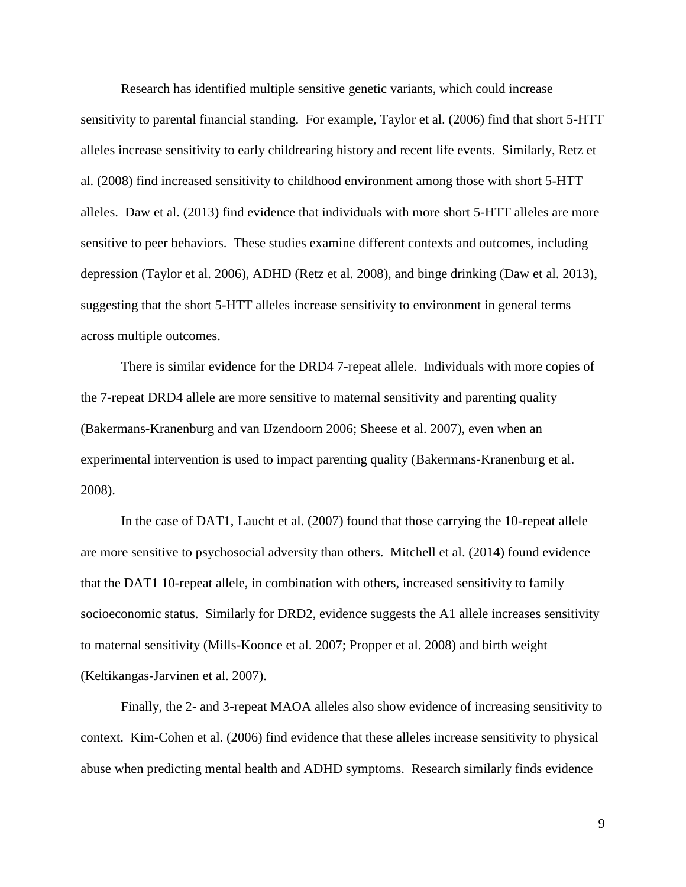Research has identified multiple sensitive genetic variants, which could increase sensitivity to parental financial standing. For example, Taylor et al. (2006) find that short 5-HTT alleles increase sensitivity to early childrearing history and recent life events. Similarly, Retz et al. (2008) find increased sensitivity to childhood environment among those with short 5-HTT alleles. Daw et al. (2013) find evidence that individuals with more short 5-HTT alleles are more sensitive to peer behaviors. These studies examine different contexts and outcomes, including depression (Taylor et al. 2006), ADHD (Retz et al. 2008), and binge drinking (Daw et al. 2013), suggesting that the short 5-HTT alleles increase sensitivity to environment in general terms across multiple outcomes.

There is similar evidence for the DRD4 7-repeat allele. Individuals with more copies of the 7-repeat DRD4 allele are more sensitive to maternal sensitivity and parenting quality (Bakermans-Kranenburg and van IJzendoorn 2006; Sheese et al. 2007), even when an experimental intervention is used to impact parenting quality (Bakermans-Kranenburg et al. 2008).

In the case of DAT1, Laucht et al. (2007) found that those carrying the 10-repeat allele are more sensitive to psychosocial adversity than others. Mitchell et al. (2014) found evidence that the DAT1 10-repeat allele, in combination with others, increased sensitivity to family socioeconomic status. Similarly for DRD2, evidence suggests the A1 allele increases sensitivity to maternal sensitivity (Mills-Koonce et al. 2007; Propper et al. 2008) and birth weight (Keltikangas-Jarvinen et al. 2007).

Finally, the 2- and 3-repeat MAOA alleles also show evidence of increasing sensitivity to context. Kim-Cohen et al. (2006) find evidence that these alleles increase sensitivity to physical abuse when predicting mental health and ADHD symptoms. Research similarly finds evidence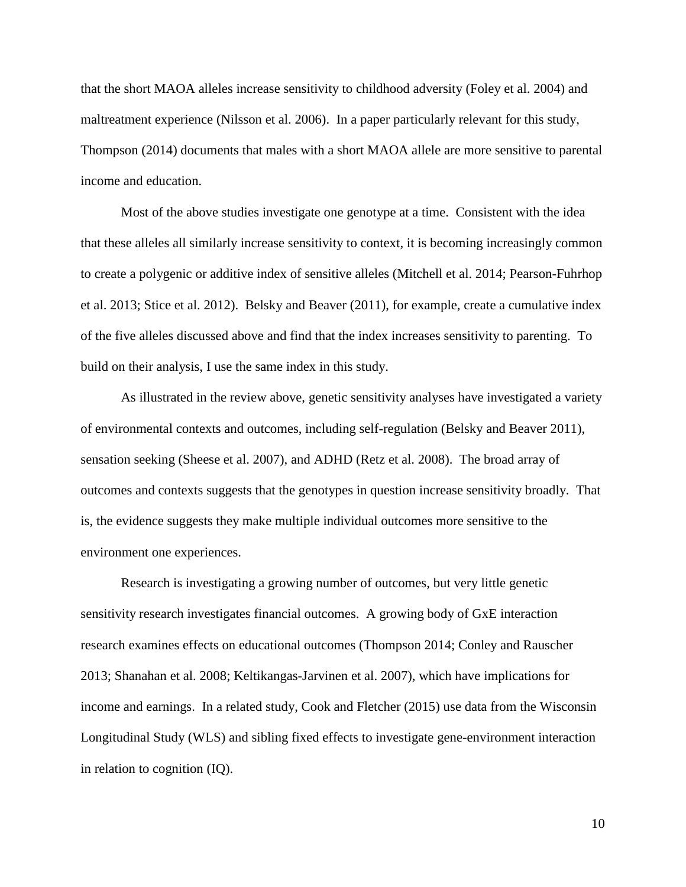that the short MAOA alleles increase sensitivity to childhood adversity (Foley et al. 2004) and maltreatment experience (Nilsson et al. 2006). In a paper particularly relevant for this study, Thompson (2014) documents that males with a short MAOA allele are more sensitive to parental income and education.

Most of the above studies investigate one genotype at a time. Consistent with the idea that these alleles all similarly increase sensitivity to context, it is becoming increasingly common to create a polygenic or additive index of sensitive alleles (Mitchell et al. 2014; Pearson-Fuhrhop et al. 2013; Stice et al. 2012). Belsky and Beaver (2011), for example, create a cumulative index of the five alleles discussed above and find that the index increases sensitivity to parenting. To build on their analysis, I use the same index in this study.

As illustrated in the review above, genetic sensitivity analyses have investigated a variety of environmental contexts and outcomes, including self-regulation (Belsky and Beaver 2011), sensation seeking (Sheese et al. 2007), and ADHD (Retz et al. 2008). The broad array of outcomes and contexts suggests that the genotypes in question increase sensitivity broadly. That is, the evidence suggests they make multiple individual outcomes more sensitive to the environment one experiences.

Research is investigating a growing number of outcomes, but very little genetic sensitivity research investigates financial outcomes. A growing body of GxE interaction research examines effects on educational outcomes (Thompson 2014; Conley and Rauscher 2013; Shanahan et al. 2008; Keltikangas-Jarvinen et al. 2007), which have implications for income and earnings. In a related study, Cook and Fletcher (2015) use data from the Wisconsin Longitudinal Study (WLS) and sibling fixed effects to investigate gene-environment interaction in relation to cognition (IQ).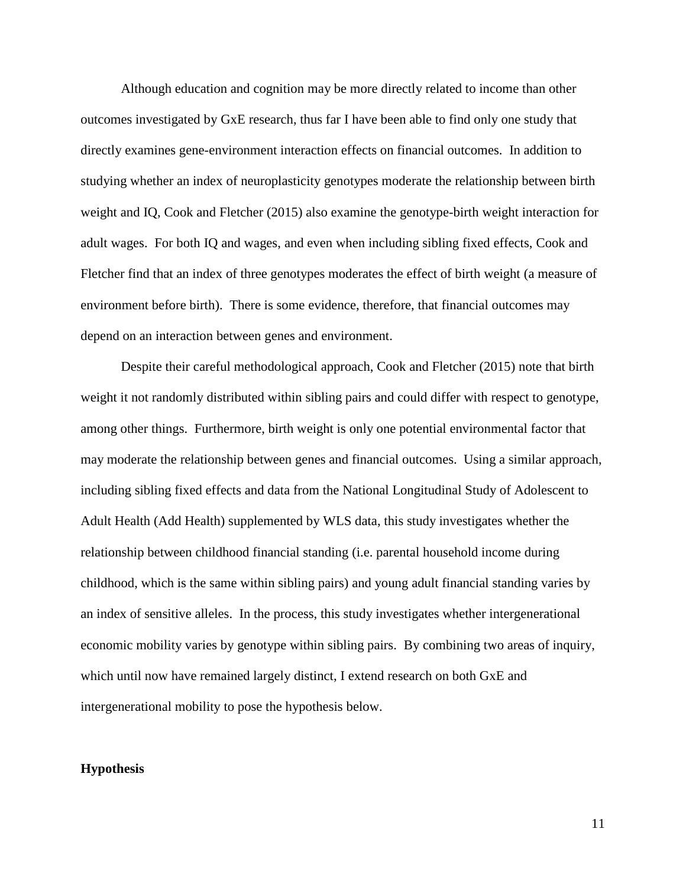Although education and cognition may be more directly related to income than other outcomes investigated by GxE research, thus far I have been able to find only one study that directly examines gene-environment interaction effects on financial outcomes. In addition to studying whether an index of neuroplasticity genotypes moderate the relationship between birth weight and IQ, Cook and Fletcher (2015) also examine the genotype-birth weight interaction for adult wages. For both IQ and wages, and even when including sibling fixed effects, Cook and Fletcher find that an index of three genotypes moderates the effect of birth weight (a measure of environment before birth). There is some evidence, therefore, that financial outcomes may depend on an interaction between genes and environment.

Despite their careful methodological approach, Cook and Fletcher (2015) note that birth weight it not randomly distributed within sibling pairs and could differ with respect to genotype, among other things. Furthermore, birth weight is only one potential environmental factor that may moderate the relationship between genes and financial outcomes. Using a similar approach, including sibling fixed effects and data from the National Longitudinal Study of Adolescent to Adult Health (Add Health) supplemented by WLS data, this study investigates whether the relationship between childhood financial standing (i.e. parental household income during childhood, which is the same within sibling pairs) and young adult financial standing varies by an index of sensitive alleles. In the process, this study investigates whether intergenerational economic mobility varies by genotype within sibling pairs. By combining two areas of inquiry, which until now have remained largely distinct, I extend research on both GxE and intergenerational mobility to pose the hypothesis below.

# **Hypothesis**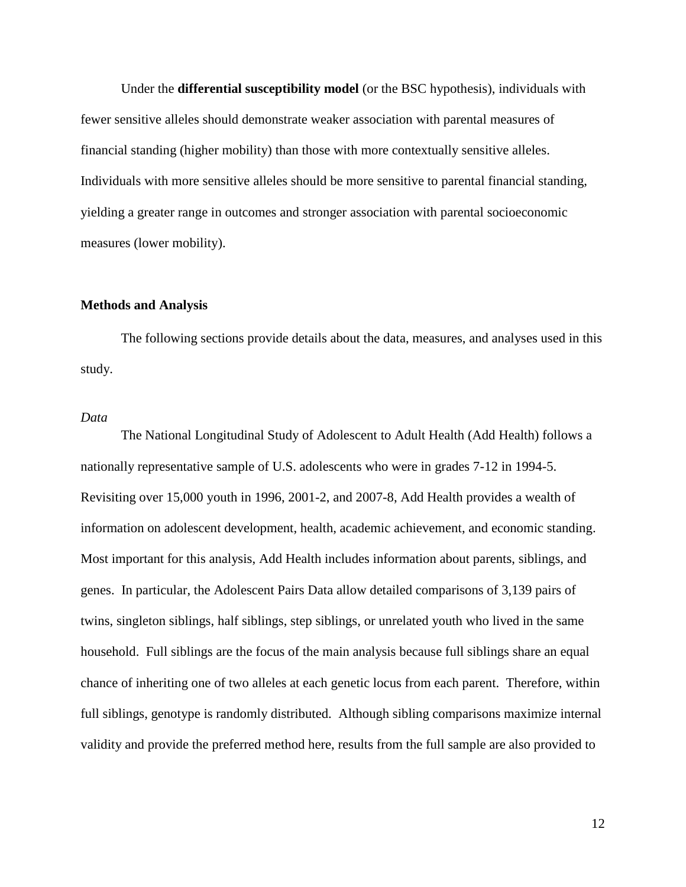Under the **differential susceptibility model** (or the BSC hypothesis), individuals with fewer sensitive alleles should demonstrate weaker association with parental measures of financial standing (higher mobility) than those with more contextually sensitive alleles. Individuals with more sensitive alleles should be more sensitive to parental financial standing, yielding a greater range in outcomes and stronger association with parental socioeconomic measures (lower mobility).

#### **Methods and Analysis**

The following sections provide details about the data, measures, and analyses used in this study.

#### *Data*

The National Longitudinal Study of Adolescent to Adult Health (Add Health) follows a nationally representative sample of U.S. adolescents who were in grades 7-12 in 1994-5. Revisiting over 15,000 youth in 1996, 2001-2, and 2007-8, Add Health provides a wealth of information on adolescent development, health, academic achievement, and economic standing. Most important for this analysis, Add Health includes information about parents, siblings, and genes. In particular, the Adolescent Pairs Data allow detailed comparisons of 3,139 pairs of twins, singleton siblings, half siblings, step siblings, or unrelated youth who lived in the same household. Full siblings are the focus of the main analysis because full siblings share an equal chance of inheriting one of two alleles at each genetic locus from each parent. Therefore, within full siblings, genotype is randomly distributed. Although sibling comparisons maximize internal validity and provide the preferred method here, results from the full sample are also provided to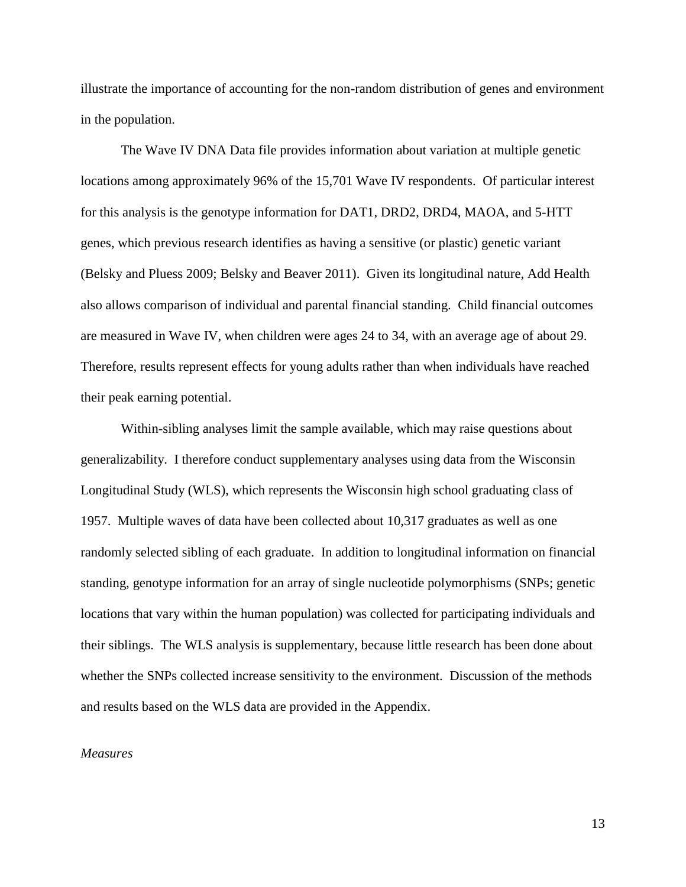illustrate the importance of accounting for the non-random distribution of genes and environment in the population.

The Wave IV DNA Data file provides information about variation at multiple genetic locations among approximately 96% of the 15,701 Wave IV respondents. Of particular interest for this analysis is the genotype information for DAT1, DRD2, DRD4, MAOA, and 5-HTT genes, which previous research identifies as having a sensitive (or plastic) genetic variant (Belsky and Pluess 2009; Belsky and Beaver 2011). Given its longitudinal nature, Add Health also allows comparison of individual and parental financial standing. Child financial outcomes are measured in Wave IV, when children were ages 24 to 34, with an average age of about 29. Therefore, results represent effects for young adults rather than when individuals have reached their peak earning potential.

Within-sibling analyses limit the sample available, which may raise questions about generalizability. I therefore conduct supplementary analyses using data from the Wisconsin Longitudinal Study (WLS), which represents the Wisconsin high school graduating class of 1957. Multiple waves of data have been collected about 10,317 graduates as well as one randomly selected sibling of each graduate. In addition to longitudinal information on financial standing, genotype information for an array of single nucleotide polymorphisms (SNPs; genetic locations that vary within the human population) was collected for participating individuals and their siblings. The WLS analysis is supplementary, because little research has been done about whether the SNPs collected increase sensitivity to the environment. Discussion of the methods and results based on the WLS data are provided in the Appendix.

# *Measures*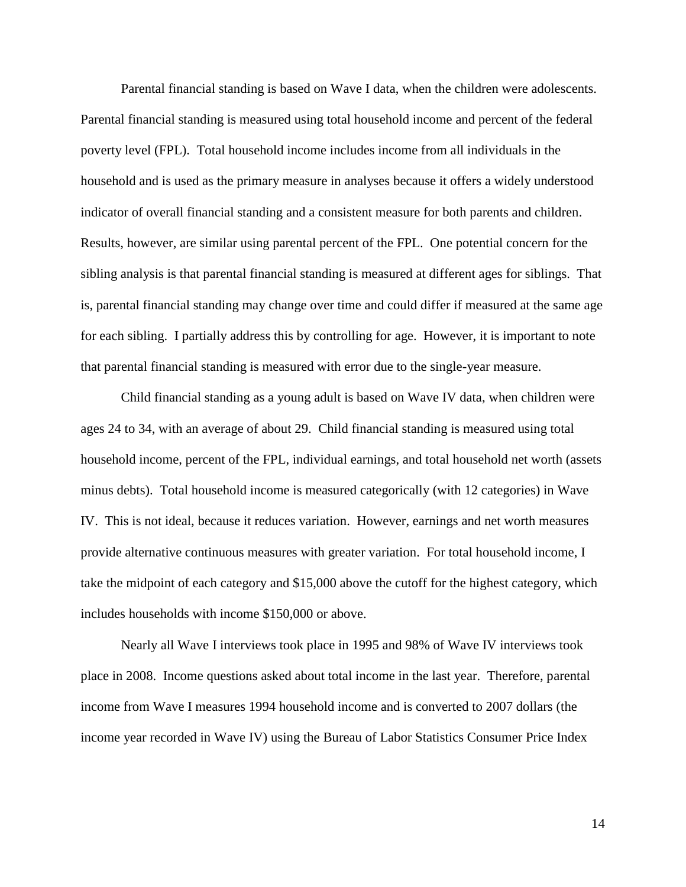Parental financial standing is based on Wave I data, when the children were adolescents. Parental financial standing is measured using total household income and percent of the federal poverty level (FPL). Total household income includes income from all individuals in the household and is used as the primary measure in analyses because it offers a widely understood indicator of overall financial standing and a consistent measure for both parents and children. Results, however, are similar using parental percent of the FPL. One potential concern for the sibling analysis is that parental financial standing is measured at different ages for siblings. That is, parental financial standing may change over time and could differ if measured at the same age for each sibling. I partially address this by controlling for age. However, it is important to note that parental financial standing is measured with error due to the single-year measure.

Child financial standing as a young adult is based on Wave IV data, when children were ages 24 to 34, with an average of about 29. Child financial standing is measured using total household income, percent of the FPL, individual earnings, and total household net worth (assets minus debts). Total household income is measured categorically (with 12 categories) in Wave IV. This is not ideal, because it reduces variation. However, earnings and net worth measures provide alternative continuous measures with greater variation. For total household income, I take the midpoint of each category and \$15,000 above the cutoff for the highest category, which includes households with income \$150,000 or above.

Nearly all Wave I interviews took place in 1995 and 98% of Wave IV interviews took place in 2008. Income questions asked about total income in the last year. Therefore, parental income from Wave I measures 1994 household income and is converted to 2007 dollars (the income year recorded in Wave IV) using the Bureau of Labor Statistics Consumer Price Index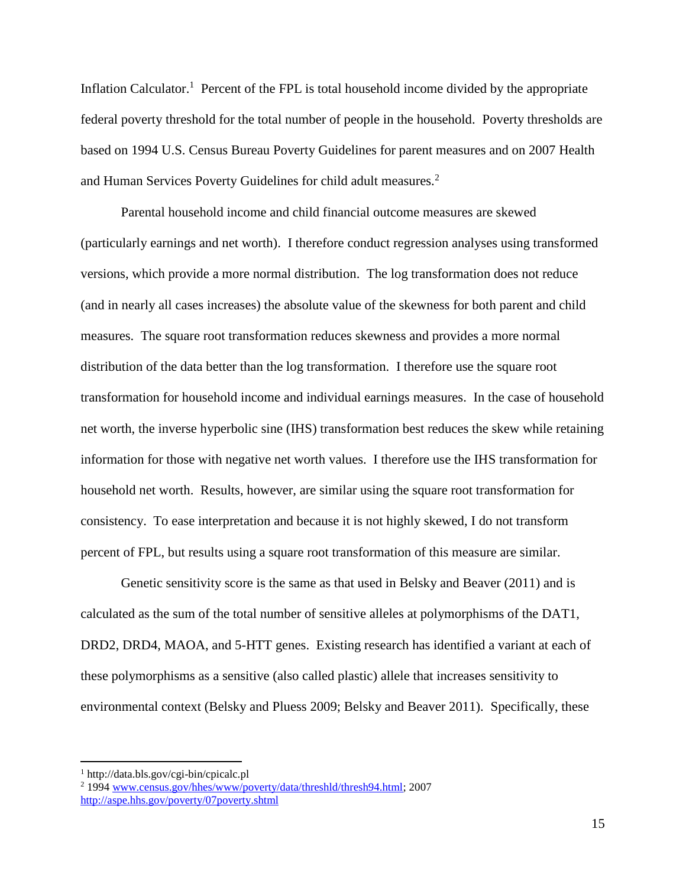Inflation Calculator.<sup>1</sup> Percent of the FPL is total household income divided by the appropriate federal poverty threshold for the total number of people in the household. Poverty thresholds are based on 1994 U.S. Census Bureau Poverty Guidelines for parent measures and on 2007 Health and Human Services Poverty Guidelines for child adult measures.<sup>2</sup>

Parental household income and child financial outcome measures are skewed (particularly earnings and net worth). I therefore conduct regression analyses using transformed versions, which provide a more normal distribution. The log transformation does not reduce (and in nearly all cases increases) the absolute value of the skewness for both parent and child measures. The square root transformation reduces skewness and provides a more normal distribution of the data better than the log transformation. I therefore use the square root transformation for household income and individual earnings measures. In the case of household net worth, the inverse hyperbolic sine (IHS) transformation best reduces the skew while retaining information for those with negative net worth values. I therefore use the IHS transformation for household net worth. Results, however, are similar using the square root transformation for consistency. To ease interpretation and because it is not highly skewed, I do not transform percent of FPL, but results using a square root transformation of this measure are similar.

Genetic sensitivity score is the same as that used in Belsky and Beaver (2011) and is calculated as the sum of the total number of sensitive alleles at polymorphisms of the DAT1, DRD2, DRD4, MAOA, and 5-HTT genes. Existing research has identified a variant at each of these polymorphisms as a sensitive (also called plastic) allele that increases sensitivity to environmental context (Belsky and Pluess 2009; Belsky and Beaver 2011). Specifically, these

l

<sup>1</sup> http://data.bls.gov/cgi-bin/cpicalc.pl

<sup>2</sup> 1994 [www.census.gov/hhes/www/poverty/data/threshld/thresh94.html;](http://www.census.gov/hhes/www/poverty/data/threshld/thresh94.html) 2007 <http://aspe.hhs.gov/poverty/07poverty.shtml>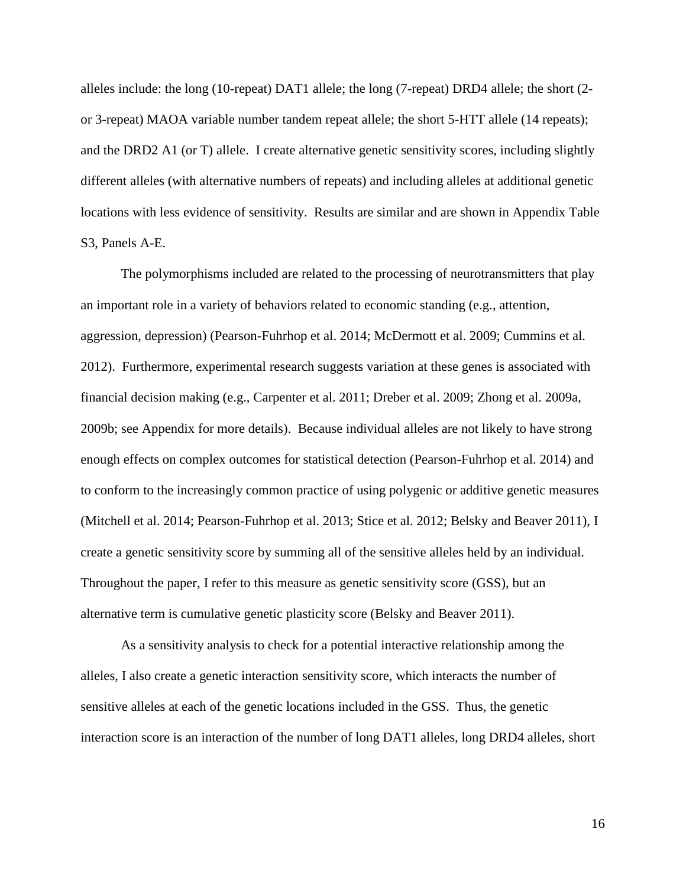alleles include: the long (10-repeat) DAT1 allele; the long (7-repeat) DRD4 allele; the short (2 or 3-repeat) MAOA variable number tandem repeat allele; the short 5-HTT allele (14 repeats); and the DRD2 A1 (or T) allele. I create alternative genetic sensitivity scores, including slightly different alleles (with alternative numbers of repeats) and including alleles at additional genetic locations with less evidence of sensitivity. Results are similar and are shown in Appendix Table S3, Panels A-E.

The polymorphisms included are related to the processing of neurotransmitters that play an important role in a variety of behaviors related to economic standing (e.g., attention, aggression, depression) (Pearson-Fuhrhop et al. 2014; McDermott et al. 2009; Cummins et al. 2012). Furthermore, experimental research suggests variation at these genes is associated with financial decision making (e.g., Carpenter et al. 2011; Dreber et al. 2009; Zhong et al. 2009a, 2009b; see Appendix for more details). Because individual alleles are not likely to have strong enough effects on complex outcomes for statistical detection (Pearson-Fuhrhop et al. 2014) and to conform to the increasingly common practice of using polygenic or additive genetic measures (Mitchell et al. 2014; Pearson-Fuhrhop et al. 2013; Stice et al. 2012; Belsky and Beaver 2011), I create a genetic sensitivity score by summing all of the sensitive alleles held by an individual. Throughout the paper, I refer to this measure as genetic sensitivity score (GSS), but an alternative term is cumulative genetic plasticity score (Belsky and Beaver 2011).

As a sensitivity analysis to check for a potential interactive relationship among the alleles, I also create a genetic interaction sensitivity score, which interacts the number of sensitive alleles at each of the genetic locations included in the GSS. Thus, the genetic interaction score is an interaction of the number of long DAT1 alleles, long DRD4 alleles, short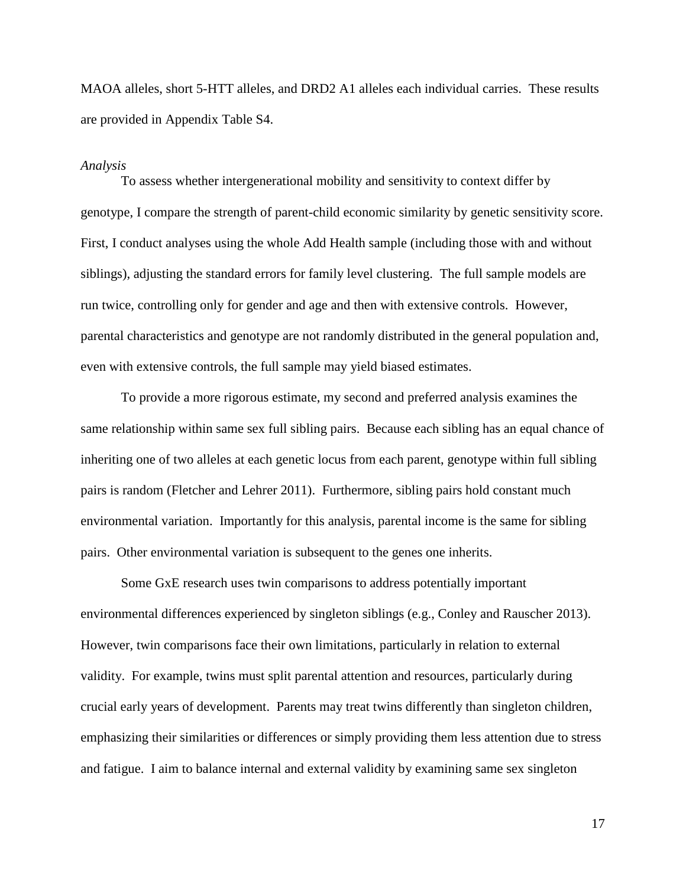MAOA alleles, short 5-HTT alleles, and DRD2 A1 alleles each individual carries. These results are provided in Appendix Table S4.

#### *Analysis*

To assess whether intergenerational mobility and sensitivity to context differ by genotype, I compare the strength of parent-child economic similarity by genetic sensitivity score. First, I conduct analyses using the whole Add Health sample (including those with and without siblings), adjusting the standard errors for family level clustering. The full sample models are run twice, controlling only for gender and age and then with extensive controls. However, parental characteristics and genotype are not randomly distributed in the general population and, even with extensive controls, the full sample may yield biased estimates.

To provide a more rigorous estimate, my second and preferred analysis examines the same relationship within same sex full sibling pairs. Because each sibling has an equal chance of inheriting one of two alleles at each genetic locus from each parent, genotype within full sibling pairs is random (Fletcher and Lehrer 2011). Furthermore, sibling pairs hold constant much environmental variation. Importantly for this analysis, parental income is the same for sibling pairs. Other environmental variation is subsequent to the genes one inherits.

Some GxE research uses twin comparisons to address potentially important environmental differences experienced by singleton siblings (e.g., Conley and Rauscher 2013). However, twin comparisons face their own limitations, particularly in relation to external validity. For example, twins must split parental attention and resources, particularly during crucial early years of development. Parents may treat twins differently than singleton children, emphasizing their similarities or differences or simply providing them less attention due to stress and fatigue. I aim to balance internal and external validity by examining same sex singleton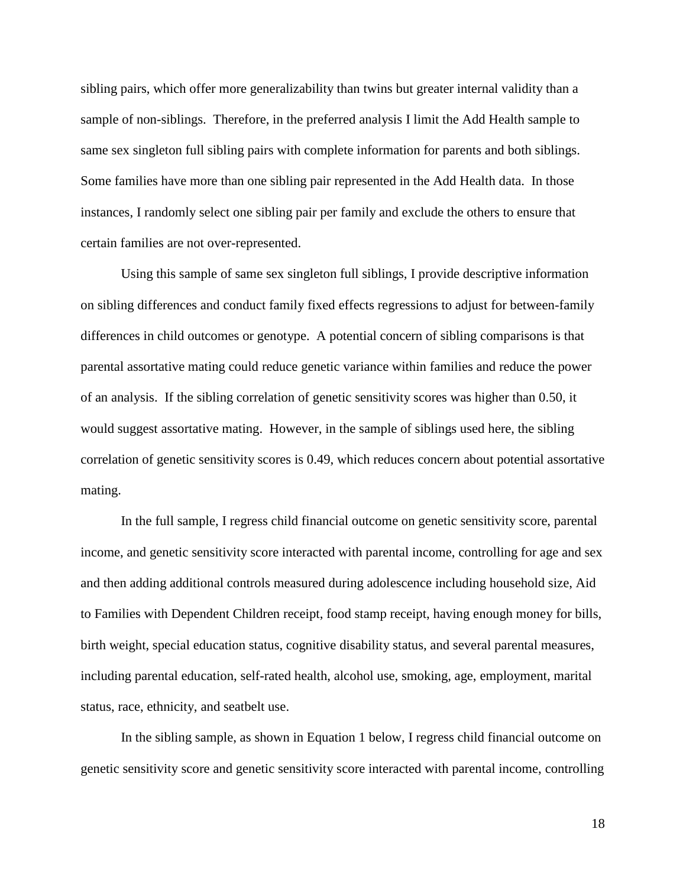sibling pairs, which offer more generalizability than twins but greater internal validity than a sample of non-siblings. Therefore, in the preferred analysis I limit the Add Health sample to same sex singleton full sibling pairs with complete information for parents and both siblings. Some families have more than one sibling pair represented in the Add Health data. In those instances, I randomly select one sibling pair per family and exclude the others to ensure that certain families are not over-represented.

Using this sample of same sex singleton full siblings, I provide descriptive information on sibling differences and conduct family fixed effects regressions to adjust for between-family differences in child outcomes or genotype. A potential concern of sibling comparisons is that parental assortative mating could reduce genetic variance within families and reduce the power of an analysis. If the sibling correlation of genetic sensitivity scores was higher than 0.50, it would suggest assortative mating. However, in the sample of siblings used here, the sibling correlation of genetic sensitivity scores is 0.49, which reduces concern about potential assortative mating.

In the full sample, I regress child financial outcome on genetic sensitivity score, parental income, and genetic sensitivity score interacted with parental income, controlling for age and sex and then adding additional controls measured during adolescence including household size, Aid to Families with Dependent Children receipt, food stamp receipt, having enough money for bills, birth weight, special education status, cognitive disability status, and several parental measures, including parental education, self-rated health, alcohol use, smoking, age, employment, marital status, race, ethnicity, and seatbelt use.

In the sibling sample, as shown in Equation 1 below, I regress child financial outcome on genetic sensitivity score and genetic sensitivity score interacted with parental income, controlling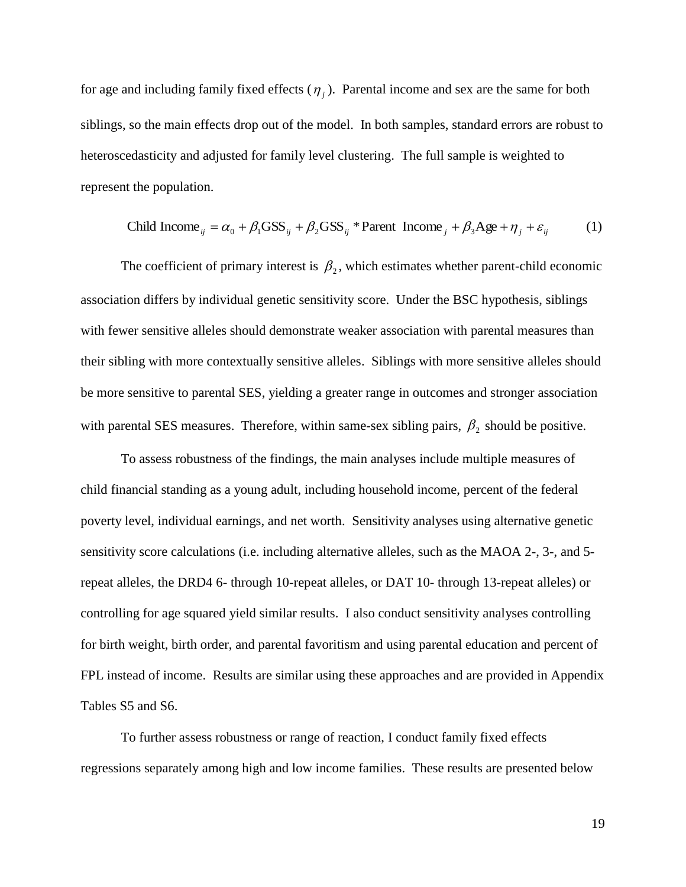for age and including family fixed effects  $(\eta_i)$ . Parental income and sex are the same for both siblings, so the main effects drop out of the model. In both samples, standard errors are robust to heteroscedasticity and adjusted for family level clustering. The full sample is weighted to represent the population.

Child Income<sub>ij</sub> = 
$$
\alpha_0 + \beta_1 \text{GSS}_{ij} + \beta_2 \text{GSS}_{ij} * \text{Parent Income}_j + \beta_3 \text{Age} + \eta_j + \varepsilon_{ij}
$$
 (1)

The coefficient of primary interest is  $\beta_2$ , which estimates whether parent-child economic association differs by individual genetic sensitivity score. Under the BSC hypothesis, siblings with fewer sensitive alleles should demonstrate weaker association with parental measures than their sibling with more contextually sensitive alleles. Siblings with more sensitive alleles should be more sensitive to parental SES, yielding a greater range in outcomes and stronger association with parental SES measures. Therefore, within same-sex sibling pairs,  $\beta_2$  should be positive.

To assess robustness of the findings, the main analyses include multiple measures of child financial standing as a young adult, including household income, percent of the federal poverty level, individual earnings, and net worth. Sensitivity analyses using alternative genetic sensitivity score calculations (i.e. including alternative alleles, such as the MAOA 2-, 3-, and 5 repeat alleles, the DRD4 6- through 10-repeat alleles, or DAT 10- through 13-repeat alleles) or controlling for age squared yield similar results. I also conduct sensitivity analyses controlling for birth weight, birth order, and parental favoritism and using parental education and percent of FPL instead of income. Results are similar using these approaches and are provided in Appendix Tables S5 and S6.

To further assess robustness or range of reaction, I conduct family fixed effects regressions separately among high and low income families. These results are presented below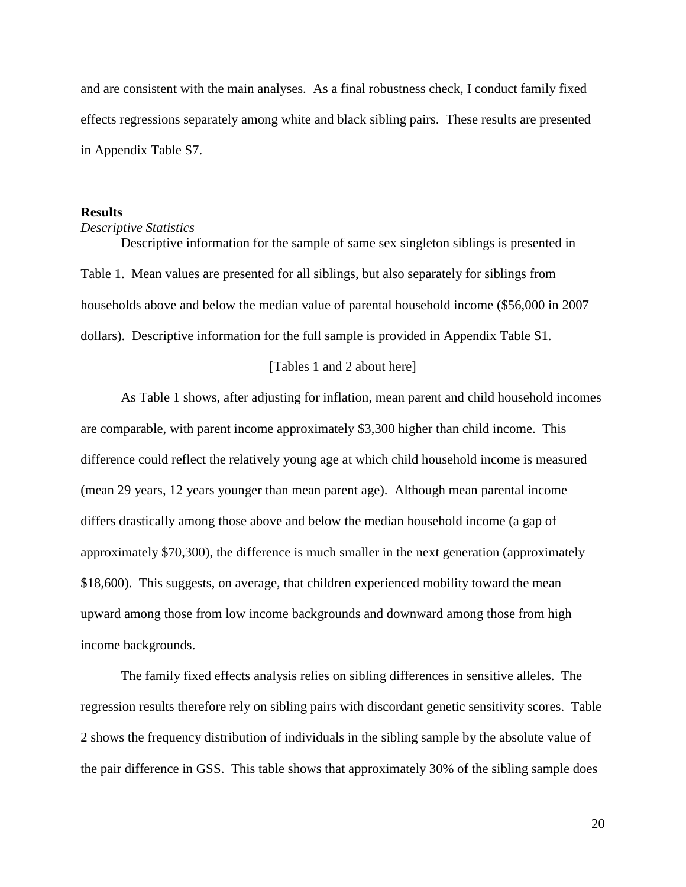and are consistent with the main analyses. As a final robustness check, I conduct family fixed effects regressions separately among white and black sibling pairs. These results are presented in Appendix Table S7.

#### **Results**

## *Descriptive Statistics*

Descriptive information for the sample of same sex singleton siblings is presented in Table 1. Mean values are presented for all siblings, but also separately for siblings from households above and below the median value of parental household income (\$56,000 in 2007 dollars). Descriptive information for the full sample is provided in Appendix Table S1.

#### [Tables 1 and 2 about here]

As Table 1 shows, after adjusting for inflation, mean parent and child household incomes are comparable, with parent income approximately \$3,300 higher than child income. This difference could reflect the relatively young age at which child household income is measured (mean 29 years, 12 years younger than mean parent age). Although mean parental income differs drastically among those above and below the median household income (a gap of approximately \$70,300), the difference is much smaller in the next generation (approximately \$18,600). This suggests, on average, that children experienced mobility toward the mean – upward among those from low income backgrounds and downward among those from high income backgrounds.

The family fixed effects analysis relies on sibling differences in sensitive alleles. The regression results therefore rely on sibling pairs with discordant genetic sensitivity scores. Table 2 shows the frequency distribution of individuals in the sibling sample by the absolute value of the pair difference in GSS. This table shows that approximately 30% of the sibling sample does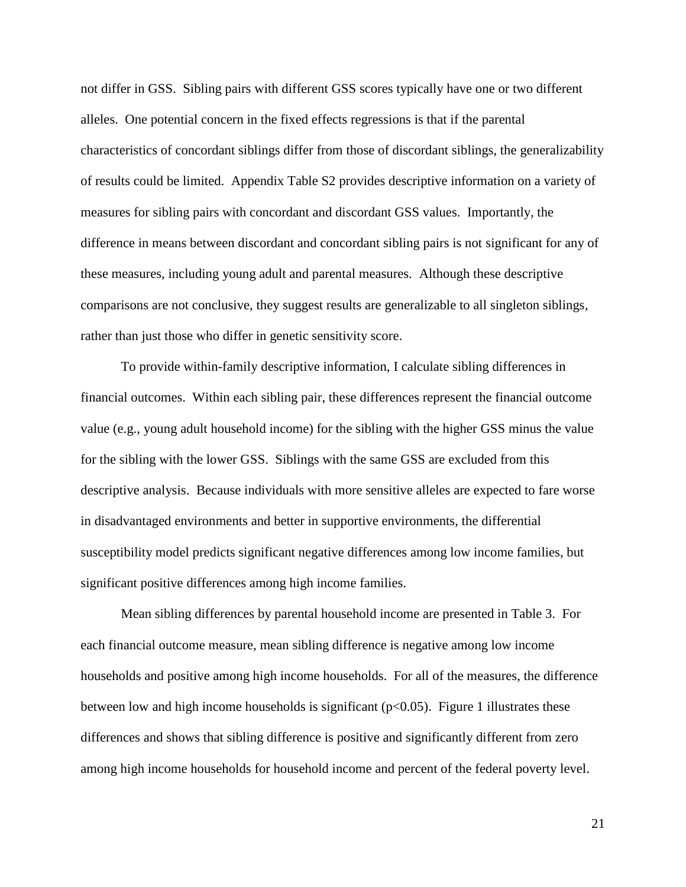not differ in GSS. Sibling pairs with different GSS scores typically have one or two different alleles. One potential concern in the fixed effects regressions is that if the parental characteristics of concordant siblings differ from those of discordant siblings, the generalizability of results could be limited. Appendix Table S2 provides descriptive information on a variety of measures for sibling pairs with concordant and discordant GSS values. Importantly, the difference in means between discordant and concordant sibling pairs is not significant for any of these measures, including young adult and parental measures. Although these descriptive comparisons are not conclusive, they suggest results are generalizable to all singleton siblings, rather than just those who differ in genetic sensitivity score.

To provide within-family descriptive information, I calculate sibling differences in financial outcomes. Within each sibling pair, these differences represent the financial outcome value (e.g., young adult household income) for the sibling with the higher GSS minus the value for the sibling with the lower GSS. Siblings with the same GSS are excluded from this descriptive analysis. Because individuals with more sensitive alleles are expected to fare worse in disadvantaged environments and better in supportive environments, the differential susceptibility model predicts significant negative differences among low income families, but significant positive differences among high income families.

Mean sibling differences by parental household income are presented in Table 3. For each financial outcome measure, mean sibling difference is negative among low income households and positive among high income households. For all of the measures, the difference between low and high income households is significant ( $p<0.05$ ). Figure 1 illustrates these differences and shows that sibling difference is positive and significantly different from zero among high income households for household income and percent of the federal poverty level.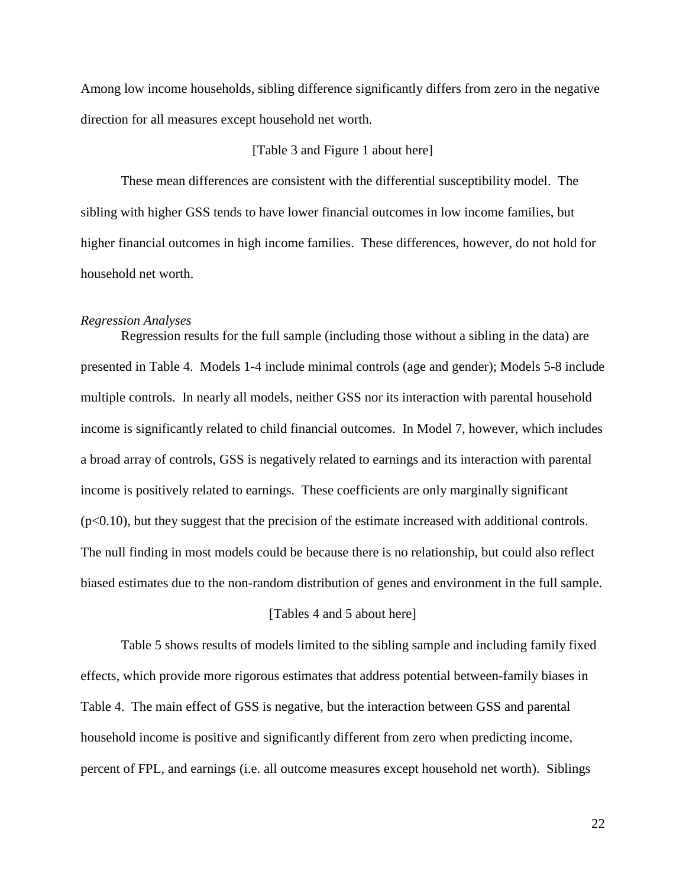Among low income households, sibling difference significantly differs from zero in the negative direction for all measures except household net worth.

# [Table 3 and Figure 1 about here]

These mean differences are consistent with the differential susceptibility model. The sibling with higher GSS tends to have lower financial outcomes in low income families, but higher financial outcomes in high income families. These differences, however, do not hold for household net worth.

#### *Regression Analyses*

Regression results for the full sample (including those without a sibling in the data) are presented in Table 4. Models 1-4 include minimal controls (age and gender); Models 5-8 include multiple controls. In nearly all models, neither GSS nor its interaction with parental household income is significantly related to child financial outcomes. In Model 7, however, which includes a broad array of controls, GSS is negatively related to earnings and its interaction with parental income is positively related to earnings. These coefficients are only marginally significant (p<0.10), but they suggest that the precision of the estimate increased with additional controls. The null finding in most models could be because there is no relationship, but could also reflect biased estimates due to the non-random distribution of genes and environment in the full sample.

#### [Tables 4 and 5 about here]

Table 5 shows results of models limited to the sibling sample and including family fixed effects, which provide more rigorous estimates that address potential between-family biases in Table 4. The main effect of GSS is negative, but the interaction between GSS and parental household income is positive and significantly different from zero when predicting income, percent of FPL, and earnings (i.e. all outcome measures except household net worth). Siblings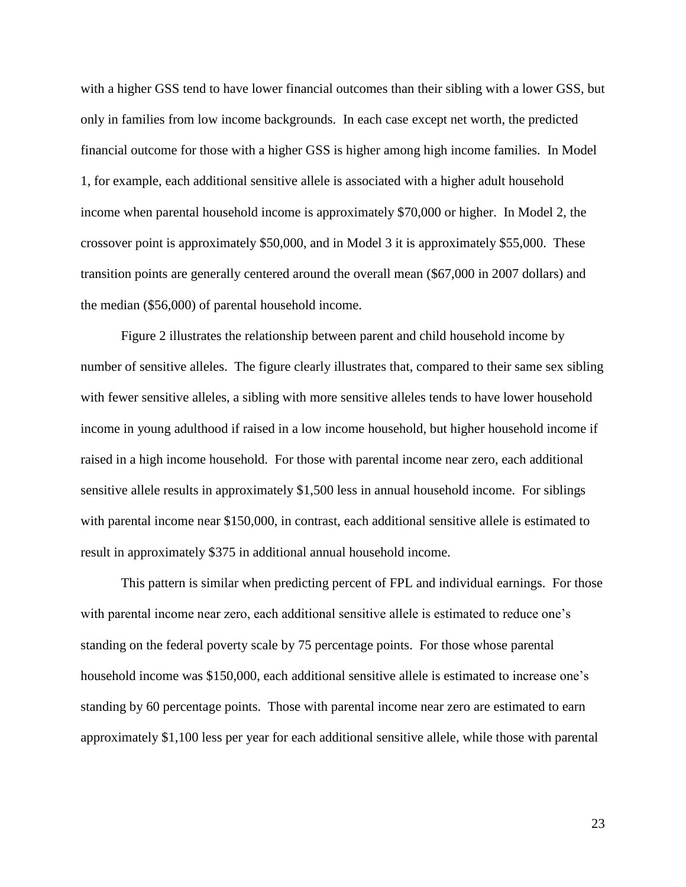with a higher GSS tend to have lower financial outcomes than their sibling with a lower GSS, but only in families from low income backgrounds. In each case except net worth, the predicted financial outcome for those with a higher GSS is higher among high income families. In Model 1, for example, each additional sensitive allele is associated with a higher adult household income when parental household income is approximately \$70,000 or higher. In Model 2, the crossover point is approximately \$50,000, and in Model 3 it is approximately \$55,000. These transition points are generally centered around the overall mean (\$67,000 in 2007 dollars) and the median (\$56,000) of parental household income.

Figure 2 illustrates the relationship between parent and child household income by number of sensitive alleles. The figure clearly illustrates that, compared to their same sex sibling with fewer sensitive alleles, a sibling with more sensitive alleles tends to have lower household income in young adulthood if raised in a low income household, but higher household income if raised in a high income household. For those with parental income near zero, each additional sensitive allele results in approximately \$1,500 less in annual household income. For siblings with parental income near \$150,000, in contrast, each additional sensitive allele is estimated to result in approximately \$375 in additional annual household income.

This pattern is similar when predicting percent of FPL and individual earnings. For those with parental income near zero, each additional sensitive allele is estimated to reduce one's standing on the federal poverty scale by 75 percentage points. For those whose parental household income was \$150,000, each additional sensitive allele is estimated to increase one's standing by 60 percentage points. Those with parental income near zero are estimated to earn approximately \$1,100 less per year for each additional sensitive allele, while those with parental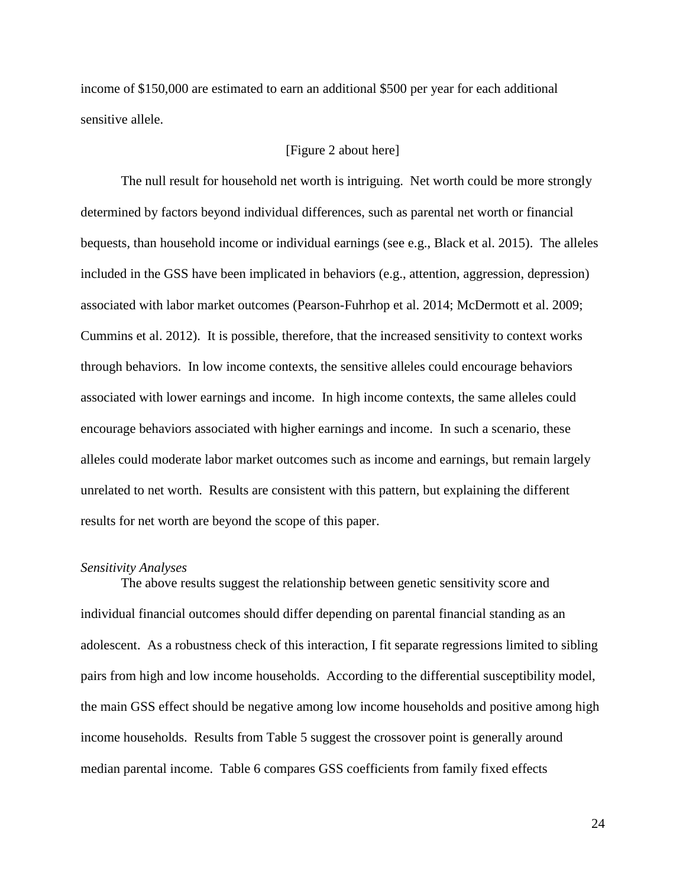income of \$150,000 are estimated to earn an additional \$500 per year for each additional sensitive allele.

# [Figure 2 about here]

The null result for household net worth is intriguing. Net worth could be more strongly determined by factors beyond individual differences, such as parental net worth or financial bequests, than household income or individual earnings (see e.g., Black et al. 2015). The alleles included in the GSS have been implicated in behaviors (e.g., attention, aggression, depression) associated with labor market outcomes (Pearson-Fuhrhop et al. 2014; McDermott et al. 2009; Cummins et al. 2012). It is possible, therefore, that the increased sensitivity to context works through behaviors. In low income contexts, the sensitive alleles could encourage behaviors associated with lower earnings and income. In high income contexts, the same alleles could encourage behaviors associated with higher earnings and income. In such a scenario, these alleles could moderate labor market outcomes such as income and earnings, but remain largely unrelated to net worth. Results are consistent with this pattern, but explaining the different results for net worth are beyond the scope of this paper.

#### *Sensitivity Analyses*

The above results suggest the relationship between genetic sensitivity score and individual financial outcomes should differ depending on parental financial standing as an adolescent. As a robustness check of this interaction, I fit separate regressions limited to sibling pairs from high and low income households. According to the differential susceptibility model, the main GSS effect should be negative among low income households and positive among high income households. Results from Table 5 suggest the crossover point is generally around median parental income. Table 6 compares GSS coefficients from family fixed effects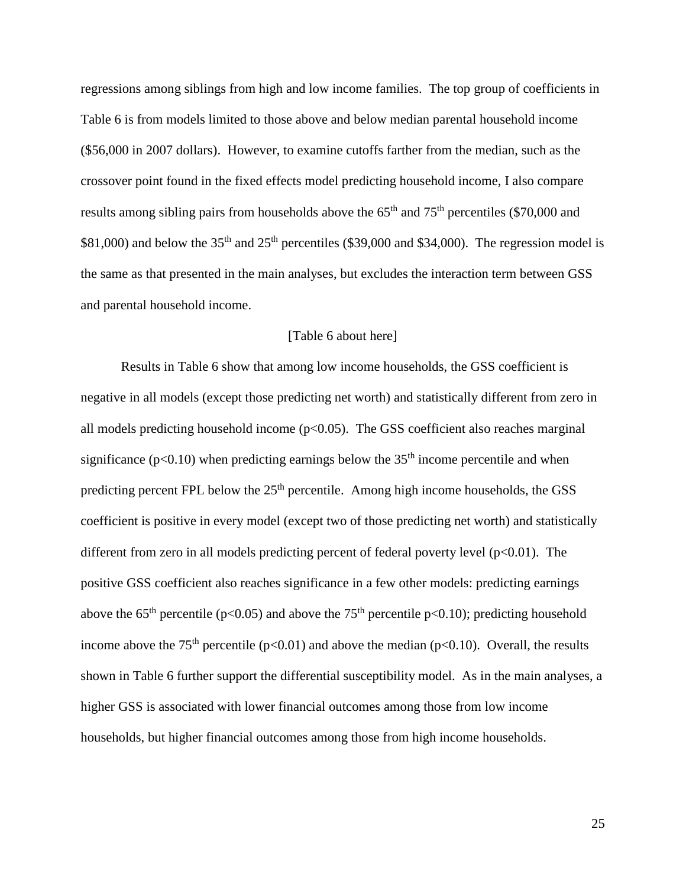regressions among siblings from high and low income families. The top group of coefficients in Table 6 is from models limited to those above and below median parental household income (\$56,000 in 2007 dollars). However, to examine cutoffs farther from the median, such as the crossover point found in the fixed effects model predicting household income, I also compare results among sibling pairs from households above the  $65<sup>th</sup>$  and  $75<sup>th</sup>$  percentiles (\$70,000 and \$81,000) and below the  $35<sup>th</sup>$  and  $25<sup>th</sup>$  percentiles (\$39,000 and \$34,000). The regression model is the same as that presented in the main analyses, but excludes the interaction term between GSS and parental household income.

# [Table 6 about here]

Results in Table 6 show that among low income households, the GSS coefficient is negative in all models (except those predicting net worth) and statistically different from zero in all models predicting household income  $(p<0.05)$ . The GSS coefficient also reaches marginal significance ( $p<0.10$ ) when predicting earnings below the 35<sup>th</sup> income percentile and when predicting percent FPL below the  $25<sup>th</sup>$  percentile. Among high income households, the GSS coefficient is positive in every model (except two of those predicting net worth) and statistically different from zero in all models predicting percent of federal poverty level  $(p<0.01)$ . The positive GSS coefficient also reaches significance in a few other models: predicting earnings above the 65<sup>th</sup> percentile (p<0.05) and above the 75<sup>th</sup> percentile p<0.10); predicting household income above the 75<sup>th</sup> percentile ( $p<0.01$ ) and above the median ( $p<0.10$ ). Overall, the results shown in Table 6 further support the differential susceptibility model. As in the main analyses, a higher GSS is associated with lower financial outcomes among those from low income households, but higher financial outcomes among those from high income households.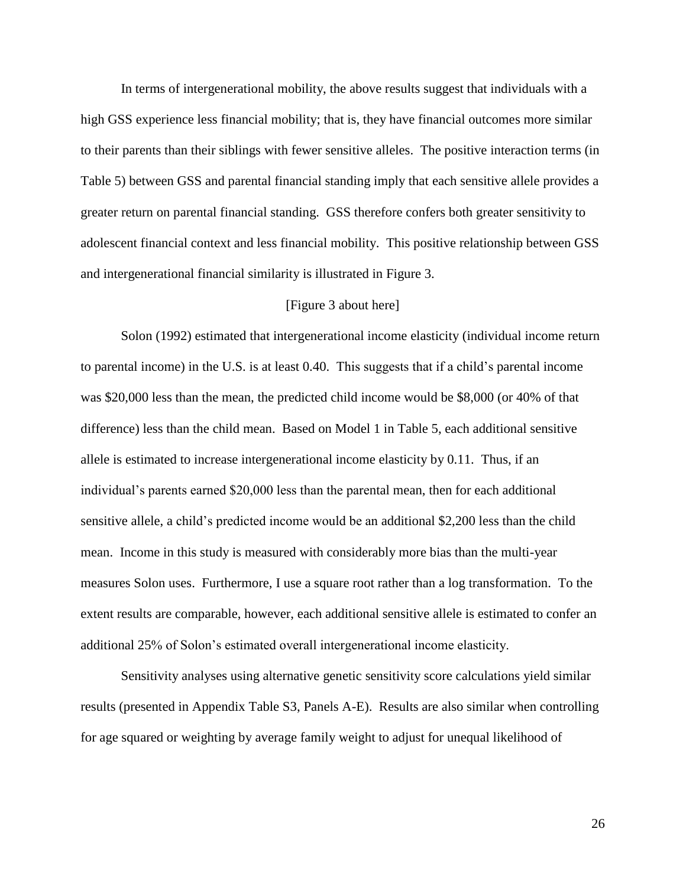In terms of intergenerational mobility, the above results suggest that individuals with a high GSS experience less financial mobility; that is, they have financial outcomes more similar to their parents than their siblings with fewer sensitive alleles. The positive interaction terms (in Table 5) between GSS and parental financial standing imply that each sensitive allele provides a greater return on parental financial standing. GSS therefore confers both greater sensitivity to adolescent financial context and less financial mobility. This positive relationship between GSS and intergenerational financial similarity is illustrated in Figure 3.

#### [Figure 3 about here]

Solon (1992) estimated that intergenerational income elasticity (individual income return to parental income) in the U.S. is at least 0.40. This suggests that if a child's parental income was \$20,000 less than the mean, the predicted child income would be \$8,000 (or 40% of that difference) less than the child mean. Based on Model 1 in Table 5, each additional sensitive allele is estimated to increase intergenerational income elasticity by 0.11. Thus, if an individual's parents earned \$20,000 less than the parental mean, then for each additional sensitive allele, a child's predicted income would be an additional \$2,200 less than the child mean. Income in this study is measured with considerably more bias than the multi-year measures Solon uses. Furthermore, I use a square root rather than a log transformation. To the extent results are comparable, however, each additional sensitive allele is estimated to confer an additional 25% of Solon's estimated overall intergenerational income elasticity.

Sensitivity analyses using alternative genetic sensitivity score calculations yield similar results (presented in Appendix Table S3, Panels A-E). Results are also similar when controlling for age squared or weighting by average family weight to adjust for unequal likelihood of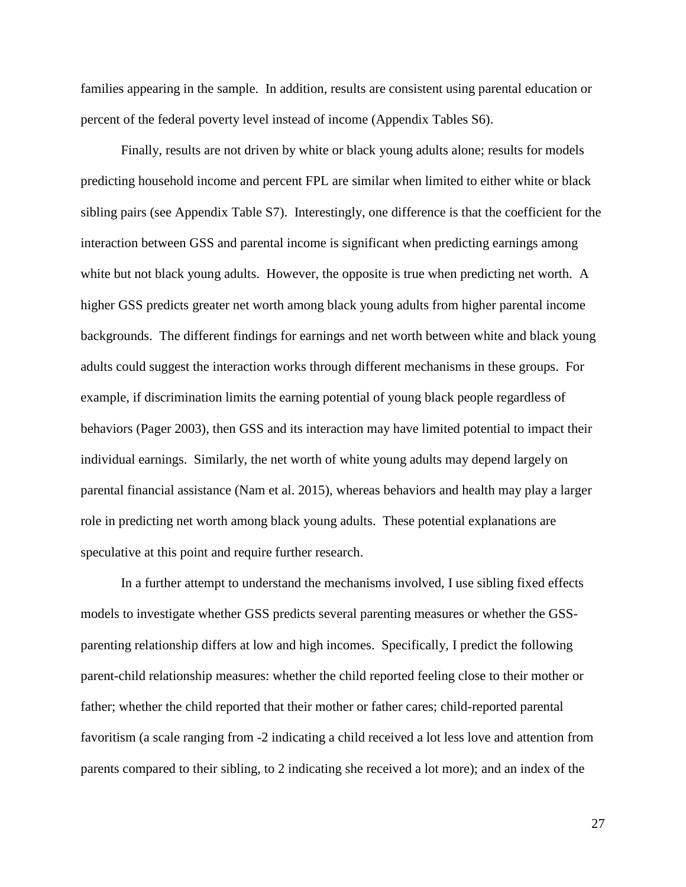families appearing in the sample. In addition, results are consistent using parental education or percent of the federal poverty level instead of income (Appendix Tables S6).

Finally, results are not driven by white or black young adults alone; results for models predicting household income and percent FPL are similar when limited to either white or black sibling pairs (see Appendix Table S7). Interestingly, one difference is that the coefficient for the interaction between GSS and parental income is significant when predicting earnings among white but not black young adults. However, the opposite is true when predicting net worth. A higher GSS predicts greater net worth among black young adults from higher parental income backgrounds. The different findings for earnings and net worth between white and black young adults could suggest the interaction works through different mechanisms in these groups. For example, if discrimination limits the earning potential of young black people regardless of behaviors (Pager 2003), then GSS and its interaction may have limited potential to impact their individual earnings. Similarly, the net worth of white young adults may depend largely on parental financial assistance (Nam et al. 2015), whereas behaviors and health may play a larger role in predicting net worth among black young adults. These potential explanations are speculative at this point and require further research.

In a further attempt to understand the mechanisms involved, I use sibling fixed effects models to investigate whether GSS predicts several parenting measures or whether the GSSparenting relationship differs at low and high incomes. Specifically, I predict the following parent-child relationship measures: whether the child reported feeling close to their mother or father; whether the child reported that their mother or father cares; child-reported parental favoritism (a scale ranging from -2 indicating a child received a lot less love and attention from parents compared to their sibling, to 2 indicating she received a lot more); and an index of the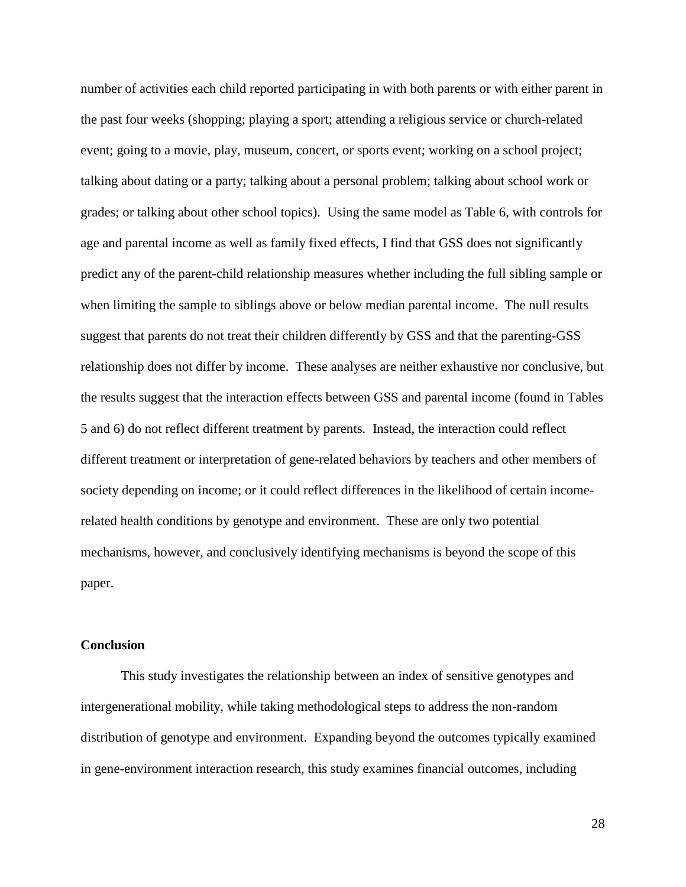number of activities each child reported participating in with both parents or with either parent in the past four weeks (shopping; playing a sport; attending a religious service or church-related event; going to a movie, play, museum, concert, or sports event; working on a school project; talking about dating or a party; talking about a personal problem; talking about school work or grades; or talking about other school topics). Using the same model as Table 6, with controls for age and parental income as well as family fixed effects, I find that GSS does not significantly predict any of the parent-child relationship measures whether including the full sibling sample or when limiting the sample to siblings above or below median parental income. The null results suggest that parents do not treat their children differently by GSS and that the parenting-GSS relationship does not differ by income. These analyses are neither exhaustive nor conclusive, but the results suggest that the interaction effects between GSS and parental income (found in Tables 5 and 6) do not reflect different treatment by parents. Instead, the interaction could reflect different treatment or interpretation of gene-related behaviors by teachers and other members of society depending on income; or it could reflect differences in the likelihood of certain incomerelated health conditions by genotype and environment. These are only two potential mechanisms, however, and conclusively identifying mechanisms is beyond the scope of this paper.

#### **Conclusion**

This study investigates the relationship between an index of sensitive genotypes and intergenerational mobility, while taking methodological steps to address the non-random distribution of genotype and environment. Expanding beyond the outcomes typically examined in gene-environment interaction research, this study examines financial outcomes, including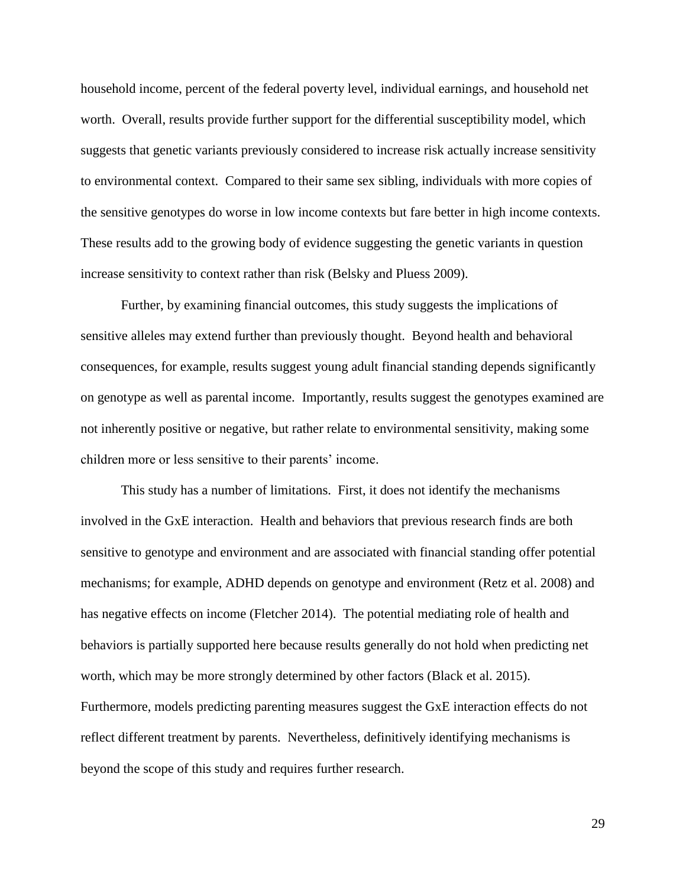household income, percent of the federal poverty level, individual earnings, and household net worth. Overall, results provide further support for the differential susceptibility model, which suggests that genetic variants previously considered to increase risk actually increase sensitivity to environmental context. Compared to their same sex sibling, individuals with more copies of the sensitive genotypes do worse in low income contexts but fare better in high income contexts. These results add to the growing body of evidence suggesting the genetic variants in question increase sensitivity to context rather than risk (Belsky and Pluess 2009).

Further, by examining financial outcomes, this study suggests the implications of sensitive alleles may extend further than previously thought. Beyond health and behavioral consequences, for example, results suggest young adult financial standing depends significantly on genotype as well as parental income. Importantly, results suggest the genotypes examined are not inherently positive or negative, but rather relate to environmental sensitivity, making some children more or less sensitive to their parents' income.

This study has a number of limitations. First, it does not identify the mechanisms involved in the GxE interaction. Health and behaviors that previous research finds are both sensitive to genotype and environment and are associated with financial standing offer potential mechanisms; for example, ADHD depends on genotype and environment (Retz et al. 2008) and has negative effects on income (Fletcher 2014). The potential mediating role of health and behaviors is partially supported here because results generally do not hold when predicting net worth, which may be more strongly determined by other factors (Black et al. 2015). Furthermore, models predicting parenting measures suggest the GxE interaction effects do not reflect different treatment by parents. Nevertheless, definitively identifying mechanisms is beyond the scope of this study and requires further research.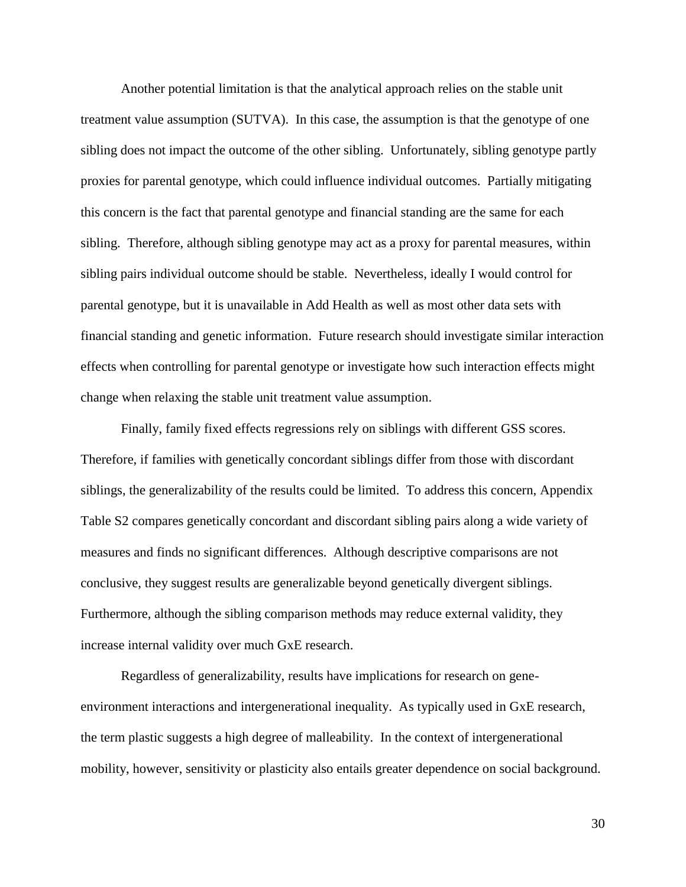Another potential limitation is that the analytical approach relies on the stable unit treatment value assumption (SUTVA). In this case, the assumption is that the genotype of one sibling does not impact the outcome of the other sibling. Unfortunately, sibling genotype partly proxies for parental genotype, which could influence individual outcomes. Partially mitigating this concern is the fact that parental genotype and financial standing are the same for each sibling. Therefore, although sibling genotype may act as a proxy for parental measures, within sibling pairs individual outcome should be stable. Nevertheless, ideally I would control for parental genotype, but it is unavailable in Add Health as well as most other data sets with financial standing and genetic information. Future research should investigate similar interaction effects when controlling for parental genotype or investigate how such interaction effects might change when relaxing the stable unit treatment value assumption.

Finally, family fixed effects regressions rely on siblings with different GSS scores. Therefore, if families with genetically concordant siblings differ from those with discordant siblings, the generalizability of the results could be limited. To address this concern, Appendix Table S2 compares genetically concordant and discordant sibling pairs along a wide variety of measures and finds no significant differences. Although descriptive comparisons are not conclusive, they suggest results are generalizable beyond genetically divergent siblings. Furthermore, although the sibling comparison methods may reduce external validity, they increase internal validity over much GxE research.

Regardless of generalizability, results have implications for research on geneenvironment interactions and intergenerational inequality. As typically used in GxE research, the term plastic suggests a high degree of malleability. In the context of intergenerational mobility, however, sensitivity or plasticity also entails greater dependence on social background.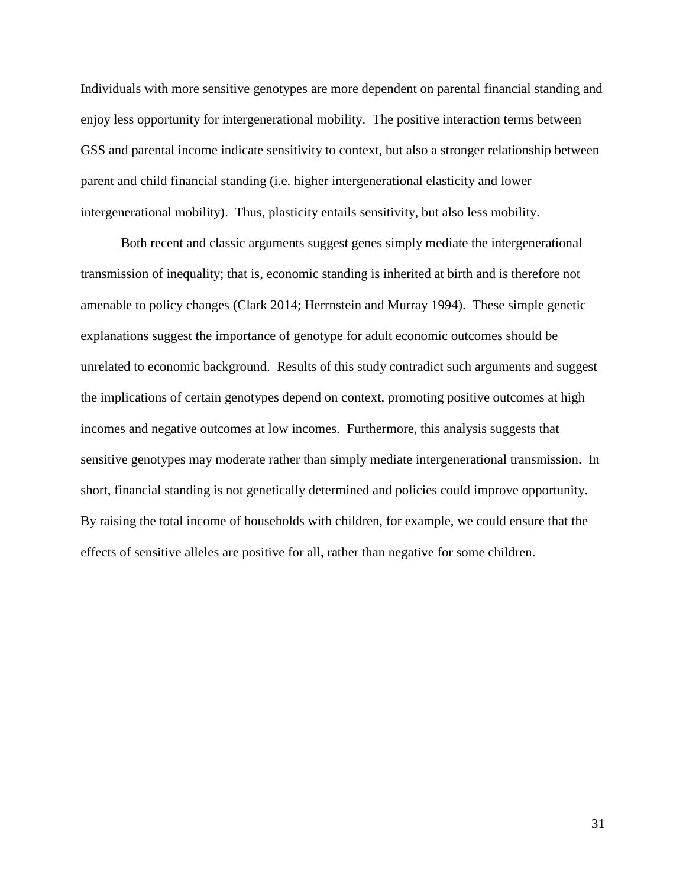Individuals with more sensitive genotypes are more dependent on parental financial standing and enjoy less opportunity for intergenerational mobility. The positive interaction terms between GSS and parental income indicate sensitivity to context, but also a stronger relationship between parent and child financial standing (i.e. higher intergenerational elasticity and lower intergenerational mobility). Thus, plasticity entails sensitivity, but also less mobility.

Both recent and classic arguments suggest genes simply mediate the intergenerational transmission of inequality; that is, economic standing is inherited at birth and is therefore not amenable to policy changes (Clark 2014; Herrnstein and Murray 1994). These simple genetic explanations suggest the importance of genotype for adult economic outcomes should be unrelated to economic background. Results of this study contradict such arguments and suggest the implications of certain genotypes depend on context, promoting positive outcomes at high incomes and negative outcomes at low incomes. Furthermore, this analysis suggests that sensitive genotypes may moderate rather than simply mediate intergenerational transmission. In short, financial standing is not genetically determined and policies could improve opportunity. By raising the total income of households with children, for example, we could ensure that the effects of sensitive alleles are positive for all, rather than negative for some children.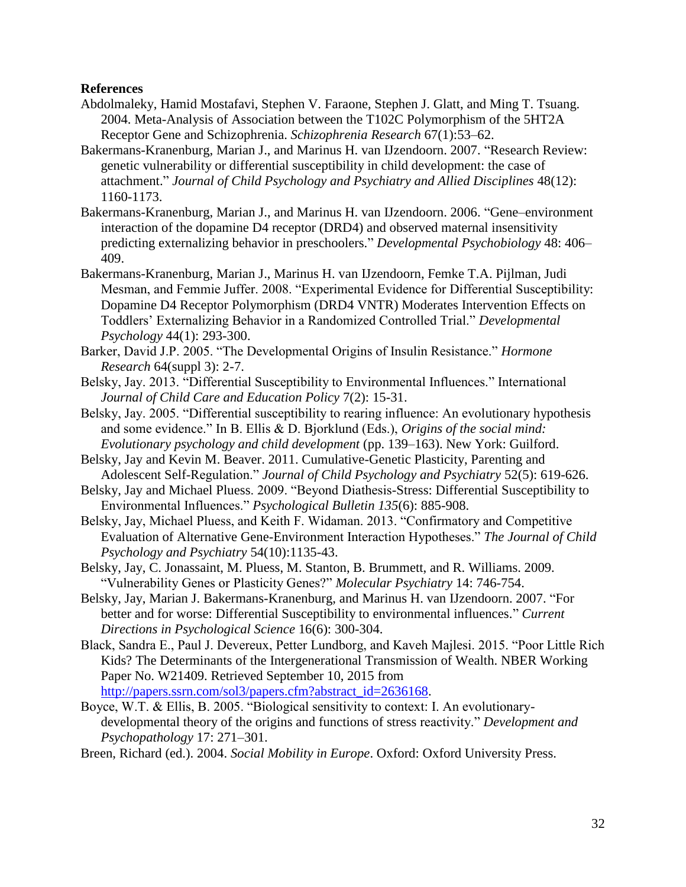# **References**

- Abdolmaleky, Hamid Mostafavi, Stephen V. Faraone, Stephen J. Glatt, and Ming T. Tsuang. 2004. Meta-Analysis of Association between the T102C Polymorphism of the 5HT2A Receptor Gene and Schizophrenia. *Schizophrenia Research* 67(1):53–62.
- Bakermans-Kranenburg, Marian J., and Marinus H. van IJzendoorn. 2007. "Research Review: genetic vulnerability or differential susceptibility in child development: the case of attachment." *Journal of Child Psychology and Psychiatry and Allied Disciplines* 48(12): 1160-1173.
- Bakermans-Kranenburg, Marian J., and Marinus H. van IJzendoorn. 2006. "Gene–environment interaction of the dopamine D4 receptor (DRD4) and observed maternal insensitivity predicting externalizing behavior in preschoolers." *Developmental Psychobiology* 48: 406– 409.
- Bakermans-Kranenburg, Marian J., Marinus H. van IJzendoorn, Femke T.A. Pijlman, Judi Mesman, and Femmie Juffer. 2008. "Experimental Evidence for Differential Susceptibility: Dopamine D4 Receptor Polymorphism (DRD4 VNTR) Moderates Intervention Effects on Toddlers' Externalizing Behavior in a Randomized Controlled Trial." *Developmental Psychology* 44(1): 293-300.
- Barker, David J.P. 2005. "The Developmental Origins of Insulin Resistance." *Hormone Research* 64(suppl 3): 2-7.
- Belsky, Jay. 2013. "Differential Susceptibility to Environmental Influences." International *Journal of Child Care and Education Policy* 7(2): 15-31.
- Belsky, Jay. 2005. "Differential susceptibility to rearing influence: An evolutionary hypothesis and some evidence." In B. Ellis & D. Bjorklund (Eds.), *Origins of the social mind: Evolutionary psychology and child development* (pp. 139–163). New York: Guilford.
- Belsky, Jay and Kevin M. Beaver. 2011. Cumulative-Genetic Plasticity, Parenting and Adolescent Self-Regulation." *Journal of Child Psychology and Psychiatry* 52(5): 619-626.
- Belsky, Jay and Michael Pluess. 2009. "Beyond Diathesis-Stress: Differential Susceptibility to Environmental Influences." *Psychological Bulletin 135*(6): 885-908.
- Belsky, Jay, Michael Pluess, and Keith F. Widaman. 2013. "Confirmatory and Competitive Evaluation of Alternative Gene-Environment Interaction Hypotheses." *The Journal of Child Psychology and Psychiatry* 54(10):1135-43.
- Belsky, Jay, C. Jonassaint, M. Pluess, M. Stanton, B. Brummett, and R. Williams. 2009. "Vulnerability Genes or Plasticity Genes?" *Molecular Psychiatry* 14: 746-754.
- Belsky, Jay, Marian J. Bakermans-Kranenburg, and Marinus H. van IJzendoorn. 2007. "For better and for worse: Differential Susceptibility to environmental influences." *Current Directions in Psychological Science* 16(6): 300-304.
- Black, Sandra E., Paul J. Devereux, Petter Lundborg, and Kaveh Majlesi. 2015. "Poor Little Rich Kids? The Determinants of the Intergenerational Transmission of Wealth. NBER Working Paper No. W21409. Retrieved September 10, 2015 from [http://papers.ssrn.com/sol3/papers.cfm?abstract\\_id=2636168.](http://papers.ssrn.com/sol3/papers.cfm?abstract_id=2636168)
- Boyce, W.T. & Ellis, B. 2005. "Biological sensitivity to context: I. An evolutionarydevelopmental theory of the origins and functions of stress reactivity." *Development and Psychopathology* 17: 271–301.
- Breen, Richard (ed.). 2004. *Social Mobility in Europe*. Oxford: Oxford University Press.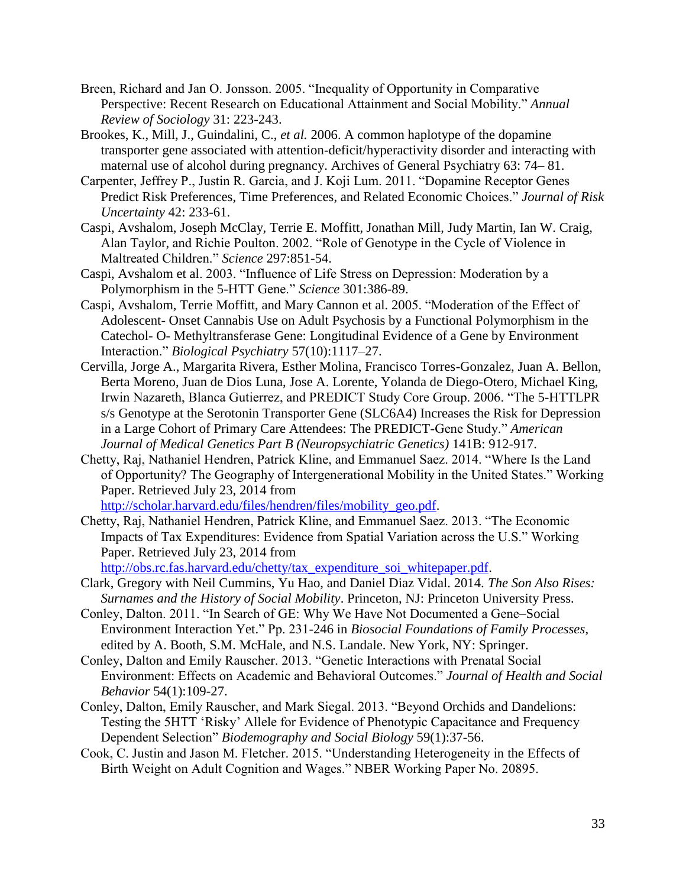- Breen, Richard and Jan O. Jonsson. 2005. "Inequality of Opportunity in Comparative Perspective: Recent Research on Educational Attainment and Social Mobility." *Annual Review of Sociology* 31: 223-243.
- Brookes, K., Mill, J., Guindalini, C., *et al.* 2006. A common haplotype of the dopamine transporter gene associated with attention-deficit/hyperactivity disorder and interacting with maternal use of alcohol during pregnancy. Archives of General Psychiatry 63: 74– 81.
- Carpenter, Jeffrey P., Justin R. Garcia, and J. Koji Lum. 2011. "Dopamine Receptor Genes Predict Risk Preferences, Time Preferences, and Related Economic Choices." *Journal of Risk Uncertainty* 42: 233-61.
- Caspi, Avshalom, Joseph McClay, Terrie E. Moffitt, Jonathan Mill, Judy Martin, Ian W. Craig, Alan Taylor, and Richie Poulton. 2002. "Role of Genotype in the Cycle of Violence in Maltreated Children." *Science* 297:851-54.
- Caspi, Avshalom et al. 2003. "Influence of Life Stress on Depression: Moderation by a Polymorphism in the 5-HTT Gene." *Science* 301:386-89.
- Caspi, Avshalom, Terrie Moffitt, and Mary Cannon et al. 2005. "Moderation of the Effect of Adolescent- Onset Cannabis Use on Adult Psychosis by a Functional Polymorphism in the Catechol- O- Methyltransferase Gene: Longitudinal Evidence of a Gene by Environment Interaction." *Biological Psychiatry* 57(10):1117–27.
- Cervilla, Jorge A., Margarita Rivera, Esther Molina, Francisco Torres-Gonzalez, Juan A. Bellon, Berta Moreno, Juan de Dios Luna, Jose A. Lorente, Yolanda de Diego-Otero, Michael King, Irwin Nazareth, Blanca Gutierrez, and PREDICT Study Core Group. 2006. "The 5-HTTLPR s/s Genotype at the Serotonin Transporter Gene (SLC6A4) Increases the Risk for Depression in a Large Cohort of Primary Care Attendees: The PREDICT-Gene Study." *American Journal of Medical Genetics Part B (Neuropsychiatric Genetics)* 141B: 912-917.
- Chetty, Raj, Nathaniel Hendren, Patrick Kline, and Emmanuel Saez. 2014. "Where Is the Land of Opportunity? The Geography of Intergenerational Mobility in the United States." Working Paper. Retrieved July 23, 2014 from [http://scholar.harvard.edu/files/hendren/files/mobility\\_geo.pdf.](http://scholar.harvard.edu/files/hendren/files/mobility_geo.pdf)
- Chetty, Raj, Nathaniel Hendren, Patrick Kline, and Emmanuel Saez. 2013. "The Economic Impacts of Tax Expenditures: Evidence from Spatial Variation across the U.S." Working Paper. Retrieved July 23, 2014 from

[http://obs.rc.fas.harvard.edu/chetty/tax\\_expenditure\\_soi\\_whitepaper.pdf.](http://obs.rc.fas.harvard.edu/chetty/tax_expenditure_soi_whitepaper.pdf)

- Clark, Gregory with Neil Cummins, Yu Hao, and Daniel Diaz Vidal. 2014. *The Son Also Rises: Surnames and the History of Social Mobility*. Princeton, NJ: Princeton University Press.
- Conley, Dalton. 2011. "In Search of GE: Why We Have Not Documented a Gene–Social Environment Interaction Yet." Pp. 231-246 in *Biosocial Foundations of Family Processes*, edited by A. Booth, S.M. McHale, and N.S. Landale. New York, NY: Springer.
- Conley, Dalton and Emily Rauscher. 2013. "Genetic Interactions with Prenatal Social Environment: Effects on Academic and Behavioral Outcomes." *Journal of Health and Social Behavior* 54(1):109-27.
- Conley, Dalton, Emily Rauscher, and Mark Siegal. 2013. "Beyond Orchids and Dandelions: Testing the 5HTT 'Risky' Allele for Evidence of Phenotypic Capacitance and Frequency Dependent Selection" *Biodemography and Social Biology* 59(1):37-56.
- Cook, C. Justin and Jason M. Fletcher. 2015. "Understanding Heterogeneity in the Effects of Birth Weight on Adult Cognition and Wages." NBER Working Paper No. 20895.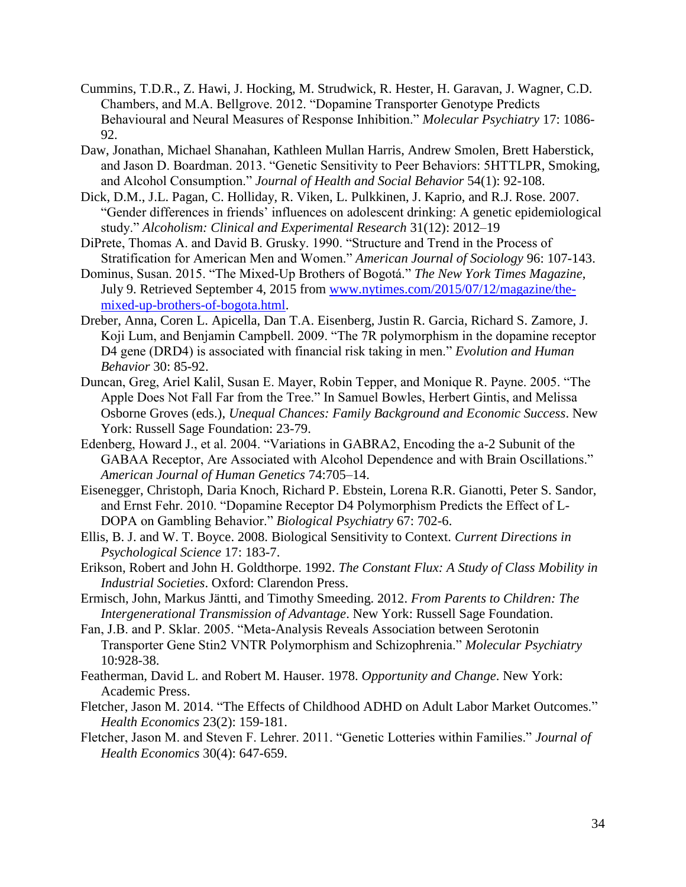- Cummins, T.D.R., Z. Hawi, J. Hocking, M. Strudwick, R. Hester, H. Garavan, J. Wagner, C.D. Chambers, and M.A. Bellgrove. 2012. "Dopamine Transporter Genotype Predicts Behavioural and Neural Measures of Response Inhibition." *Molecular Psychiatry* 17: 1086- 92.
- Daw, Jonathan, Michael Shanahan, Kathleen Mullan Harris, Andrew Smolen, Brett Haberstick, and Jason D. Boardman. 2013. "Genetic Sensitivity to Peer Behaviors: 5HTTLPR, Smoking, and Alcohol Consumption." *Journal of Health and Social Behavior* 54(1): 92-108.
- Dick, D.M., J.L. Pagan, C. Holliday, R. Viken, L. Pulkkinen, J. Kaprio, and R.J. Rose. 2007. "Gender differences in friends' influences on adolescent drinking: A genetic epidemiological study." *Alcoholism: Clinical and Experimental Research* 31(12): 2012–19
- DiPrete, Thomas A. and David B. Grusky. 1990. "Structure and Trend in the Process of Stratification for American Men and Women." *American Journal of Sociology* 96: 107-143.
- Dominus, Susan. 2015. "The Mixed-Up Brothers of Bogotá." *The New York Times Magazine*, July 9. Retrieved September 4, 2015 from [www.nytimes.com/2015/07/12/magazine/the](http://www.nytimes.com/2015/07/12/magazine/the-mixed-up-brothers-of-bogota.html)[mixed-up-brothers-of-bogota.html.](http://www.nytimes.com/2015/07/12/magazine/the-mixed-up-brothers-of-bogota.html)
- Dreber, Anna, Coren L. Apicella, Dan T.A. Eisenberg, Justin R. Garcia, Richard S. Zamore, J. Koji Lum, and Benjamin Campbell. 2009. "The 7R polymorphism in the dopamine receptor D4 gene (DRD4) is associated with financial risk taking in men." *Evolution and Human Behavior* 30: 85-92.
- Duncan, Greg, Ariel Kalil, Susan E. Mayer, Robin Tepper, and Monique R. Payne. 2005. "The Apple Does Not Fall Far from the Tree." In Samuel Bowles, Herbert Gintis, and Melissa Osborne Groves (eds.), *Unequal Chances: Family Background and Economic Success*. New York: Russell Sage Foundation: 23-79.
- Edenberg, Howard J., et al. 2004. "Variations in GABRA2, Encoding the a-2 Subunit of the GABAA Receptor, Are Associated with Alcohol Dependence and with Brain Oscillations." *American Journal of Human Genetics* 74:705–14.
- Eisenegger, Christoph, Daria Knoch, Richard P. Ebstein, Lorena R.R. Gianotti, Peter S. Sandor, and Ernst Fehr. 2010. "Dopamine Receptor D4 Polymorphism Predicts the Effect of L-DOPA on Gambling Behavior." *Biological Psychiatry* 67: 702-6.
- Ellis, B. J. and W. T. Boyce. 2008. Biological Sensitivity to Context. *Current Directions in Psychological Science* 17: 183-7.
- Erikson, Robert and John H. Goldthorpe. 1992. *The Constant Flux: A Study of Class Mobility in Industrial Societies*. Oxford: Clarendon Press.
- Ermisch, John, Markus Jäntti, and Timothy Smeeding. 2012. *From Parents to Children: The Intergenerational Transmission of Advantage*. New York: Russell Sage Foundation.
- Fan, J.B. and P. Sklar. 2005. "Meta-Analysis Reveals Association between Serotonin Transporter Gene Stin2 VNTR Polymorphism and Schizophrenia." *Molecular Psychiatry* 10:928-38.
- Featherman, David L. and Robert M. Hauser. 1978. *Opportunity and Change*. New York: Academic Press.
- Fletcher, Jason M. 2014. ["The Effects of Childhood ADHD on Adult Labor Market Outcomes."](http://ideas.repec.org/a/wly/hlthec/v23y2014i2p159-181.html) *Health Economics* 23(2): 159-181.
- Fletcher, Jason M. and Steven F. Lehrer. 2011. "Genetic Lotteries within Families." *Journal of Health Economics* 30(4): 647-659.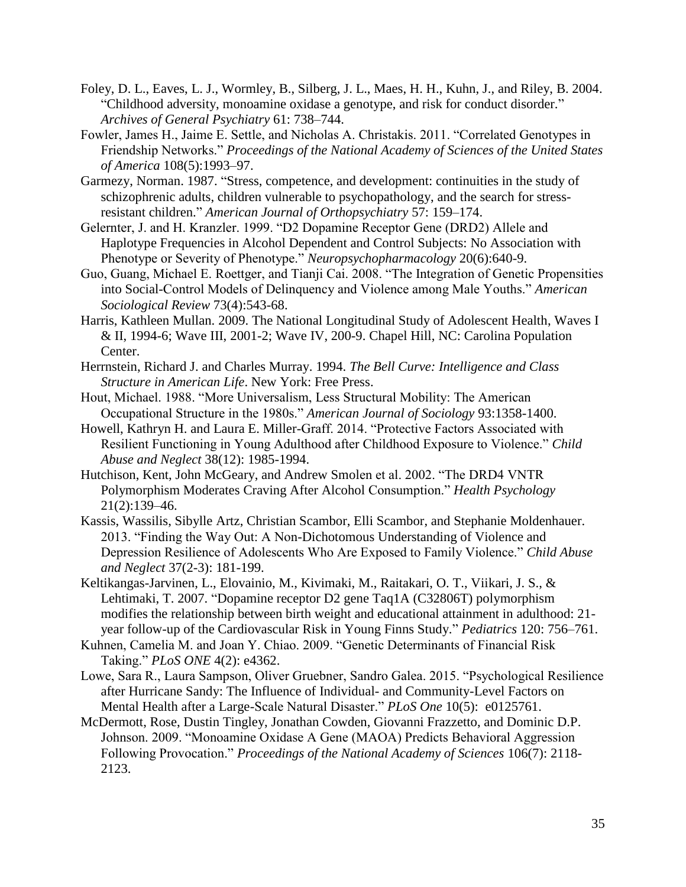- Foley, D. L., Eaves, L. J., Wormley, B., Silberg, J. L., Maes, H. H., Kuhn, J., and Riley, B. 2004. "Childhood adversity, monoamine oxidase a genotype, and risk for conduct disorder." *Archives of General Psychiatry* 61: 738–744.
- Fowler, James H., Jaime E. Settle, and Nicholas A. Christakis. 2011. "Correlated Genotypes in Friendship Networks." *Proceedings of the National Academy of Sciences of the United States of America* 108(5):1993–97.
- Garmezy, Norman. 1987. "Stress, competence, and development: continuities in the study of schizophrenic adults, children vulnerable to psychopathology, and the search for stressresistant children." *American Journal of Orthopsychiatry* 57: 159–174.
- Gelernter, J. and H. Kranzler. 1999. "D2 Dopamine Receptor Gene (DRD2) Allele and Haplotype Frequencies in Alcohol Dependent and Control Subjects: No Association with Phenotype or Severity of Phenotype." *Neuropsychopharmacology* 20(6):640-9.
- Guo, Guang, Michael E. Roettger, and Tianji Cai. 2008. "The Integration of Genetic Propensities into Social-Control Models of Delinquency and Violence among Male Youths." *American Sociological Review* 73(4):543-68.
- Harris, Kathleen Mullan. 2009. The National Longitudinal Study of Adolescent Health, Waves I & II, 1994-6; Wave III, 2001-2; Wave IV, 200-9. Chapel Hill, NC: Carolina Population Center.
- Herrnstein, Richard J. and Charles Murray. 1994. *The Bell Curve: Intelligence and Class Structure in American Life*. New York: Free Press.
- Hout, Michael. 1988. "More Universalism, Less Structural Mobility: The American Occupational Structure in the 1980s." *American Journal of Sociology* 93:1358-1400.
- Howell, Kathryn H. and Laura E. Miller-Graff. 2014. "Protective Factors Associated with Resilient Functioning in Young Adulthood after Childhood Exposure to Violence." *Child Abuse and Neglect* 38(12): 1985-1994.
- Hutchison, Kent, John McGeary, and Andrew Smolen et al. 2002. "The DRD4 VNTR Polymorphism Moderates Craving After Alcohol Consumption." *Health Psychology* 21(2):139–46.
- Kassis, Wassilis, Sibylle Artz, Christian Scambor, Elli Scambor, and Stephanie Moldenhauer. 2013. "Finding the Way Out: A Non-Dichotomous Understanding of Violence and Depression Resilience of Adolescents Who Are Exposed to Family Violence." *Child Abuse and Neglect* 37(2-3): 181-199.
- Keltikangas-Jarvinen, L., Elovainio, M., Kivimaki, M., Raitakari, O. T., Viikari, J. S., & Lehtimaki, T. 2007. "Dopamine receptor D2 gene Taq1A (C32806T) polymorphism modifies the relationship between birth weight and educational attainment in adulthood: 21 year follow-up of the Cardiovascular Risk in Young Finns Study." *Pediatrics* 120: 756–761.
- Kuhnen, Camelia M. and Joan Y. Chiao. 2009. "Genetic Determinants of Financial Risk Taking." *PLoS ONE* 4(2): e4362.
- Lowe, Sara R., Laura Sampson, Oliver Gruebner, Sandro Galea. 2015. "Psychological Resilience after Hurricane Sandy: The Influence of Individual- and Community-Level Factors on Mental Health after a Large-Scale Natural Disaster." *PLoS One* 10(5): e0125761.
- McDermott, Rose, Dustin Tingley, Jonathan Cowden, Giovanni Frazzetto, and Dominic D.P. Johnson. 2009. "Monoamine Oxidase A Gene (MAOA) Predicts Behavioral Aggression Following Provocation." *Proceedings of the National Academy of Sciences* 106(7): 2118- 2123.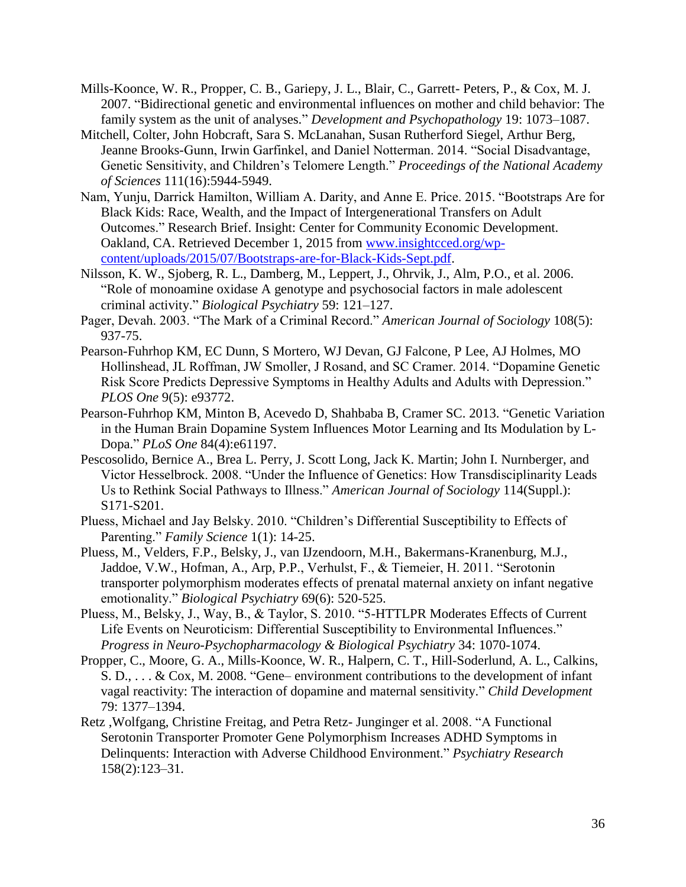- Mills-Koonce, W. R., Propper, C. B., Gariepy, J. L., Blair, C., Garrett- Peters, P., & Cox, M. J. 2007. "Bidirectional genetic and environmental influences on mother and child behavior: The family system as the unit of analyses." *Development and Psychopathology* 19: 1073–1087.
- Mitchell, Colter, John Hobcraft, Sara S. McLanahan, Susan Rutherford Siegel, Arthur Berg, Jeanne Brooks-Gunn, Irwin Garfinkel, and Daniel Notterman. 2014. "Social Disadvantage, Genetic Sensitivity, and Children's Telomere Length." *Proceedings of the National Academy of Sciences* 111(16):5944-5949.
- Nam, Yunju, Darrick Hamilton, William A. Darity, and Anne E. Price. 2015. "Bootstraps Are for Black Kids: Race, Wealth, and the Impact of Intergenerational Transfers on Adult Outcomes." Research Brief. Insight: Center for Community Economic Development. Oakland, CA. Retrieved December 1, 2015 from [www.insightcced.org/wp](http://www.insightcced.org/wp-content/uploads/2015/07/Bootstraps-are-for-Black-Kids-Sept.pdf)[content/uploads/2015/07/Bootstraps-are-for-Black-Kids-Sept.pdf.](http://www.insightcced.org/wp-content/uploads/2015/07/Bootstraps-are-for-Black-Kids-Sept.pdf)
- Nilsson, K. W., Sjoberg, R. L., Damberg, M., Leppert, J., Ohrvik, J., Alm, P.O., et al. 2006. "Role of monoamine oxidase A genotype and psychosocial factors in male adolescent criminal activity." *Biological Psychiatry* 59: 121–127.
- Pager, Devah. 2003. "The Mark of a Criminal Record." *American Journal of Sociology* 108(5): 937-75.
- Pearson-Fuhrhop KM, EC Dunn, S Mortero, WJ Devan, GJ Falcone, P Lee, AJ Holmes, MO Hollinshead, JL Roffman, JW Smoller, J Rosand, and SC Cramer. 2014. "Dopamine Genetic Risk Score Predicts Depressive Symptoms in Healthy Adults and Adults with Depression." *PLOS One* 9(5): e93772.
- Pearson-Fuhrhop KM, Minton B, Acevedo D, Shahbaba B, Cramer SC. 2013. "Genetic Variation in the Human Brain Dopamine System Influences Motor Learning and Its Modulation by L-Dopa." *PLoS One* 84(4):e61197.
- Pescosolido, Bernice A., Brea L. Perry, J. Scott Long, Jack K. Martin; John I. Nurnberger, and Victor Hesselbrock. 2008. "Under the Influence of Genetics: How Transdisciplinarity Leads Us to Rethink Social Pathways to Illness." *American Journal of Sociology* 114(Suppl.): S171-S201.
- Pluess, Michael and Jay Belsky. 2010. "Children's Differential Susceptibility to Effects of Parenting." *Family Science* 1(1): 14-25.
- Pluess, M., Velders, F.P., Belsky, J., van IJzendoorn, M.H., Bakermans-Kranenburg, M.J., Jaddoe, V.W., Hofman, A., Arp, P.P., Verhulst, F., & Tiemeier, H. 2011. "Serotonin transporter polymorphism moderates effects of prenatal maternal anxiety on infant negative emotionality." *Biological Psychiatry* 69(6): 520-525.
- Pluess, M., Belsky, J., Way, B., & Taylor, S. 2010. "5-HTTLPR Moderates Effects of Current Life Events on Neuroticism: Differential Susceptibility to Environmental Influences." *Progress in Neuro-Psychopharmacology & Biological Psychiatry* 34: 1070-1074.
- Propper, C., Moore, G. A., Mills-Koonce, W. R., Halpern, C. T., Hill-Soderlund, A. L., Calkins, S. D., . . . & Cox, M. 2008. "Gene– environment contributions to the development of infant vagal reactivity: The interaction of dopamine and maternal sensitivity." *Child Development*  79: 1377–1394.
- Retz ,Wolfgang, Christine Freitag, and Petra Retz- Junginger et al. 2008. "A Functional Serotonin Transporter Promoter Gene Polymorphism Increases ADHD Symptoms in Delinquents: Interaction with Adverse Childhood Environment." *Psychiatry Research* 158(2):123–31.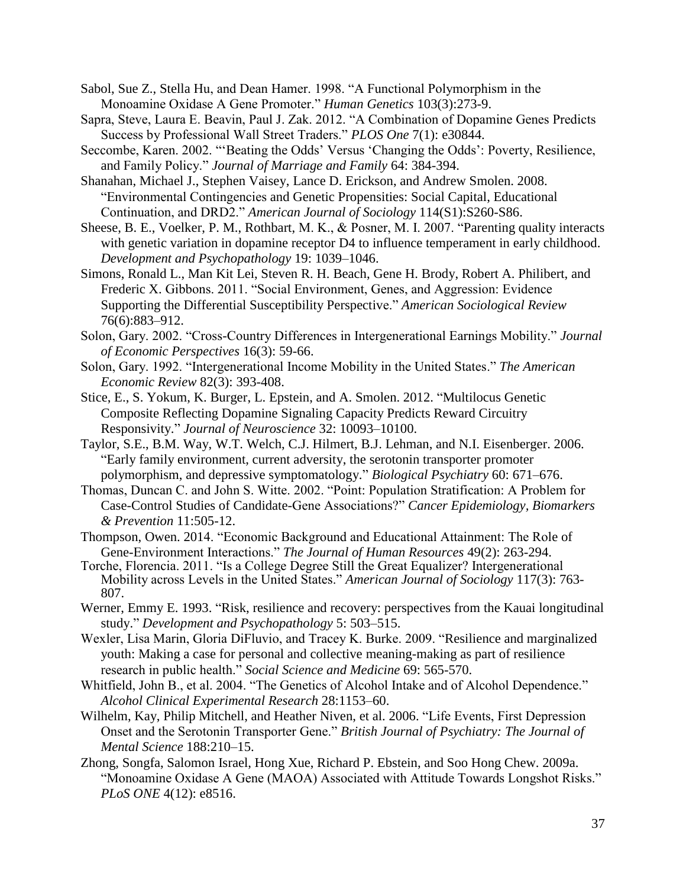- Sabol, Sue Z., Stella Hu, and Dean Hamer. 1998. "A Functional Polymorphism in the Monoamine Oxidase A Gene Promoter." *Human Genetics* 103(3):273-9.
- Sapra, Steve, Laura E. Beavin, Paul J. Zak. 2012. "A Combination of Dopamine Genes Predicts Success by Professional Wall Street Traders." *PLOS One* 7(1): e30844.
- Seccombe, Karen. 2002. "'Beating the Odds' Versus 'Changing the Odds': Poverty, Resilience, and Family Policy." *Journal of Marriage and Family* 64: 384-394.
- Shanahan, Michael J., Stephen Vaisey, Lance D. Erickson, and Andrew Smolen. 2008. "Environmental Contingencies and Genetic Propensities: Social Capital, Educational Continuation, and DRD2." *American Journal of Sociology* 114(S1):S260-S86.
- Sheese, B. E., Voelker, P. M., Rothbart, M. K., & Posner, M. I. 2007. "Parenting quality interacts with genetic variation in dopamine receptor D4 to influence temperament in early childhood. *Development and Psychopathology* 19: 1039–1046.
- Simons, Ronald L., Man Kit Lei, Steven R. H. Beach, Gene H. Brody, Robert A. Philibert, and Frederic X. Gibbons. 2011. "Social Environment, Genes, and Aggression: Evidence Supporting the Differential Susceptibility Perspective." *American Sociological Review*  76(6):883–912.
- Solon, Gary. 2002. "Cross-Country Differences in Intergenerational Earnings Mobility." *Journal of Economic Perspectives* 16(3): 59-66.
- Solon, Gary. 1992. "Intergenerational Income Mobility in the United States." *The American Economic Review* 82(3): 393-408.
- Stice, E., S. Yokum, K. Burger, L. Epstein, and A. Smolen. 2012. "Multilocus Genetic Composite Reflecting Dopamine Signaling Capacity Predicts Reward Circuitry Responsivity." *Journal of Neuroscience* 32: 10093–10100.
- Taylor, S.E., B.M. Way, W.T. Welch, C.J. Hilmert, B.J. Lehman, and N.I. Eisenberger. 2006. "Early family environment, current adversity, the serotonin transporter promoter polymorphism, and depressive symptomatology." *Biological Psychiatry* 60: 671–676.
- Thomas, Duncan C. and John S. Witte. 2002. "Point: Population Stratification: A Problem for Case-Control Studies of Candidate-Gene Associations?" *Cancer Epidemiology, Biomarkers & Prevention* 11:505-12.
- Thompson, Owen. 2014. "Economic Background and Educational Attainment: The Role of Gene-Environment Interactions." *The Journal of Human Resources* 49(2): 263-294.
- Torche, Florencia. 2011. "Is a College Degree Still the Great Equalizer? Intergenerational Mobility across Levels in the United States." *American Journal of Sociology* 117(3): 763- 807.
- Werner, Emmy E. 1993. "Risk, resilience and recovery: perspectives from the Kauai longitudinal study." *Development and Psychopathology* 5: 503–515.
- Wexler, Lisa Marin, Gloria DiFluvio, and Tracey K. Burke. 2009. "Resilience and marginalized youth: Making a case for personal and collective meaning-making as part of resilience research in public health." *Social Science and Medicine* 69: 565-570.
- Whitfield, John B., et al. 2004. "The Genetics of Alcohol Intake and of Alcohol Dependence." *Alcohol Clinical Experimental Research* 28:1153–60.
- Wilhelm, Kay, Philip Mitchell, and Heather Niven, et al. 2006. "Life Events, First Depression Onset and the Serotonin Transporter Gene." *British Journal of Psychiatry: The Journal of Mental Science* 188:210–15.
- Zhong, Songfa, Salomon Israel, Hong Xue, Richard P. Ebstein, and Soo Hong Chew. 2009a. "Monoamine Oxidase A Gene (MAOA) Associated with Attitude Towards Longshot Risks." *PLoS ONE* 4(12): e8516.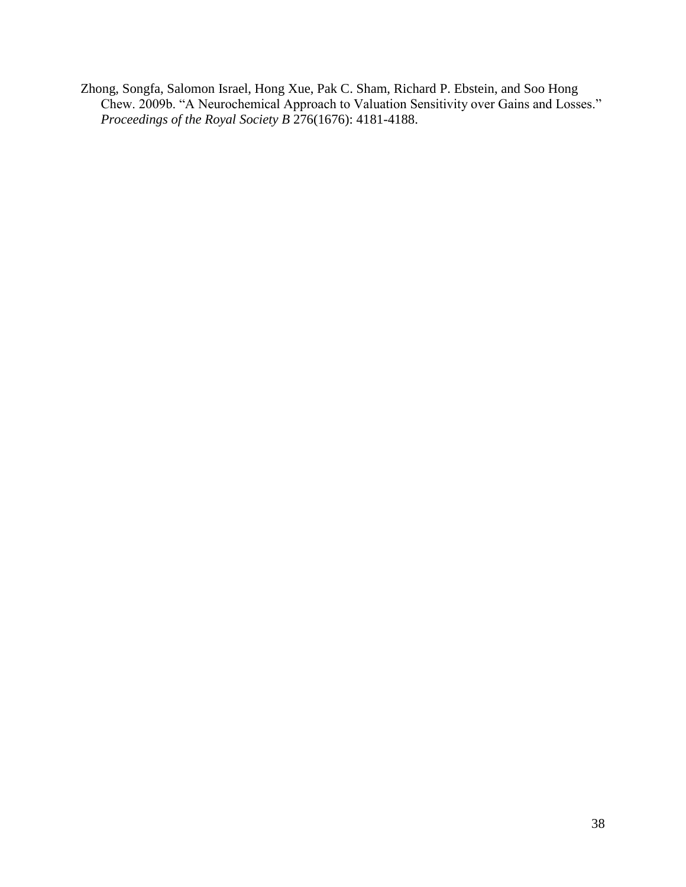Zhong, Songfa, Salomon Israel, Hong Xue, Pak C. Sham, Richard P. Ebstein, and Soo Hong Chew. 2009b. "A Neurochemical Approach to Valuation Sensitivity over Gains and Losses." *Proceedings of the Royal Society B* 276(1676): 4181-4188.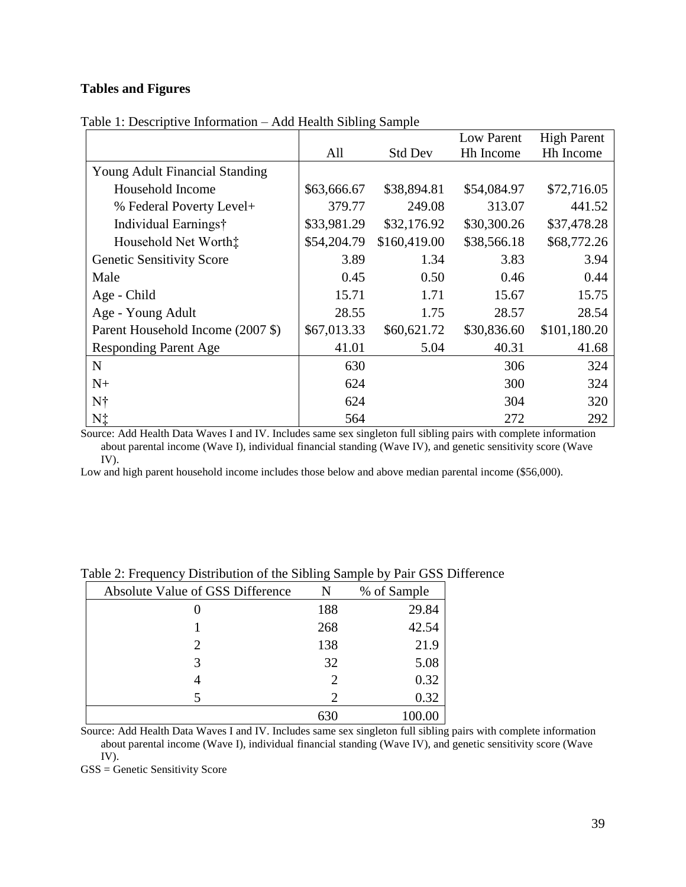# **Tables and Figures**

|                                       |             |                | Low Parent  | <b>High Parent</b> |
|---------------------------------------|-------------|----------------|-------------|--------------------|
|                                       | All         | <b>Std Dev</b> | Hh Income   | Hh Income          |
| <b>Young Adult Financial Standing</b> |             |                |             |                    |
| Household Income                      | \$63,666.67 | \$38,894.81    | \$54,084.97 | \$72,716.05        |
| % Federal Poverty Level+              | 379.77      | 249.08         | 313.07      | 441.52             |
| Individual Earnings†                  | \$33,981.29 | \$32,176.92    | \$30,300.26 | \$37,478.28        |
| Household Net Worth:                  | \$54,204.79 | \$160,419.00   | \$38,566.18 | \$68,772.26        |
| <b>Genetic Sensitivity Score</b>      | 3.89        | 1.34           | 3.83        | 3.94               |
| Male                                  | 0.45        | 0.50           | 0.46        | 0.44               |
| Age - Child                           | 15.71       | 1.71           | 15.67       | 15.75              |
| Age - Young Adult                     | 28.55       | 1.75           | 28.57       | 28.54              |
| Parent Household Income (2007 \$)     | \$67,013.33 | \$60,621.72    | \$30,836.60 | \$101,180.20       |
| <b>Responding Parent Age</b>          | 41.01       | 5.04           | 40.31       | 41.68              |
| $\mathbf N$                           | 630         |                | 306         | 324                |
| $N+$                                  | 624         |                | 300         | 324                |
| N†                                    | 624         |                | 304         | 320                |
| N‡                                    | 564         |                | 272         | 292                |

Table 1: Descriptive Information – Add Health Sibling Sample

Source: Add Health Data Waves I and IV. Includes same sex singleton full sibling pairs with complete information about parental income (Wave I), individual financial standing (Wave IV), and genetic sensitivity score (Wave IV).

Low and high parent household income includes those below and above median parental income (\$56,000).

| Absolute Value of GSS Difference | N                           | % of Sample |
|----------------------------------|-----------------------------|-------------|
|                                  | 188                         | 29.84       |
|                                  | 268                         | 42.54       |
| 2                                | 138                         | 21.9        |
|                                  | 32                          | 5.08        |
|                                  |                             | 0.32        |
|                                  | $\mathcal{D}_{\mathcal{L}}$ | 0.32        |
|                                  | 630                         |             |

Table 2: Frequency Distribution of the Sibling Sample by Pair GSS Difference

Source: Add Health Data Waves I and IV. Includes same sex singleton full sibling pairs with complete information about parental income (Wave I), individual financial standing (Wave IV), and genetic sensitivity score (Wave IV).

GSS = Genetic Sensitivity Score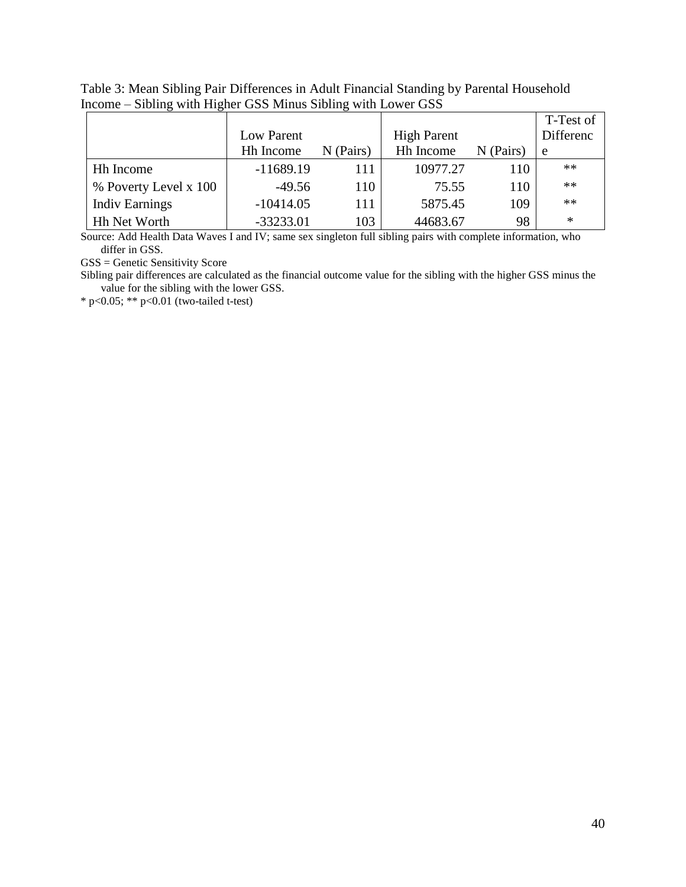| Table 3: Mean Sibling Pair Differences in Adult Financial Standing by Parental Household |  |
|------------------------------------------------------------------------------------------|--|
| Income – Sibling with Higher GSS Minus Sibling with Lower GSS                            |  |

|                       |                  |             |                    |           | T-Test of |
|-----------------------|------------------|-------------|--------------------|-----------|-----------|
|                       | Low Parent       |             | <b>High Parent</b> |           | Differenc |
|                       | <b>Hh</b> Income | $N$ (Pairs) | <b>Hh</b> Income   | N (Pairs) | e         |
| Hh Income             | $-11689.19$      | 111         | 10977.27           | 110       | $**$      |
| % Poverty Level x 100 | $-49.56$         | 110         | 75.55              | 110       | $**$      |
| <b>Indiv Earnings</b> | $-10414.05$      | 111         | 5875.45            | 109       | $**$      |
| <b>Hh Net Worth</b>   | $-33233.01$      | 103         | 44683.67           | 98        | ∗         |

Source: Add Health Data Waves I and IV; same sex singleton full sibling pairs with complete information, who differ in GSS.

GSS = Genetic Sensitivity Score

Sibling pair differences are calculated as the financial outcome value for the sibling with the higher GSS minus the value for the sibling with the lower GSS.

\* p<0.05; \*\* p<0.01 (two-tailed t-test)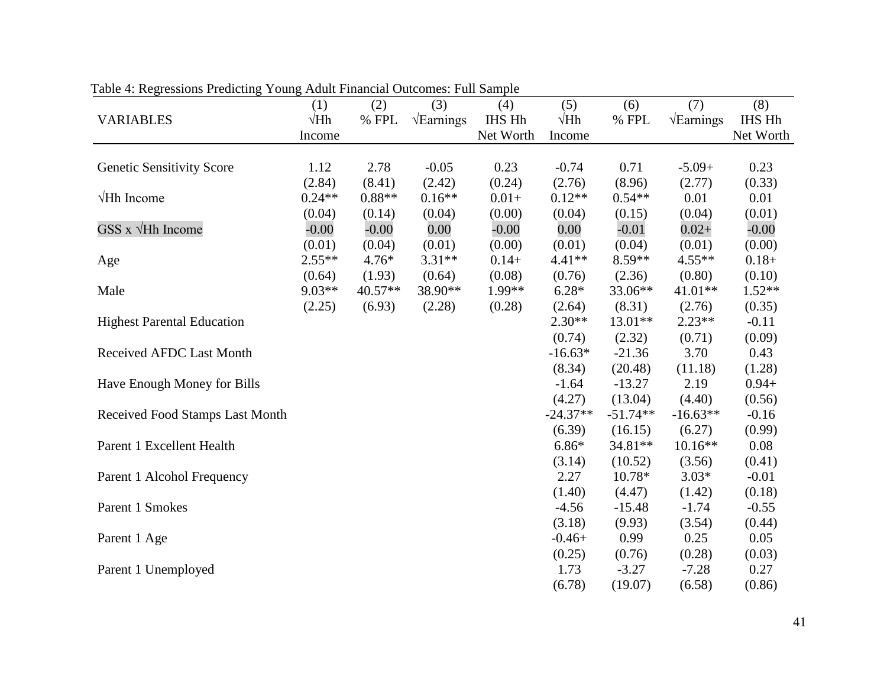|                                   | (1)         | (2)      | (3)                      | (4)       | (5)         | (6)        | (7)                      | (8)       |
|-----------------------------------|-------------|----------|--------------------------|-----------|-------------|------------|--------------------------|-----------|
| <b>VARIABLES</b>                  | $\sqrt{Hh}$ | $\%$ FPL | $\sqrt{\text{Earnings}}$ | IHS Hh    | $\sqrt{Hh}$ | % FPL      | $\sqrt{\text{Earnings}}$ | IHS Hh    |
|                                   | Income      |          |                          | Net Worth | Income      |            |                          | Net Worth |
|                                   |             |          |                          |           |             |            |                          |           |
| <b>Genetic Sensitivity Score</b>  | 1.12        | 2.78     | $-0.05$                  | 0.23      | $-0.74$     | 0.71       | $-5.09+$                 | 0.23      |
|                                   | (2.84)      | (8.41)   | (2.42)                   | (0.24)    | (2.76)      | (8.96)     | (2.77)                   | (0.33)    |
| $\forall$ Hh Income               | $0.24**$    | $0.88**$ | $0.16**$                 | $0.01+$   | $0.12**$    | $0.54**$   | 0.01                     | 0.01      |
|                                   | (0.04)      | (0.14)   | (0.04)                   | (0.00)    | (0.04)      | (0.15)     | (0.04)                   | (0.01)    |
| $GSS \times \sqrt{Hh}$ Income     | $-0.00$     | $-0.00$  | 0.00                     | $-0.00$   | 0.00        | $-0.01$    | $0.02 +$                 | $-0.00$   |
|                                   | (0.01)      | (0.04)   | (0.01)                   | (0.00)    | (0.01)      | (0.04)     | (0.01)                   | (0.00)    |
| Age                               | $2.55**$    | $4.76*$  | $3.31**$                 | $0.14+$   | $4.41**$    | 8.59**     | $4.55**$                 | $0.18+$   |
|                                   | (0.64)      | (1.93)   | (0.64)                   | (0.08)    | (0.76)      | (2.36)     | (0.80)                   | (0.10)    |
| Male                              | $9.03**$    | 40.57**  | 38.90**                  | 1.99**    | $6.28*$     | 33.06**    | 41.01**                  | $1.52**$  |
|                                   | (2.25)      | (6.93)   | (2.28)                   | (0.28)    | (2.64)      | (8.31)     | (2.76)                   | (0.35)    |
| <b>Highest Parental Education</b> |             |          |                          |           | $2.30**$    | 13.01**    | $2.23**$                 | $-0.11$   |
|                                   |             |          |                          |           | (0.74)      | (2.32)     | (0.71)                   | (0.09)    |
| <b>Received AFDC Last Month</b>   |             |          |                          |           | $-16.63*$   | $-21.36$   | 3.70                     | 0.43      |
|                                   |             |          |                          |           | (8.34)      | (20.48)    | (11.18)                  | (1.28)    |
| Have Enough Money for Bills       |             |          |                          |           | $-1.64$     | $-13.27$   | 2.19                     | $0.94 +$  |
|                                   |             |          |                          |           | (4.27)      | (13.04)    | (4.40)                   | (0.56)    |
| Received Food Stamps Last Month   |             |          |                          |           | $-24.37**$  | $-51.74**$ | $-16.63**$               | $-0.16$   |
|                                   |             |          |                          |           | (6.39)      | (16.15)    | (6.27)                   | (0.99)    |
| Parent 1 Excellent Health         |             |          |                          |           | $6.86*$     | 34.81**    | $10.16**$                | 0.08      |
|                                   |             |          |                          |           | (3.14)      | (10.52)    | (3.56)                   | (0.41)    |
| Parent 1 Alcohol Frequency        |             |          |                          |           | 2.27        | 10.78*     | $3.03*$                  | $-0.01$   |
|                                   |             |          |                          |           | (1.40)      | (4.47)     | (1.42)                   | (0.18)    |
| Parent 1 Smokes                   |             |          |                          |           | $-4.56$     | $-15.48$   | $-1.74$                  | $-0.55$   |
|                                   |             |          |                          |           | (3.18)      | (9.93)     | (3.54)                   | (0.44)    |
| Parent 1 Age                      |             |          |                          |           | $-0.46+$    | 0.99       | 0.25                     | 0.05      |
|                                   |             |          |                          |           | (0.25)      | (0.76)     | (0.28)                   | (0.03)    |
| Parent 1 Unemployed               |             |          |                          |           | 1.73        | $-3.27$    | $-7.28$                  | 0.27      |
|                                   |             |          |                          |           | (6.78)      | (19.07)    | (6.58)                   | (0.86)    |

Table 4: Regressions Predicting Young Adult Financial Outcomes: Full Sample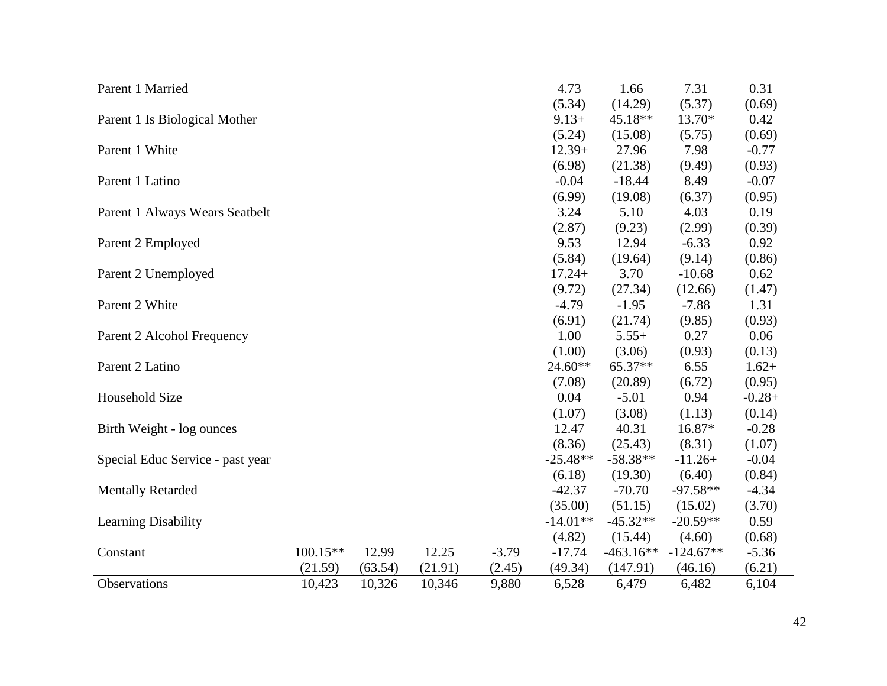| Parent 1 Married                 |          |         |         |         | 4.73       | 1.66        | 7.31        | 0.31     |
|----------------------------------|----------|---------|---------|---------|------------|-------------|-------------|----------|
|                                  |          |         |         |         | (5.34)     | (14.29)     | (5.37)      | (0.69)   |
| Parent 1 Is Biological Mother    |          |         |         |         | $9.13+$    | 45.18**     | 13.70*      | 0.42     |
|                                  |          |         |         |         | (5.24)     | (15.08)     | (5.75)      | (0.69)   |
| Parent 1 White                   |          |         |         |         | $12.39+$   | 27.96       | 7.98        | $-0.77$  |
|                                  |          |         |         |         | (6.98)     | (21.38)     | (9.49)      | (0.93)   |
| Parent 1 Latino                  |          |         |         |         | $-0.04$    | $-18.44$    | 8.49        | $-0.07$  |
|                                  |          |         |         |         | (6.99)     | (19.08)     | (6.37)      | (0.95)   |
| Parent 1 Always Wears Seatbelt   |          |         |         |         | 3.24       | 5.10        | 4.03        | 0.19     |
|                                  |          |         |         |         | (2.87)     | (9.23)      | (2.99)      | (0.39)   |
| Parent 2 Employed                |          |         |         |         | 9.53       | 12.94       | $-6.33$     | 0.92     |
|                                  |          |         |         |         | (5.84)     | (19.64)     | (9.14)      | (0.86)   |
| Parent 2 Unemployed              |          |         |         |         | $17.24+$   | 3.70        | $-10.68$    | 0.62     |
|                                  |          |         |         |         | (9.72)     | (27.34)     | (12.66)     | (1.47)   |
| Parent 2 White                   |          |         |         |         | $-4.79$    | $-1.95$     | $-7.88$     | 1.31     |
|                                  |          |         |         |         | (6.91)     | (21.74)     | (9.85)      | (0.93)   |
| Parent 2 Alcohol Frequency       |          |         |         |         | 1.00       | $5.55+$     | 0.27        | 0.06     |
|                                  |          |         |         |         | (1.00)     | (3.06)      | (0.93)      | (0.13)   |
| Parent 2 Latino                  |          |         |         |         | 24.60**    | $65.37**$   | 6.55        | $1.62+$  |
|                                  |          |         |         |         | (7.08)     | (20.89)     | (6.72)      | (0.95)   |
| Household Size                   |          |         |         |         | 0.04       | $-5.01$     | 0.94        | $-0.28+$ |
|                                  |          |         |         |         | (1.07)     | (3.08)      | (1.13)      | (0.14)   |
| Birth Weight - log ounces        |          |         |         |         | 12.47      | 40.31       | 16.87*      | $-0.28$  |
|                                  |          |         |         |         | (8.36)     | (25.43)     | (8.31)      | (1.07)   |
| Special Educ Service - past year |          |         |         |         | $-25.48**$ | $-58.38**$  | $-11.26+$   | $-0.04$  |
|                                  |          |         |         |         | (6.18)     | (19.30)     | (6.40)      | (0.84)   |
| <b>Mentally Retarded</b>         |          |         |         |         | $-42.37$   | $-70.70$    | $-97.58**$  | $-4.34$  |
|                                  |          |         |         |         | (35.00)    | (51.15)     | (15.02)     | (3.70)   |
| <b>Learning Disability</b>       |          |         |         |         | $-14.01**$ | $-45.32**$  | $-20.59**$  | 0.59     |
|                                  |          |         |         |         | (4.82)     | (15.44)     | (4.60)      | (0.68)   |
| Constant                         | 100.15** | 12.99   | 12.25   | $-3.79$ | $-17.74$   | $-463.16**$ | $-124.67**$ | $-5.36$  |
|                                  | (21.59)  | (63.54) | (21.91) | (2.45)  | (49.34)    | (147.91)    | (46.16)     | (6.21)   |
| Observations                     | 10,423   | 10,326  | 10,346  | 9,880   | 6,528      | 6,479       | 6,482       | 6,104    |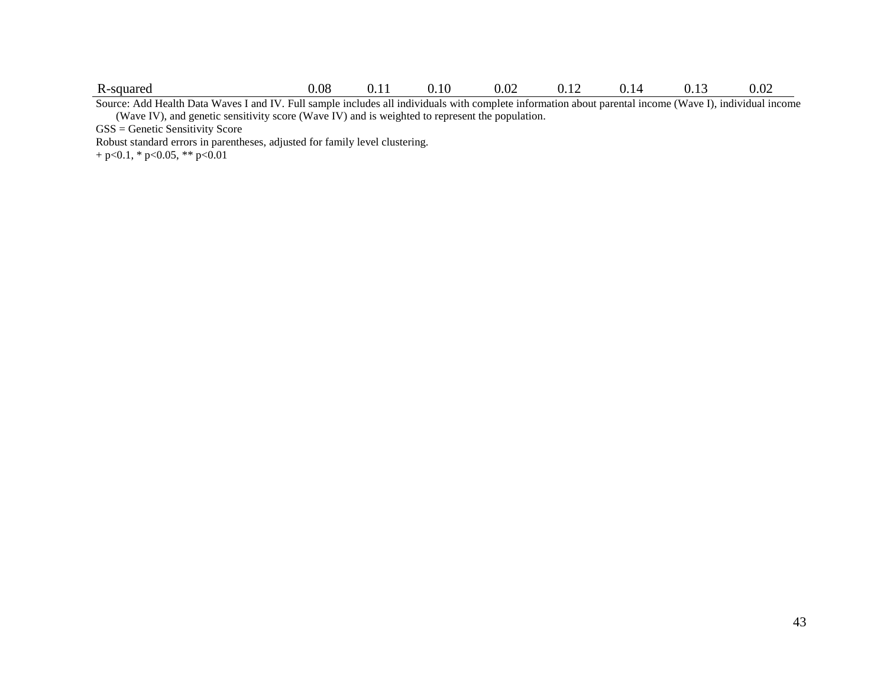|--|

Source: Add Health Data Waves I and IV. Full sample includes all individuals with complete information about parental income (Wave I), individual income (Wave IV), and genetic sensitivity score (Wave IV) and is weighted to represent the population.

GSS = Genetic Sensitivity Score

Robust standard errors in parentheses, adjusted for family level clustering.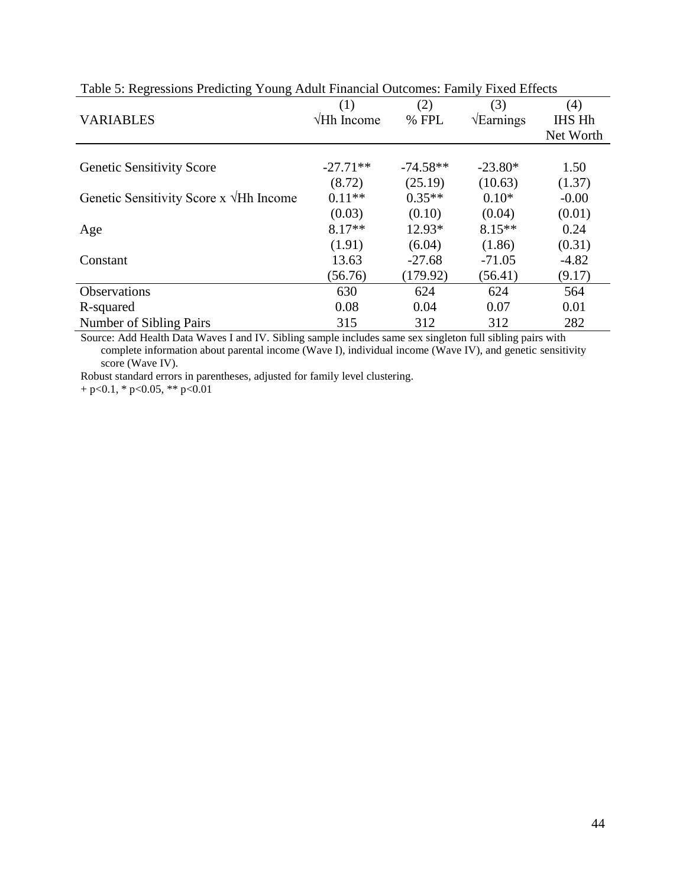| Tuene of Independence I reducting Towns Thursday Cancelling. Turning Three Enforce |                     |            |                          |               |  |
|------------------------------------------------------------------------------------|---------------------|------------|--------------------------|---------------|--|
|                                                                                    | (1)                 | (2)        | (3)                      | (4)           |  |
| <b>VARIABLES</b>                                                                   | $\forall$ Hh Income | % FPL      | $\sqrt{\text{Earnings}}$ | <b>IHS Hh</b> |  |
|                                                                                    |                     |            |                          | Net Worth     |  |
|                                                                                    |                     |            |                          |               |  |
| <b>Genetic Sensitivity Score</b>                                                   | $-27.71**$          | $-74.58**$ | $-23.80*$                | 1.50          |  |
|                                                                                    | (8.72)              | (25.19)    | (10.63)                  | (1.37)        |  |
| Genetic Sensitivity Score x $\forall$ Hh Income                                    | $0.11**$            | $0.35**$   | $0.10*$                  | $-0.00$       |  |
|                                                                                    | (0.03)              | (0.10)     | (0.04)                   | (0.01)        |  |
| Age                                                                                | $8.17**$            | $12.93*$   | $8.15**$                 | 0.24          |  |
|                                                                                    | (1.91)              | (6.04)     | (1.86)                   | (0.31)        |  |
| Constant                                                                           | 13.63               | $-27.68$   | $-71.05$                 | $-4.82$       |  |
|                                                                                    | (56.76)             | (179.92)   | (56.41)                  | (9.17)        |  |
| <b>Observations</b>                                                                | 630                 | 624        | 624                      | 564           |  |
| R-squared                                                                          | 0.08                | 0.04       | 0.07                     | 0.01          |  |
| Number of Sibling Pairs                                                            | 315                 | 312        | 312                      | 282           |  |

Table 5: Regressions Predicting Young Adult Financial Outcomes: Family Fixed Effects

Source: Add Health Data Waves I and IV. Sibling sample includes same sex singleton full sibling pairs with complete information about parental income (Wave I), individual income (Wave IV), and genetic sensitivity score (Wave IV).

Robust standard errors in parentheses, adjusted for family level clustering.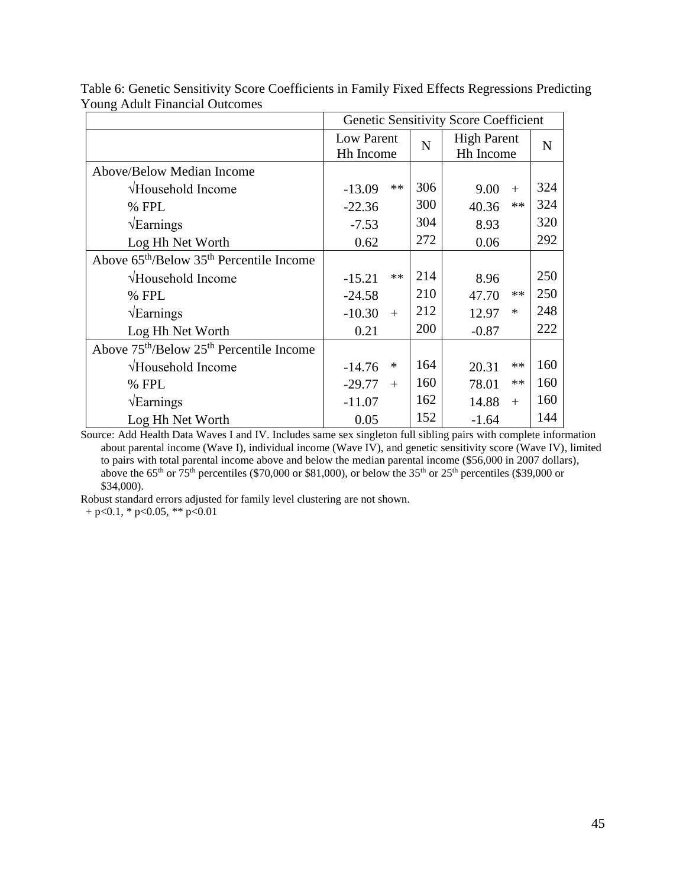|                                                                  |                                     |     | <b>Genetic Sensitivity Score Coefficient</b> |             |
|------------------------------------------------------------------|-------------------------------------|-----|----------------------------------------------|-------------|
|                                                                  | Low Parent<br>N<br><b>Hh Income</b> |     | <b>High Parent</b><br>Hh Income              | $\mathbf N$ |
| <b>Above/Below Median Income</b>                                 |                                     |     |                                              |             |
| √Household Income                                                | $**$<br>$-13.09$                    | 306 | 9.00<br>$+$                                  | 324         |
| % FPL                                                            | $-22.36$                            | 300 | $**$<br>40.36                                | 324         |
| $\sqrt{\text{Earnings}}$                                         | $-7.53$                             | 304 | 8.93                                         | 320         |
| Log Hh Net Worth                                                 | 0.62                                | 272 | 0.06                                         | 292         |
| Above $65th/Below 35th Percentile Income$                        |                                     |     |                                              |             |
| √Household Income                                                | $**$<br>$-15.21$                    | 214 | 8.96                                         | 250         |
| % FPL                                                            | $-24.58$                            | 210 | $**$<br>47.70                                | 250         |
| $\sqrt{\text{Earnings}}$                                         | $-10.30$<br>$+$                     | 212 | 12.97<br>$\ast$                              | 248         |
| Log Hh Net Worth                                                 | 0.21                                | 200 | $-0.87$                                      | 222         |
| Above 75 <sup>th</sup> /Below 25 <sup>th</sup> Percentile Income |                                     |     |                                              |             |
| √Household Income                                                | $\ast$<br>$-14.76$                  | 164 | $**$<br>20.31                                | 160         |
| % FPL                                                            | $-29.77$<br>$+$                     | 160 | $**$<br>78.01                                | 160         |
| $\sqrt{\text{Earnings}}$                                         | $-11.07$                            | 162 | 14.88<br>$+$                                 | 160         |
| Log Hh Net Worth                                                 | 0.05                                | 152 | $-1.64$                                      | 144         |

Table 6: Genetic Sensitivity Score Coefficients in Family Fixed Effects Regressions Predicting Young Adult Financial Outcomes

Source: Add Health Data Waves I and IV. Includes same sex singleton full sibling pairs with complete information about parental income (Wave I), individual income (Wave IV), and genetic sensitivity score (Wave IV), limited to pairs with total parental income above and below the median parental income (\$56,000 in 2007 dollars), above the  $65<sup>th</sup>$  or  $75<sup>th</sup>$  percentiles (\$70,000 or \$81,000), or below the  $35<sup>th</sup>$  or  $25<sup>th</sup>$  percentiles (\$39,000 or \$34,000).

Robust standard errors adjusted for family level clustering are not shown.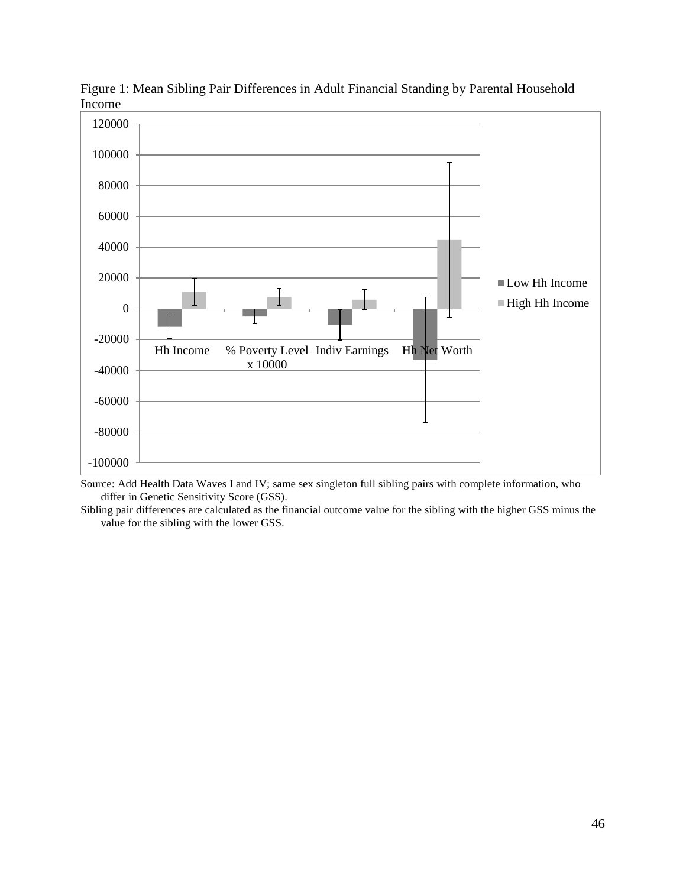

Figure 1: Mean Sibling Pair Differences in Adult Financial Standing by Parental Household Income

Source: Add Health Data Waves I and IV; same sex singleton full sibling pairs with complete information, who differ in Genetic Sensitivity Score (GSS).

Sibling pair differences are calculated as the financial outcome value for the sibling with the higher GSS minus the value for the sibling with the lower GSS.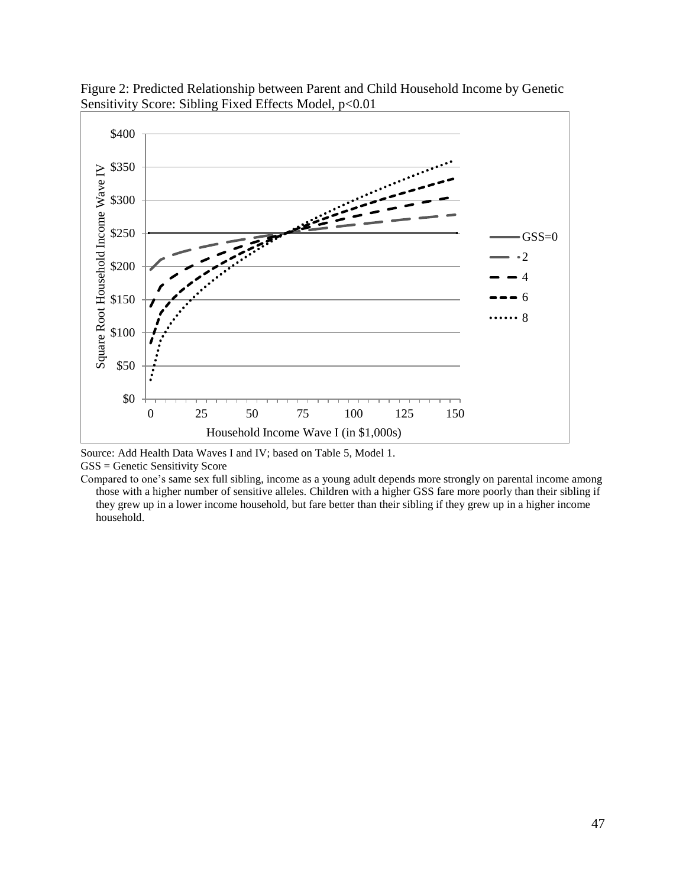

Figure 2: Predicted Relationship between Parent and Child Household Income by Genetic Sensitivity Score: Sibling Fixed Effects Model, p<0.01

Source: Add Health Data Waves I and IV; based on Table 5, Model 1. GSS = Genetic Sensitivity Score

Compared to one's same sex full sibling, income as a young adult depends more strongly on parental income among those with a higher number of sensitive alleles. Children with a higher GSS fare more poorly than their sibling if they grew up in a lower income household, but fare better than their sibling if they grew up in a higher income household.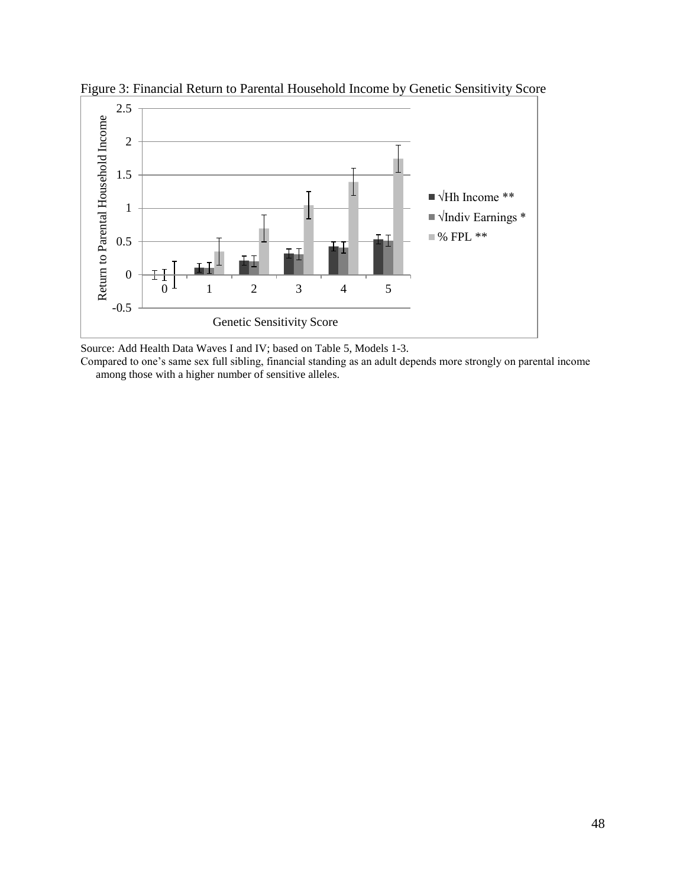

Figure 3: Financial Return to Parental Household Income by Genetic Sensitivity Score

Source: Add Health Data Waves I and IV; based on Table 5, Models 1-3.

Compared to one's same sex full sibling, financial standing as an adult depends more strongly on parental income among those with a higher number of sensitive alleles.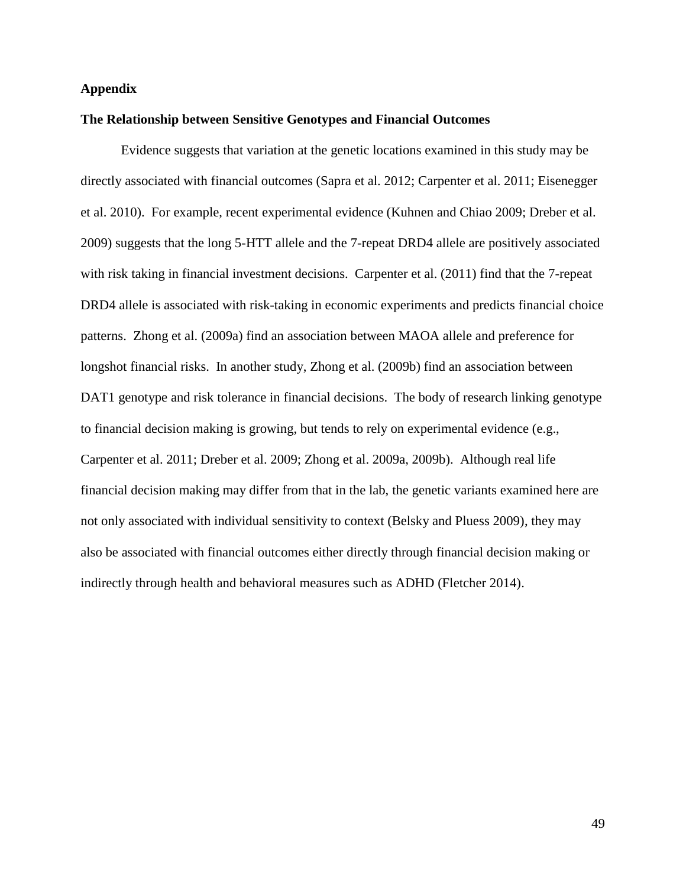# **Appendix**

#### **The Relationship between Sensitive Genotypes and Financial Outcomes**

Evidence suggests that variation at the genetic locations examined in this study may be directly associated with financial outcomes (Sapra et al. 2012; Carpenter et al. 2011; Eisenegger et al. 2010). For example, recent experimental evidence (Kuhnen and Chiao 2009; Dreber et al. 2009) suggests that the long 5-HTT allele and the 7-repeat DRD4 allele are positively associated with risk taking in financial investment decisions. Carpenter et al. (2011) find that the 7-repeat DRD4 allele is associated with risk-taking in economic experiments and predicts financial choice patterns. Zhong et al. (2009a) find an association between MAOA allele and preference for longshot financial risks. In another study, Zhong et al. (2009b) find an association between DAT1 genotype and risk tolerance in financial decisions. The body of research linking genotype to financial decision making is growing, but tends to rely on experimental evidence (e.g., Carpenter et al. 2011; Dreber et al. 2009; Zhong et al. 2009a, 2009b). Although real life financial decision making may differ from that in the lab, the genetic variants examined here are not only associated with individual sensitivity to context (Belsky and Pluess 2009), they may also be associated with financial outcomes either directly through financial decision making or indirectly through health and behavioral measures such as ADHD (Fletcher 2014).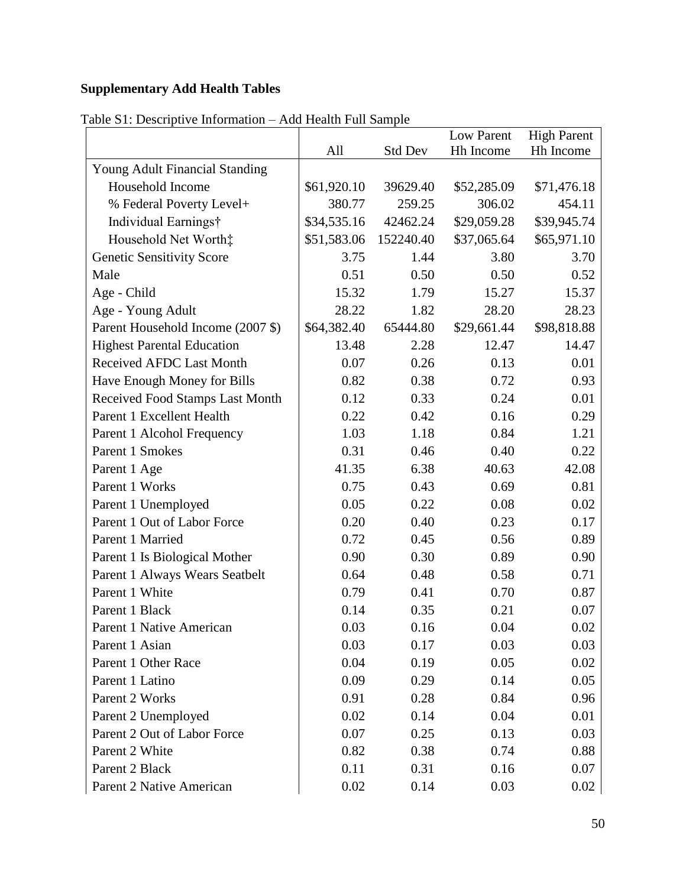# **Supplementary Add Health Tables**

|                                   |             |                | Low Parent  | <b>High Parent</b> |
|-----------------------------------|-------------|----------------|-------------|--------------------|
|                                   | All         | <b>Std Dev</b> | Hh Income   | Hh Income          |
| Young Adult Financial Standing    |             |                |             |                    |
| Household Income                  | \$61,920.10 | 39629.40       | \$52,285.09 | \$71,476.18        |
| % Federal Poverty Level+          | 380.77      | 259.25         | 306.02      | 454.11             |
| Individual Earnings†              | \$34,535.16 | 42462.24       | \$29,059.28 | \$39,945.74        |
| Household Net Worth:              | \$51,583.06 | 152240.40      | \$37,065.64 | \$65,971.10        |
| <b>Genetic Sensitivity Score</b>  | 3.75        | 1.44           | 3.80        | 3.70               |
| Male                              | 0.51        | 0.50           | 0.50        | 0.52               |
| Age - Child                       | 15.32       | 1.79           | 15.27       | 15.37              |
| Age - Young Adult                 | 28.22       | 1.82           | 28.20       | 28.23              |
| Parent Household Income (2007 \$) | \$64,382.40 | 65444.80       | \$29,661.44 | \$98,818.88        |
| <b>Highest Parental Education</b> | 13.48       | 2.28           | 12.47       | 14.47              |
| <b>Received AFDC Last Month</b>   | 0.07        | 0.26           | 0.13        | 0.01               |
| Have Enough Money for Bills       | 0.82        | 0.38           | 0.72        | 0.93               |
| Received Food Stamps Last Month   | 0.12        | 0.33           | 0.24        | 0.01               |
| Parent 1 Excellent Health         | 0.22        | 0.42           | 0.16        | 0.29               |
| Parent 1 Alcohol Frequency        | 1.03        | 1.18           | 0.84        | 1.21               |
| Parent 1 Smokes                   | 0.31        | 0.46           | 0.40        | 0.22               |
| Parent 1 Age                      | 41.35       | 6.38           | 40.63       | 42.08              |
| Parent 1 Works                    | 0.75        | 0.43           | 0.69        | 0.81               |
| Parent 1 Unemployed               | 0.05        | 0.22           | 0.08        | 0.02               |
| Parent 1 Out of Labor Force       | 0.20        | 0.40           | 0.23        | 0.17               |
| Parent 1 Married                  | 0.72        | 0.45           | 0.56        | 0.89               |
| Parent 1 Is Biological Mother     | 0.90        | 0.30           | 0.89        | 0.90               |
| Parent 1 Always Wears Seatbelt    | 0.64        | 0.48           | 0.58        | 0.71               |
| Parent 1 White                    | 0.79        | 0.41           | 0.70        | 0.87               |
| Parent 1 Black                    | 0.14        | 0.35           | 0.21        | 0.07               |
| Parent 1 Native American          | 0.03        | 0.16           | 0.04        | 0.02               |
| Parent 1 Asian                    | 0.03        | 0.17           | 0.03        | 0.03               |
| Parent 1 Other Race               | 0.04        | 0.19           | 0.05        | 0.02               |
| Parent 1 Latino                   | 0.09        | 0.29           | 0.14        | 0.05               |
| Parent 2 Works                    | 0.91        | 0.28           | 0.84        | 0.96               |
| Parent 2 Unemployed               | 0.02        | 0.14           | 0.04        | 0.01               |
| Parent 2 Out of Labor Force       | 0.07        | 0.25           | 0.13        | 0.03               |
| Parent 2 White                    | 0.82        | 0.38           | 0.74        | 0.88               |
| Parent 2 Black                    | 0.11        | 0.31           | 0.16        | 0.07               |
| Parent 2 Native American          | 0.02        | 0.14           | 0.03        | 0.02               |

Table S1: Descriptive Information – Add Health Full Sample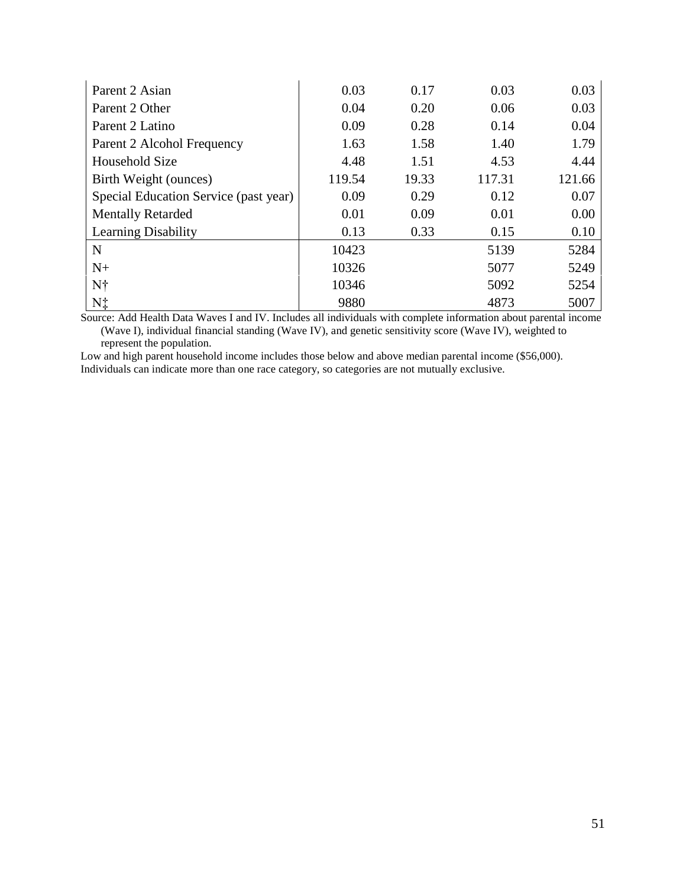| Parent 2 Asian                        | 0.03   | 0.17  | 0.03   | 0.03   |
|---------------------------------------|--------|-------|--------|--------|
| Parent 2 Other                        | 0.04   | 0.20  | 0.06   | 0.03   |
| Parent 2 Latino                       | 0.09   | 0.28  | 0.14   | 0.04   |
| Parent 2 Alcohol Frequency            | 1.63   | 1.58  | 1.40   | 1.79   |
| <b>Household Size</b>                 | 4.48   | 1.51  | 4.53   | 4.44   |
| Birth Weight (ounces)                 | 119.54 | 19.33 | 117.31 | 121.66 |
| Special Education Service (past year) | 0.09   | 0.29  | 0.12   | 0.07   |
| <b>Mentally Retarded</b>              | 0.01   | 0.09  | 0.01   | 0.00   |
| <b>Learning Disability</b>            | 0.13   | 0.33  | 0.15   | 0.10   |
| N                                     | 10423  |       | 5139   | 5284   |
| $N+$                                  | 10326  |       | 5077   | 5249   |
| Nt                                    | 10346  |       | 5092   | 5254   |
| N‡                                    | 9880   |       | 4873   | 5007   |

Source: Add Health Data Waves I and IV. Includes all individuals with complete information about parental income (Wave I), individual financial standing (Wave IV), and genetic sensitivity score (Wave IV), weighted to represent the population.

Low and high parent household income includes those below and above median parental income (\$56,000). Individuals can indicate more than one race category, so categories are not mutually exclusive.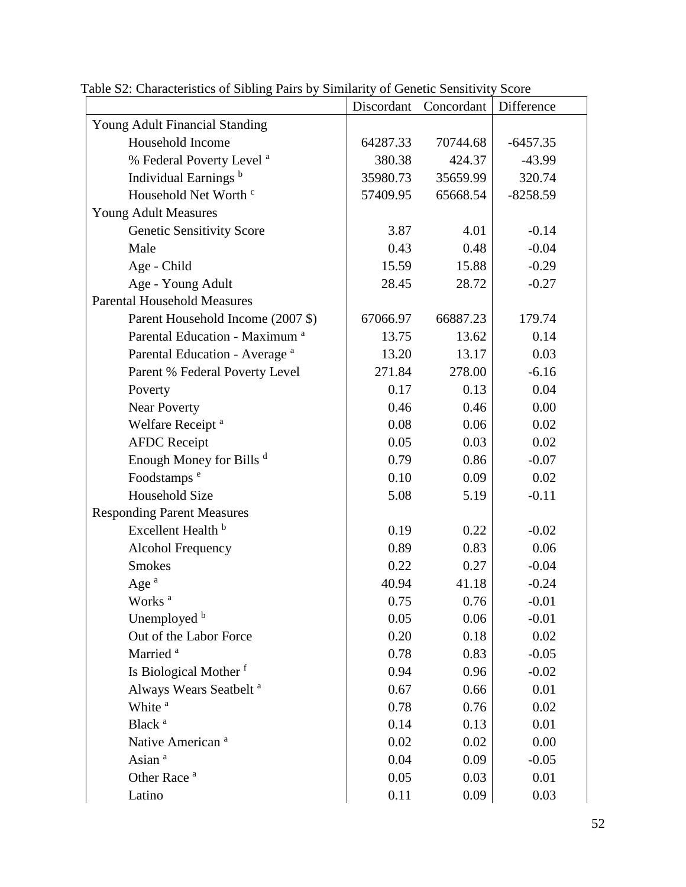|                                           | Discordant | Concordant | Difference |
|-------------------------------------------|------------|------------|------------|
| Young Adult Financial Standing            |            |            |            |
| Household Income                          | 64287.33   | 70744.68   | $-6457.35$ |
| % Federal Poverty Level <sup>a</sup>      | 380.38     | 424.37     | $-43.99$   |
| Individual Earnings <sup>b</sup>          | 35980.73   | 35659.99   | 320.74     |
| Household Net Worth c                     | 57409.95   | 65668.54   | $-8258.59$ |
| <b>Young Adult Measures</b>               |            |            |            |
| <b>Genetic Sensitivity Score</b>          | 3.87       | 4.01       | $-0.14$    |
| Male                                      | 0.43       | 0.48       | $-0.04$    |
| Age - Child                               | 15.59      | 15.88      | $-0.29$    |
| Age - Young Adult                         | 28.45      | 28.72      | $-0.27$    |
| <b>Parental Household Measures</b>        |            |            |            |
| Parent Household Income (2007 \$)         | 67066.97   | 66887.23   | 179.74     |
| Parental Education - Maximum <sup>a</sup> | 13.75      | 13.62      | 0.14       |
| Parental Education - Average <sup>a</sup> | 13.20      | 13.17      | 0.03       |
| Parent % Federal Poverty Level            | 271.84     | 278.00     | $-6.16$    |
| Poverty                                   | 0.17       | 0.13       | 0.04       |
| <b>Near Poverty</b>                       | 0.46       | 0.46       | 0.00       |
| Welfare Receipt <sup>a</sup>              | 0.08       | 0.06       | 0.02       |
| <b>AFDC</b> Receipt                       | 0.05       | 0.03       | 0.02       |
| Enough Money for Bills d                  | 0.79       | 0.86       | $-0.07$    |
| Foodstamps <sup>e</sup>                   | 0.10       | 0.09       | 0.02       |
| <b>Household Size</b>                     | 5.08       | 5.19       | $-0.11$    |
| <b>Responding Parent Measures</b>         |            |            |            |
| Excellent Health <sup>b</sup>             | 0.19       | 0.22       | $-0.02$    |
| <b>Alcohol Frequency</b>                  | 0.89       | 0.83       | 0.06       |
| <b>Smokes</b>                             | 0.22       | 0.27       | $-0.04$    |
| Age <sup>a</sup>                          | 40.94      | 41.18      | $-0.24$    |
| Works <sup>a</sup>                        | 0.75       | 0.76       | $-0.01$    |
| Unemployed b                              | 0.05       | 0.06       | $-0.01$    |
| Out of the Labor Force                    | 0.20       | 0.18       | 0.02       |
| Married <sup>a</sup>                      | 0.78       | 0.83       | $-0.05$    |
| Is Biological Mother f                    | 0.94       | 0.96       | $-0.02$    |
| Always Wears Seatbelt <sup>a</sup>        | 0.67       | 0.66       | 0.01       |
| White <sup>a</sup>                        | 0.78       | 0.76       | 0.02       |
| Black <sup>a</sup>                        | 0.14       | 0.13       | 0.01       |
| Native American <sup>a</sup>              | 0.02       | 0.02       | 0.00       |
| Asian <sup>a</sup>                        | 0.04       | 0.09       | $-0.05$    |
| Other Race <sup>a</sup>                   | 0.05       | 0.03       | 0.01       |
| Latino                                    | 0.11       | 0.09       | 0.03       |

Table S2: Characteristics of Sibling Pairs by Similarity of Genetic Sensitivity Score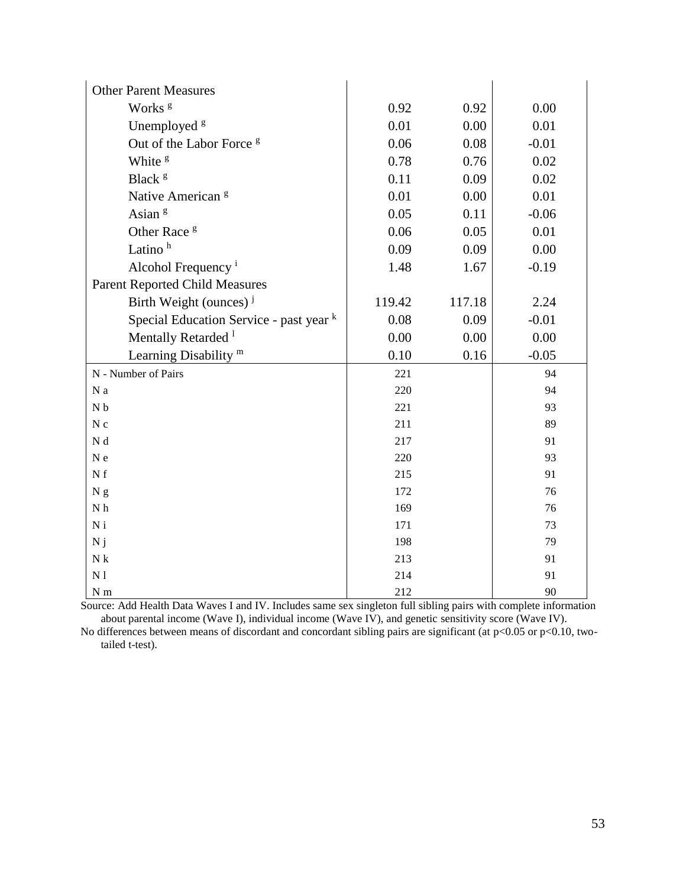| <b>Other Parent Measures</b>            |            |        |          |
|-----------------------------------------|------------|--------|----------|
| Works <sup>g</sup>                      | 0.92       | 0.92   | 0.00     |
| Unemployed <sup>8</sup>                 | 0.01       | 0.00   | 0.01     |
| Out of the Labor Force <sup>g</sup>     | 0.06       | 0.08   | $-0.01$  |
| White <sup>g</sup>                      | 0.78       | 0.76   | 0.02     |
| Black <sup>g</sup>                      | 0.11       | 0.09   | 0.02     |
| Native American <sup>g</sup>            | 0.01       | 0.00   | 0.01     |
| Asian <sup>g</sup>                      | 0.05       | 0.11   | $-0.06$  |
| Other Race <sup>g</sup>                 | 0.06       | 0.05   | 0.01     |
| Latino <sup>h</sup>                     | 0.09       | 0.09   | 0.00     |
| Alcohol Frequency <sup>i</sup>          | 1.48       | 1.67   | $-0.19$  |
| <b>Parent Reported Child Measures</b>   |            |        |          |
| Birth Weight (ounces) <sup>j</sup>      | 119.42     | 117.18 | 2.24     |
| Special Education Service - past year k | 0.08       | 0.09   | $-0.01$  |
| Mentally Retarded <sup>1</sup>          | 0.00       | 0.00   | 0.00     |
| Learning Disability <sup>m</sup>        | 0.10       | 0.16   | $-0.05$  |
| N - Number of Pairs                     | 221        |        | 94       |
| N a                                     | 220        |        | 94       |
| ${\bf N}$ b                             | 221        |        | 93       |
| N c                                     | 211        |        | 89       |
| N d                                     | 217        |        | 91       |
| $N e$                                   | 220        |        | 93       |
| N f                                     | 215        |        | 91       |
| N <sub>g</sub>                          | 172        |        | 76       |
| ${\bf N}$ h                             | 169        |        | 76       |
| $\mathbf{N}$ i                          | 171        |        | 73       |
| N j                                     | 198        |        | 79       |
| ${\bf N}$ k                             | 213        |        | 91       |
|                                         |            |        |          |
| N <sub>1</sub><br>${\cal N}$ m          | 214<br>212 |        | 91<br>90 |

Source: Add Health Data Waves I and IV. Includes same sex singleton full sibling pairs with complete information about parental income (Wave I), individual income (Wave IV), and genetic sensitivity score (Wave IV).

No differences between means of discordant and concordant sibling pairs are significant (at  $p<0.05$  or  $p<0.10$ , twotailed t-test).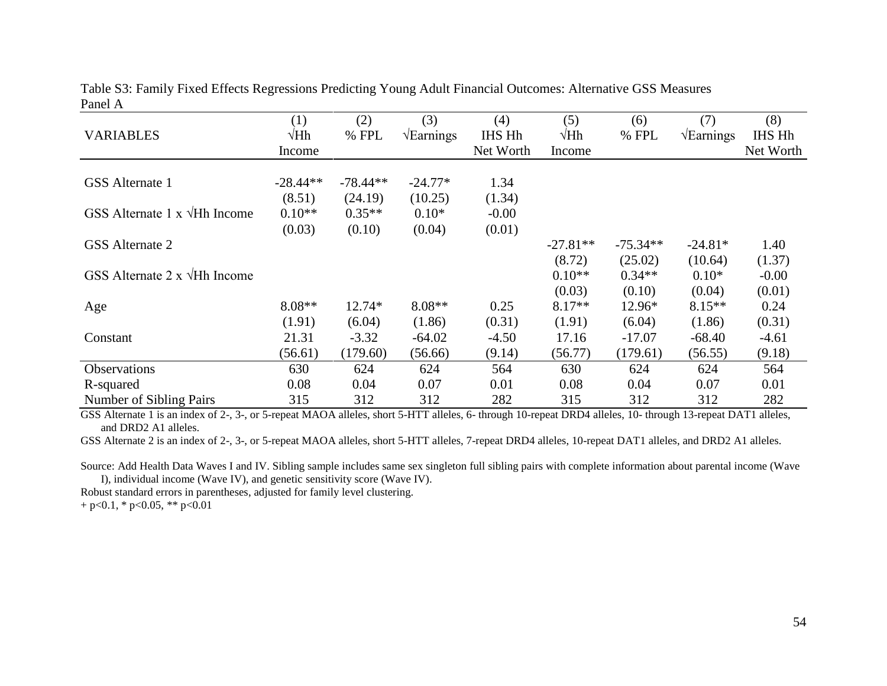| <b>VARIABLES</b>                          | (1)<br>$\sqrt{Hh}$ | (2)<br>% FPL | (3)<br>$\sqrt{\text{Earnings}}$ | (4)<br><b>IHS Hh</b> | (5)<br>$\sqrt{Hh}$ | (6)<br>% FPL | (7)<br>$\sqrt{\text{Earnings}}$ | (8)<br>IHS Hh |
|-------------------------------------------|--------------------|--------------|---------------------------------|----------------------|--------------------|--------------|---------------------------------|---------------|
|                                           | Income             |              |                                 | Net Worth            | Income             |              |                                 | Net Worth     |
| GSS Alternate 1                           | $-28.44**$         | $-78.44**$   | $-24.77*$                       | 1.34                 |                    |              |                                 |               |
|                                           | (8.51)             | (24.19)      | (10.25)                         | (1.34)               |                    |              |                                 |               |
| GSS Alternate 1 $x \sqrt{Hh}$ Income      | $0.10**$           | $0.35**$     | $0.10*$                         | $-0.00$              |                    |              |                                 |               |
|                                           | (0.03)             | (0.10)       | (0.04)                          | (0.01)               |                    |              |                                 |               |
| GSS Alternate 2                           |                    |              |                                 |                      | $-27.81**$         | $-75.34**$   | $-24.81*$                       | 1.40          |
|                                           |                    |              |                                 |                      | (8.72)             | (25.02)      | (10.64)                         | (1.37)        |
| GSS Alternate $2 \times \sqrt{Hh}$ Income |                    |              |                                 |                      | $0.10**$           | $0.34**$     | $0.10*$                         | $-0.00$       |
|                                           |                    |              |                                 |                      | (0.03)             | (0.10)       | (0.04)                          | (0.01)        |
| Age                                       | $8.08**$           | 12.74*       | $8.08**$                        | 0.25                 | $8.17**$           | 12.96*       | $8.15**$                        | 0.24          |
|                                           | (1.91)             | (6.04)       | (1.86)                          | (0.31)               | (1.91)             | (6.04)       | (1.86)                          | (0.31)        |
| Constant                                  | 21.31              | $-3.32$      | $-64.02$                        | $-4.50$              | 17.16              | $-17.07$     | $-68.40$                        | $-4.61$       |
|                                           | (56.61)            | (179.60)     | (56.66)                         | (9.14)               | (56.77)            | (179.61)     | (56.55)                         | (9.18)        |
| <b>Observations</b>                       | 630                | 624          | 624                             | 564                  | 630                | 624          | 624                             | 564           |
| R-squared                                 | 0.08               | 0.04         | 0.07                            | 0.01                 | 0.08               | 0.04         | 0.07                            | 0.01          |
| Number of Sibling Pairs                   | 315                | 312          | 312                             | 282                  | 315                | 312          | 312                             | 282           |

Table S3: Family Fixed Effects Regressions Predicting Young Adult Financial Outcomes: Alternative GSS Measures Panel A

GSS Alternate 1 is an index of 2-, 3-, or 5-repeat MAOA alleles, short 5-HTT alleles, 6- through 10-repeat DRD4 alleles, 10- through 13-repeat DAT1 alleles, and DRD2 A1 alleles.

GSS Alternate 2 is an index of 2-, 3-, or 5-repeat MAOA alleles, short 5-HTT alleles, 7-repeat DRD4 alleles, 10-repeat DAT1 alleles, and DRD2 A1 alleles.

Source: Add Health Data Waves I and IV. Sibling sample includes same sex singleton full sibling pairs with complete information about parental income (Wave I), individual income (Wave IV), and genetic sensitivity score (Wave IV).

Robust standard errors in parentheses, adjusted for family level clustering.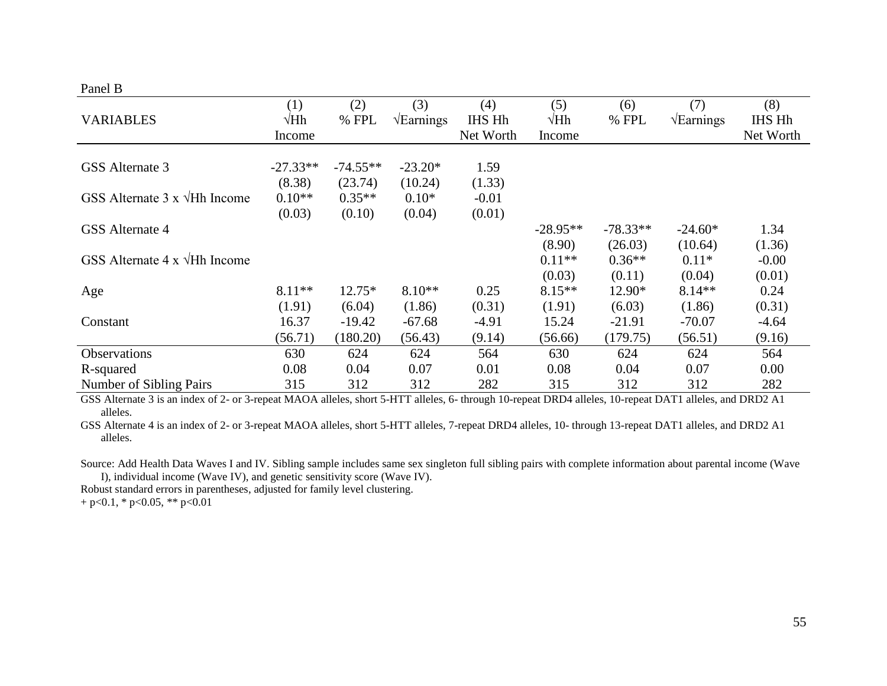# Panel B

|                                           | (1)         | (2)        | (3)                      | (4)           | (5)         | (6)        | (7)                      | (8)       |
|-------------------------------------------|-------------|------------|--------------------------|---------------|-------------|------------|--------------------------|-----------|
| <b>VARIABLES</b>                          | $\sqrt{Hh}$ | % FPL      | $\sqrt{\text{Earnings}}$ | <b>IHS Hh</b> | $\sqrt{Hh}$ | % FPL      | $\sqrt{\text{Earnings}}$ | IHS Hh    |
|                                           | Income      |            |                          | Net Worth     | Income      |            |                          | Net Worth |
|                                           |             |            |                          |               |             |            |                          |           |
| GSS Alternate 3                           | $-27.33**$  | $-74.55**$ | $-23.20*$                | 1.59          |             |            |                          |           |
|                                           | (8.38)      | (23.74)    | (10.24)                  | (1.33)        |             |            |                          |           |
| GSS Alternate $3 \times \sqrt{Hh}$ Income | $0.10**$    | $0.35**$   | $0.10*$                  | $-0.01$       |             |            |                          |           |
|                                           | (0.03)      | (0.10)     | (0.04)                   | (0.01)        |             |            |                          |           |
| GSS Alternate 4                           |             |            |                          |               | $-28.95**$  | $-78.33**$ | $-24.60*$                | 1.34      |
|                                           |             |            |                          |               | (8.90)      | (26.03)    | (10.64)                  | (1.36)    |
| GSS Alternate $4 \times \sqrt{Hh}$ Income |             |            |                          |               | $0.11**$    | $0.36**$   | $0.11*$                  | $-0.00$   |
|                                           |             |            |                          |               | (0.03)      | (0.11)     | (0.04)                   | (0.01)    |
| Age                                       | 8.11**      | $12.75*$   | $8.10**$                 | 0.25          | $8.15**$    | 12.90*     | $8.14**$                 | 0.24      |
|                                           | (1.91)      | (6.04)     | (1.86)                   | (0.31)        | (1.91)      | (6.03)     | (1.86)                   | (0.31)    |
| Constant                                  | 16.37       | $-19.42$   | $-67.68$                 | -4.91         | 15.24       | $-21.91$   | $-70.07$                 | $-4.64$   |
|                                           | (56.71)     | (180.20)   | (56.43)                  | (9.14)        | (56.66)     | (179.75)   | (56.51)                  | (9.16)    |
| Observations                              | 630         | 624        | 624                      | 564           | 630         | 624        | 624                      | 564       |
| R-squared                                 | 0.08        | 0.04       | 0.07                     | 0.01          | 0.08        | 0.04       | 0.07                     | 0.00      |
| Number of Sibling Pairs                   | 315         | 312        | 312                      | 282           | 315         | 312        | 312                      | 282       |

GSS Alternate 3 is an index of 2- or 3-repeat MAOA alleles, short 5-HTT alleles, 6- through 10-repeat DRD4 alleles, 10-repeat DAT1 alleles, and DRD2 A1 alleles.

GSS Alternate 4 is an index of 2- or 3-repeat MAOA alleles, short 5-HTT alleles, 7-repeat DRD4 alleles, 10- through 13-repeat DAT1 alleles, and DRD2 A1 alleles.

Source: Add Health Data Waves I and IV. Sibling sample includes same sex singleton full sibling pairs with complete information about parental income (Wave I), individual income (Wave IV), and genetic sensitivity score (Wave IV).

Robust standard errors in parentheses, adjusted for family level clustering.

 $+ p < 0.1$ , \*  $p < 0.05$ , \*\*  $p < 0.01$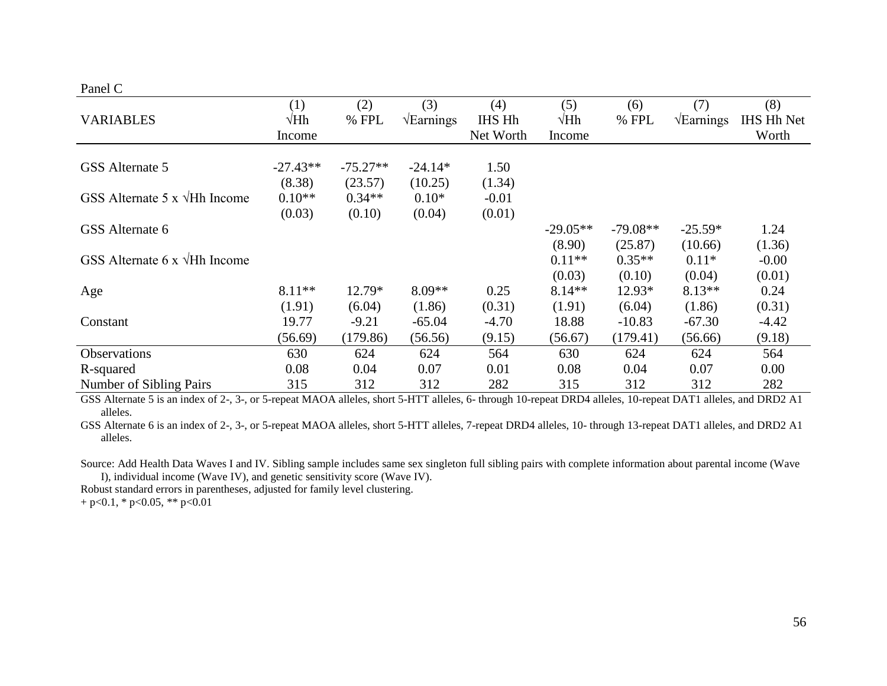# Panel C

|                                      | (1)         | (2)        | (3)                      | (4)           | (5)         | (6)        | (7)                      | (8)               |
|--------------------------------------|-------------|------------|--------------------------|---------------|-------------|------------|--------------------------|-------------------|
| <b>VARIABLES</b>                     | $\sqrt{Hh}$ | % FPL      | $\sqrt{\text{Earnings}}$ | <b>IHS Hh</b> | $\sqrt{Hh}$ | % FPL      | $\sqrt{\text{Earnings}}$ | <b>IHS Hh Net</b> |
|                                      | Income      |            |                          | Net Worth     | Income      |            |                          | Worth             |
|                                      |             |            |                          |               |             |            |                          |                   |
| GSS Alternate 5                      | $-27.43**$  | $-75.27**$ | $-24.14*$                | 1.50          |             |            |                          |                   |
|                                      | (8.38)      | (23.57)    | (10.25)                  | (1.34)        |             |            |                          |                   |
| GSS Alternate 5 x $\sqrt{Hh}$ Income | $0.10**$    | $0.34**$   | $0.10*$                  | $-0.01$       |             |            |                          |                   |
|                                      | (0.03)      | (0.10)     | (0.04)                   | (0.01)        |             |            |                          |                   |
| GSS Alternate 6                      |             |            |                          |               | $-29.05**$  | $-79.08**$ | $-25.59*$                | 1.24              |
|                                      |             |            |                          |               | (8.90)      | (25.87)    | (10.66)                  | (1.36)            |
| GSS Alternate 6 x $\sqrt{Hh}$ Income |             |            |                          |               | $0.11**$    | $0.35**$   | $0.11*$                  | $-0.00$           |
|                                      |             |            |                          |               | (0.03)      | (0.10)     | (0.04)                   | (0.01)            |
| Age                                  | 8.11**      | $12.79*$   | $8.09**$                 | 0.25          | $8.14**$    | 12.93*     | $8.13**$                 | 0.24              |
|                                      | (1.91)      | (6.04)     | (1.86)                   | (0.31)        | (1.91)      | (6.04)     | (1.86)                   | (0.31)            |
| Constant                             | 19.77       | $-9.21$    | $-65.04$                 | $-4.70$       | 18.88       | $-10.83$   | $-67.30$                 | $-4.42$           |
|                                      | (56.69)     | (179.86)   | (56.56)                  | (9.15)        | (56.67)     | (179.41)   | (56.66)                  | (9.18)            |
| Observations                         | 630         | 624        | 624                      | 564           | 630         | 624        | 624                      | 564               |
| R-squared                            | 0.08        | 0.04       | 0.07                     | 0.01          | 0.08        | 0.04       | 0.07                     | 0.00              |
| Number of Sibling Pairs              | 315         | 312        | 312                      | 282           | 315         | 312        | 312                      | 282               |

GSS Alternate 5 is an index of 2-, 3-, or 5-repeat MAOA alleles, short 5-HTT alleles, 6- through 10-repeat DRD4 alleles, 10-repeat DAT1 alleles, and DRD2 A1 alleles.

GSS Alternate 6 is an index of 2-, 3-, or 5-repeat MAOA alleles, short 5-HTT alleles, 7-repeat DRD4 alleles, 10- through 13-repeat DAT1 alleles, and DRD2 A1 alleles.

Source: Add Health Data Waves I and IV. Sibling sample includes same sex singleton full sibling pairs with complete information about parental income (Wave I), individual income (Wave IV), and genetic sensitivity score (Wave IV).

Robust standard errors in parentheses, adjusted for family level clustering.

 $+ p < 0.1$ , \*  $p < 0.05$ , \*\*  $p < 0.01$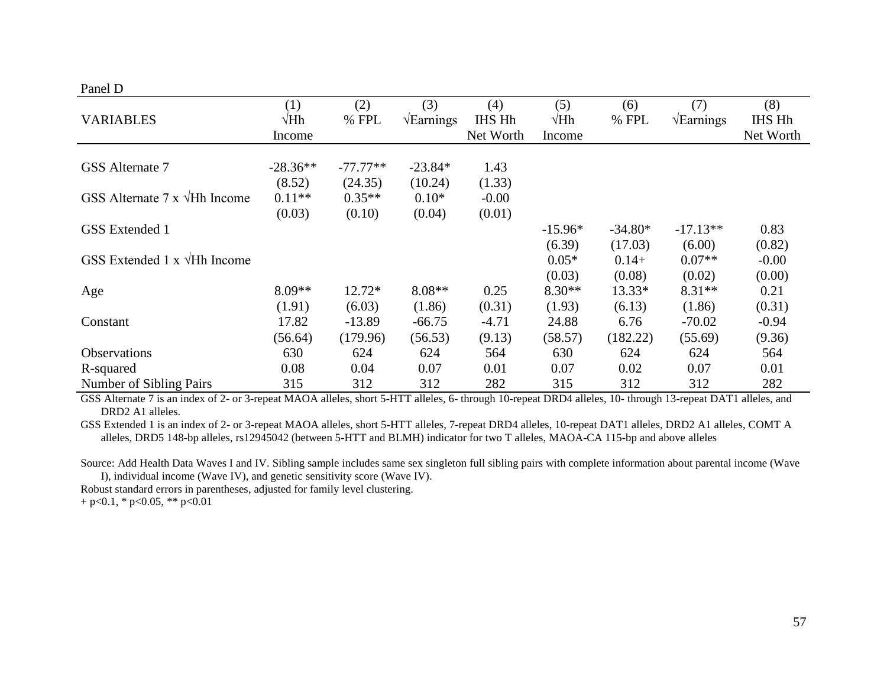# Panel D

|                                           | (1)         | (2)        | (3)                      | (4)           | (5)         | (6)       | (7)                      | (8)           |
|-------------------------------------------|-------------|------------|--------------------------|---------------|-------------|-----------|--------------------------|---------------|
| <b>VARIABLES</b>                          | $\sqrt{Hh}$ | % FPL      | $\sqrt{\text{Earnings}}$ | <b>IHS Hh</b> | $\sqrt{Hh}$ | % FPL     | $\sqrt{\text{Earnings}}$ | <b>IHS Hh</b> |
|                                           | Income      |            |                          | Net Worth     | Income      |           |                          | Net Worth     |
|                                           |             |            |                          |               |             |           |                          |               |
| GSS Alternate 7                           | $-28.36**$  | $-77.77**$ | $-23.84*$                | 1.43          |             |           |                          |               |
|                                           | (8.52)      | (24.35)    | (10.24)                  | (1.33)        |             |           |                          |               |
| GSS Alternate $7 \times \sqrt{Hh}$ Income | $0.11**$    | $0.35**$   | $0.10*$                  | $-0.00$       |             |           |                          |               |
|                                           | (0.03)      | (0.10)     | (0.04)                   | (0.01)        |             |           |                          |               |
| <b>GSS</b> Extended 1                     |             |            |                          |               | $-15.96*$   | $-34.80*$ | $-17.13**$               | 0.83          |
|                                           |             |            |                          |               | (6.39)      | (17.03)   | (6.00)                   | (0.82)        |
| GSS Extended 1 $x \sqrt{Hh}$ Income       |             |            |                          |               | $0.05*$     | $0.14+$   | $0.07**$                 | $-0.00$       |
|                                           |             |            |                          |               | (0.03)      | (0.08)    | (0.02)                   | (0.00)        |
| Age                                       | $8.09**$    | 12.72*     | $8.08**$                 | 0.25          | $8.30**$    | $13.33*$  | $8.31**$                 | 0.21          |
|                                           | (1.91)      | (6.03)     | (1.86)                   | (0.31)        | (1.93)      | (6.13)    | (1.86)                   | (0.31)        |
| Constant                                  | 17.82       | $-13.89$   | $-66.75$                 | $-4.71$       | 24.88       | 6.76      | $-70.02$                 | $-0.94$       |
|                                           | (56.64)     | (179.96)   | (56.53)                  | (9.13)        | (58.57)     | (182.22)  | (55.69)                  | (9.36)        |
| <b>Observations</b>                       | 630         | 624        | 624                      | 564           | 630         | 624       | 624                      | 564           |
| R-squared                                 | 0.08        | 0.04       | 0.07                     | 0.01          | 0.07        | 0.02      | 0.07                     | 0.01          |
| Number of Sibling Pairs                   | 315         | 312        | 312                      | 282           | 315         | 312       | 312                      | 282           |

GSS Alternate 7 is an index of 2- or 3-repeat MAOA alleles, short 5-HTT alleles, 6- through 10-repeat DRD4 alleles, 10- through 13-repeat DAT1 alleles, and DRD2 A1 alleles.

GSS Extended 1 is an index of 2- or 3-repeat MAOA alleles, short 5-HTT alleles, 7-repeat DRD4 alleles, 10-repeat DAT1 alleles, DRD2 A1 alleles, COMT A alleles, DRD5 148-bp alleles, rs12945042 (between 5-HTT and BLMH) indicator for two T alleles, MAOA-CA 115-bp and above alleles

Source: Add Health Data Waves I and IV. Sibling sample includes same sex singleton full sibling pairs with complete information about parental income (Wave I), individual income (Wave IV), and genetic sensitivity score (Wave IV).

Robust standard errors in parentheses, adjusted for family level clustering.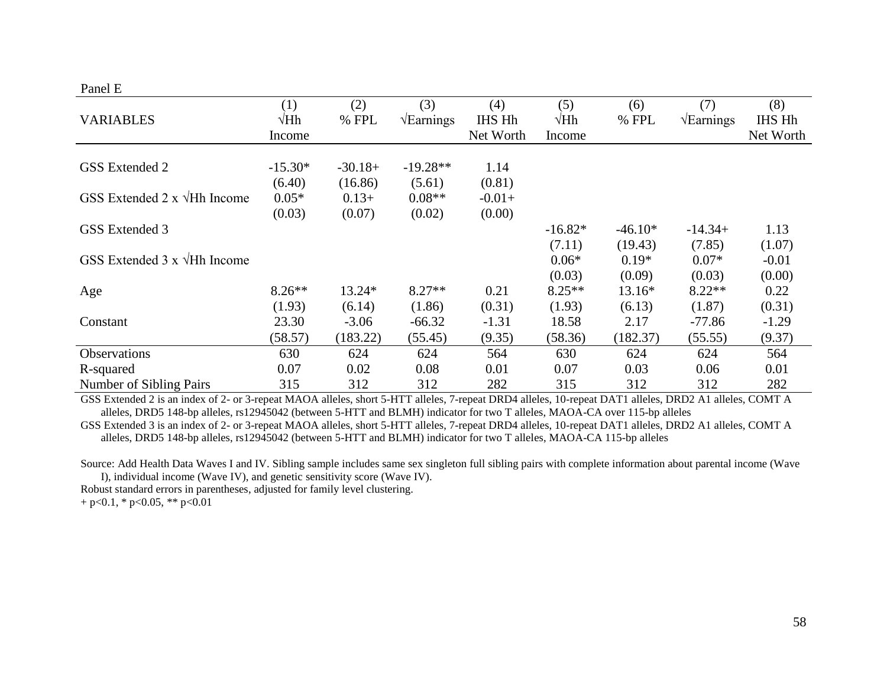# Panel E

| <b>VARIABLES</b>                         | (1)<br>$\sqrt{Hh}$<br>Income | (2)<br>% FPL                  | (3)<br>$\sqrt{\text{Earnings}}$ | (4)<br><b>IHS Hh</b><br>Net Worth | (5)<br>$\sqrt{Hh}$<br>Income | (6)<br>% FPL                 | (7)<br>$\sqrt{\text{Earnings}}$ | (8)<br>IHS Hh<br>Net Worth  |
|------------------------------------------|------------------------------|-------------------------------|---------------------------------|-----------------------------------|------------------------------|------------------------------|---------------------------------|-----------------------------|
| <b>GSS</b> Extended 2                    | $-15.30*$<br>(6.40)          | $-30.18+$<br>(16.86)          | $-19.28**$<br>(5.61)            | 1.14<br>(0.81)                    |                              |                              |                                 |                             |
| GSS Extended $2 \times \sqrt{Hh}$ Income | $0.05*$<br>(0.03)            | $0.13+$<br>(0.07)             | $0.08**$<br>(0.02)              | $-0.01+$<br>(0.00)                |                              |                              |                                 |                             |
| GSS Extended 3                           |                              |                               |                                 |                                   | $-16.82*$                    | $-46.10*$                    | $-14.34+$                       | 1.13                        |
| GSS Extended $3 \times \sqrt{Hh}$ Income |                              |                               |                                 |                                   | (7.11)<br>$0.06*$<br>(0.03)  | (19.43)<br>$0.19*$<br>(0.09) | (7.85)<br>$0.07*$<br>(0.03)     | (1.07)<br>$-0.01$<br>(0.00) |
| Age                                      | $8.26**$                     | 13.24*                        | $8.27**$                        | 0.21                              | $8.25**$                     | 13.16*                       | $8.22**$                        | 0.22                        |
| Constant                                 | (1.93)<br>23.30<br>(58.57)   | (6.14)<br>$-3.06$<br>(183.22) | (1.86)<br>$-66.32$<br>(55.45)   | (0.31)<br>$-1.31$<br>(9.35)       | (1.93)<br>18.58<br>(58.36)   | (6.13)<br>2.17<br>(182.37)   | (1.87)<br>$-77.86$<br>(55.55)   | (0.31)<br>$-1.29$<br>(9.37) |
| Observations                             | 630                          | 624                           | 624                             | 564                               | 630                          | 624                          | 624                             | 564                         |
| R-squared                                | 0.07                         | 0.02                          | 0.08                            | 0.01                              | 0.07                         | 0.03                         | 0.06                            | 0.01                        |
| Number of Sibling Pairs                  | 315                          | 312                           | 312                             | 282                               | 315                          | 312                          | 312                             | 282                         |

GSS Extended 2 is an index of 2- or 3-repeat MAOA alleles, short 5-HTT alleles, 7-repeat DRD4 alleles, 10-repeat DAT1 alleles, DRD2 A1 alleles, COMT A alleles, DRD5 148-bp alleles, rs12945042 (between 5-HTT and BLMH) indicator for two T alleles, MAOA-CA over 115-bp alleles

GSS Extended 3 is an index of 2- or 3-repeat MAOA alleles, short 5-HTT alleles, 7-repeat DRD4 alleles, 10-repeat DAT1 alleles, DRD2 A1 alleles, COMT A alleles, DRD5 148-bp alleles, rs12945042 (between 5-HTT and BLMH) indicator for two T alleles, MAOA-CA 115-bp alleles

Source: Add Health Data Waves I and IV. Sibling sample includes same sex singleton full sibling pairs with complete information about parental income (Wave I), individual income (Wave IV), and genetic sensitivity score (Wave IV).

Robust standard errors in parentheses, adjusted for family level clustering.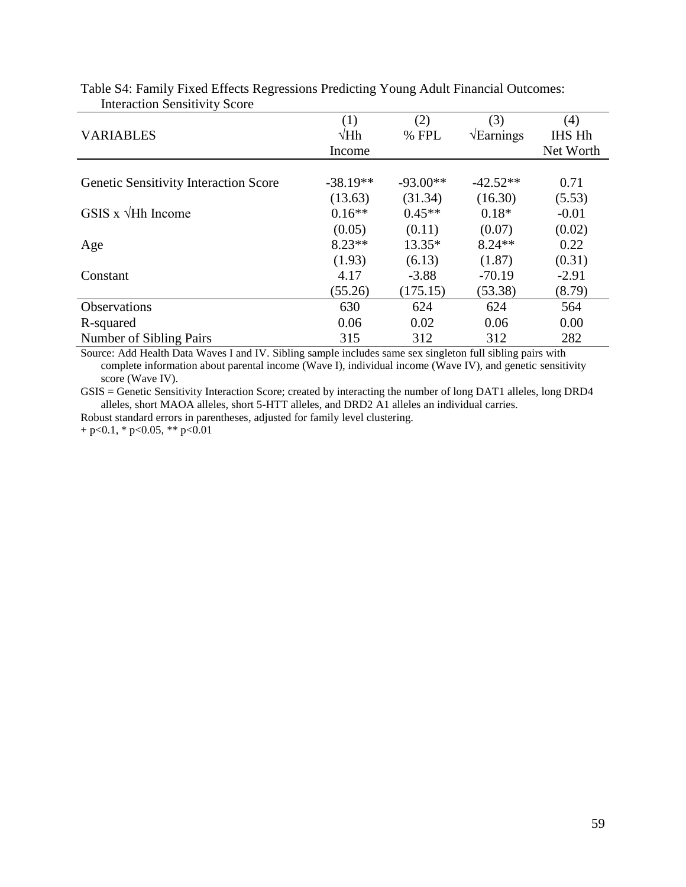|                                              | (1)         | (2)        | (3)                      | (4)           |
|----------------------------------------------|-------------|------------|--------------------------|---------------|
| <b>VARIABLES</b>                             | $\sqrt{Hh}$ | $%$ FPL    | $\sqrt{\text{Earnings}}$ | <b>IHS Hh</b> |
|                                              | Income      |            |                          | Net Worth     |
|                                              |             |            |                          |               |
| <b>Genetic Sensitivity Interaction Score</b> | $-38.19**$  | $-93.00**$ | $-42.52**$               | 0.71          |
|                                              | (13.63)     | (31.34)    | (16.30)                  | (5.53)        |
| GSIS x $\sqrt{Hh}$ Income                    | $0.16**$    | $0.45**$   | $0.18*$                  | $-0.01$       |
|                                              | (0.05)      | (0.11)     | (0.07)                   | (0.02)        |
| Age                                          | $8.23**$    | 13.35*     | $8.24**$                 | 0.22          |
|                                              | (1.93)      | (6.13)     | (1.87)                   | (0.31)        |
| Constant                                     | 4.17        | $-3.88$    | $-70.19$                 | $-2.91$       |
|                                              | (55.26)     | (175.15)   | (53.38)                  | (8.79)        |
| Observations                                 | 630         | 624        | 624                      | 564           |
| R-squared                                    | 0.06        | 0.02       | 0.06                     | 0.00          |
| <b>Number of Sibling Pairs</b>               | 315         | 312        | 312                      | 282           |

Table S4: Family Fixed Effects Regressions Predicting Young Adult Financial Outcomes: Interaction Sensitivity Score

Source: Add Health Data Waves I and IV. Sibling sample includes same sex singleton full sibling pairs with complete information about parental income (Wave I), individual income (Wave IV), and genetic sensitivity score (Wave IV).

GSIS = Genetic Sensitivity Interaction Score; created by interacting the number of long DAT1 alleles, long DRD4 alleles, short MAOA alleles, short 5-HTT alleles, and DRD2 A1 alleles an individual carries.

Robust standard errors in parentheses, adjusted for family level clustering.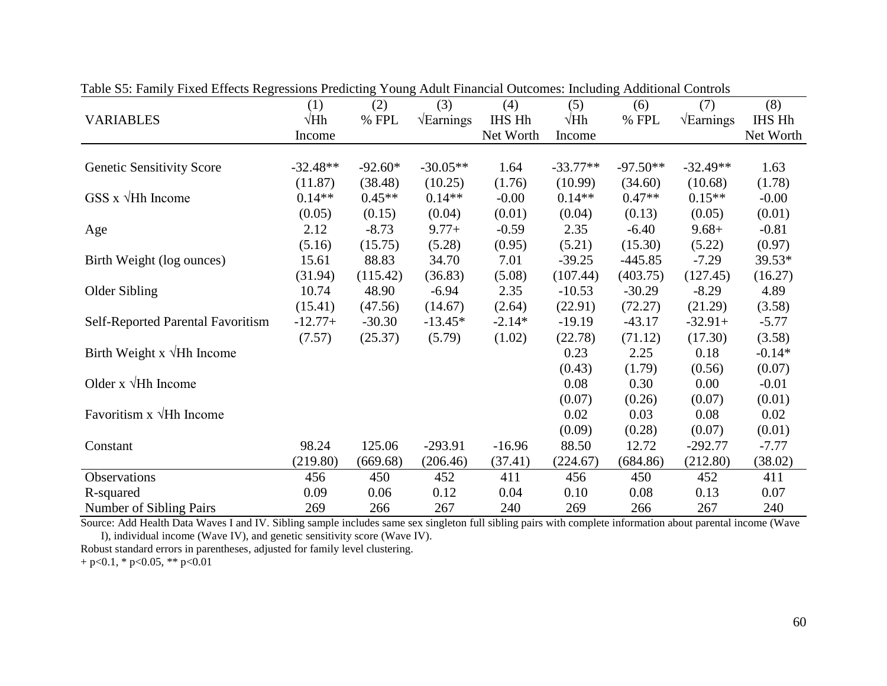|                                   | (1)         | 100<br>(2) | (3)                      | Treater Financial Satesmest meriding<br>(4) | (5)         | (6)        | (7)                      | (8)       |
|-----------------------------------|-------------|------------|--------------------------|---------------------------------------------|-------------|------------|--------------------------|-----------|
| <b>VARIABLES</b>                  | $\sqrt{Hh}$ | % FPL      | $\sqrt{\text{Earnings}}$ | IHS Hh                                      | $\sqrt{Hh}$ | % FPL      | $\sqrt{\text{Earnings}}$ | IHS Hh    |
|                                   | Income      |            |                          | Net Worth                                   | Income      |            |                          | Net Worth |
|                                   |             |            |                          |                                             |             |            |                          |           |
| <b>Genetic Sensitivity Score</b>  | $-32.48**$  | $-92.60*$  | $-30.05**$               | 1.64                                        | $-33.77**$  | $-97.50**$ | $-32.49**$               | 1.63      |
|                                   | (11.87)     | (38.48)    | (10.25)                  | (1.76)                                      | (10.99)     | (34.60)    | (10.68)                  | (1.78)    |
| $GSS \times \sqrt{Hh}$ Income     | $0.14**$    | $0.45**$   | $0.14**$                 | $-0.00$                                     | $0.14**$    | $0.47**$   | $0.15**$                 | $-0.00$   |
|                                   | (0.05)      | (0.15)     | (0.04)                   | (0.01)                                      | (0.04)      | (0.13)     | (0.05)                   | (0.01)    |
| Age                               | 2.12        | $-8.73$    | $9.77+$                  | $-0.59$                                     | 2.35        | $-6.40$    | $9.68 +$                 | $-0.81$   |
|                                   | (5.16)      | (15.75)    | (5.28)                   | (0.95)                                      | (5.21)      | (15.30)    | (5.22)                   | (0.97)    |
| Birth Weight (log ounces)         | 15.61       | 88.83      | 34.70                    | 7.01                                        | $-39.25$    | $-445.85$  | $-7.29$                  | 39.53*    |
|                                   | (31.94)     | (115.42)   | (36.83)                  | (5.08)                                      | (107.44)    | (403.75)   | (127.45)                 | (16.27)   |
| Older Sibling                     | 10.74       | 48.90      | $-6.94$                  | 2.35                                        | $-10.53$    | $-30.29$   | $-8.29$                  | 4.89      |
|                                   | (15.41)     | (47.56)    | (14.67)                  | (2.64)                                      | (22.91)     | (72.27)    | (21.29)                  | (3.58)    |
| Self-Reported Parental Favoritism | $-12.77+$   | $-30.30$   | $-13.45*$                | $-2.14*$                                    | $-19.19$    | $-43.17$   | $-32.91+$                | $-5.77$   |
|                                   | (7.57)      | (25.37)    | (5.79)                   | (1.02)                                      | (22.78)     | (71.12)    | (17.30)                  | (3.58)    |
| Birth Weight x $\sqrt{Hh}$ Income |             |            |                          |                                             | 0.23        | 2.25       | 0.18                     | $-0.14*$  |
|                                   |             |            |                          |                                             | (0.43)      | (1.79)     | (0.56)                   | (0.07)    |
| Older $x \sqrt{Hh}$ Income        |             |            |                          |                                             | 0.08        | 0.30       | $0.00\,$                 | $-0.01$   |
|                                   |             |            |                          |                                             | (0.07)      | (0.26)     | (0.07)                   | (0.01)    |
| Favoritism $x \sqrt{Hh}$ Income   |             |            |                          |                                             | 0.02        | 0.03       | 0.08                     | 0.02      |
|                                   |             |            |                          |                                             | (0.09)      | (0.28)     | (0.07)                   | (0.01)    |
| Constant                          | 98.24       | 125.06     | $-293.91$                | $-16.96$                                    | 88.50       | 12.72      | $-292.77$                | $-7.77$   |
|                                   | (219.80)    | (669.68)   | (206.46)                 | (37.41)                                     | (224.67)    | (684.86)   | (212.80)                 | (38.02)   |
| Observations                      | 456         | 450        | 452                      | 411                                         | 456         | 450        | 452                      | 411       |
| R-squared                         | 0.09        | 0.06       | 0.12                     | 0.04                                        | 0.10        | 0.08       | 0.13                     | 0.07      |
| Number of Sibling Pairs           | 269         | 266        | 267                      | 240                                         | 269         | 266        | 267                      | 240       |

Table S5: Family Fixed Effects Regressions Predicting Young Adult Financial Outcomes: Including Additional Controls

Source: Add Health Data Waves I and IV. Sibling sample includes same sex singleton full sibling pairs with complete information about parental income (Wave I), individual income (Wave IV), and genetic sensitivity score (Wave IV).

Robust standard errors in parentheses, adjusted for family level clustering.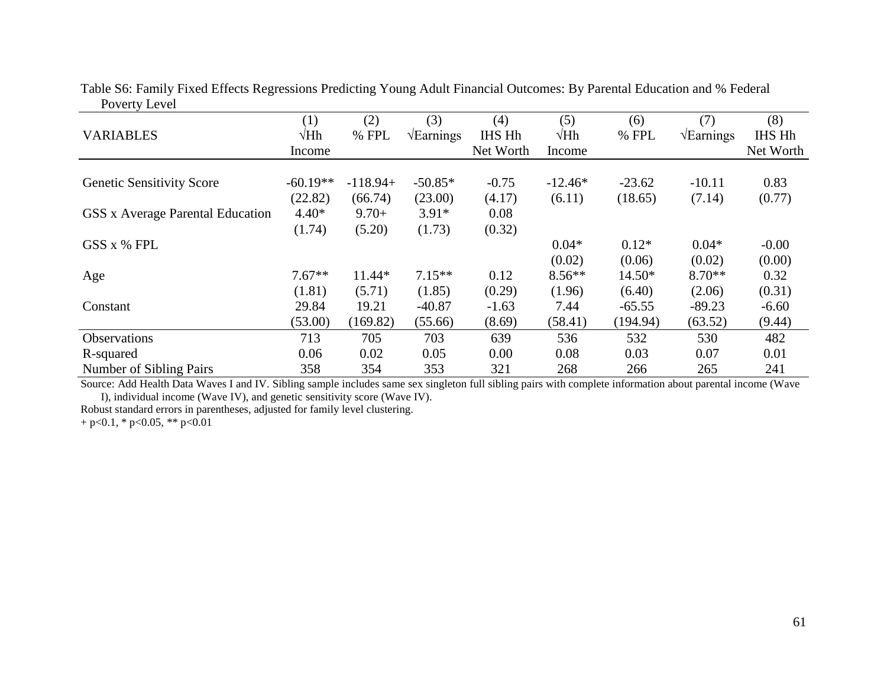| <b>VARIABLES</b>                 | (1)<br>$\sqrt{Hh}$ | (2)<br>% FPL | (3)<br>$\sqrt{\text{Earnings}}$ | (4)<br>IHS Hh | (5)<br>$\sqrt{Hh}$ | (6)<br>% FPL | (7)<br>$\sqrt{\text{Earnings}}$ | (8)<br><b>IHS Hh</b> |
|----------------------------------|--------------------|--------------|---------------------------------|---------------|--------------------|--------------|---------------------------------|----------------------|
|                                  | Income             |              |                                 | Net Worth     | Income             |              |                                 | Net Worth            |
| <b>Genetic Sensitivity Score</b> | $-60.19**$         | $-118.94+$   | $-50.85*$                       | $-0.75$       | $-12.46*$          | $-23.62$     | $-10.11$                        | 0.83                 |
|                                  | (22.82)            | (66.74)      | (23.00)                         | (4.17)        | (6.11)             | (18.65)      | (7.14)                          | (0.77)               |
| GSS x Average Parental Education | $4.40*$            | $9.70+$      | $3.91*$                         | 0.08          |                    |              |                                 |                      |
|                                  | (1.74)             | (5.20)       | (1.73)                          | (0.32)        |                    |              |                                 |                      |
| GSS x % FPL                      |                    |              |                                 |               | $0.04*$            | $0.12*$      | $0.04*$                         | $-0.00$              |
|                                  |                    |              |                                 |               | (0.02)             | (0.06)       | (0.02)                          | (0.00)               |
| Age                              | $7.67**$           | 11.44*       | $7.15**$                        | 0.12          | $8.56**$           | $14.50*$     | $8.70**$                        | 0.32                 |
|                                  | (1.81)             | (5.71)       | (1.85)                          | (0.29)        | (1.96)             | (6.40)       | (2.06)                          | (0.31)               |
| Constant                         | 29.84              | 19.21        | $-40.87$                        | $-1.63$       | 7.44               | $-65.55$     | $-89.23$                        | $-6.60$              |
|                                  | (53.00)            | (169.82)     | (55.66)                         | (8.69)        | (58.41)            | (194.94)     | (63.52)                         | (9.44)               |
| <b>Observations</b>              | 713                | 705          | 703                             | 639           | 536                | 532          | 530                             | 482                  |
| R-squared                        | 0.06               | 0.02         | 0.05                            | 0.00          | 0.08               | 0.03         | 0.07                            | 0.01                 |
| Number of Sibling Pairs          | 358                | 354          | 353                             | 321           | 268                | 266          | 265                             | 241                  |

Table S6: Family Fixed Effects Regressions Predicting Young Adult Financial Outcomes: By Parental Education and % Federal Poverty Level

Source: Add Health Data Waves I and IV. Sibling sample includes same sex singleton full sibling pairs with complete information about parental income (Wave I), individual income (Wave IV), and genetic sensitivity score (Wave IV).

Robust standard errors in parentheses, adjusted for family level clustering.  $+ p < 0.1$ , \*  $p < 0.05$ , \*\*  $p < 0.01$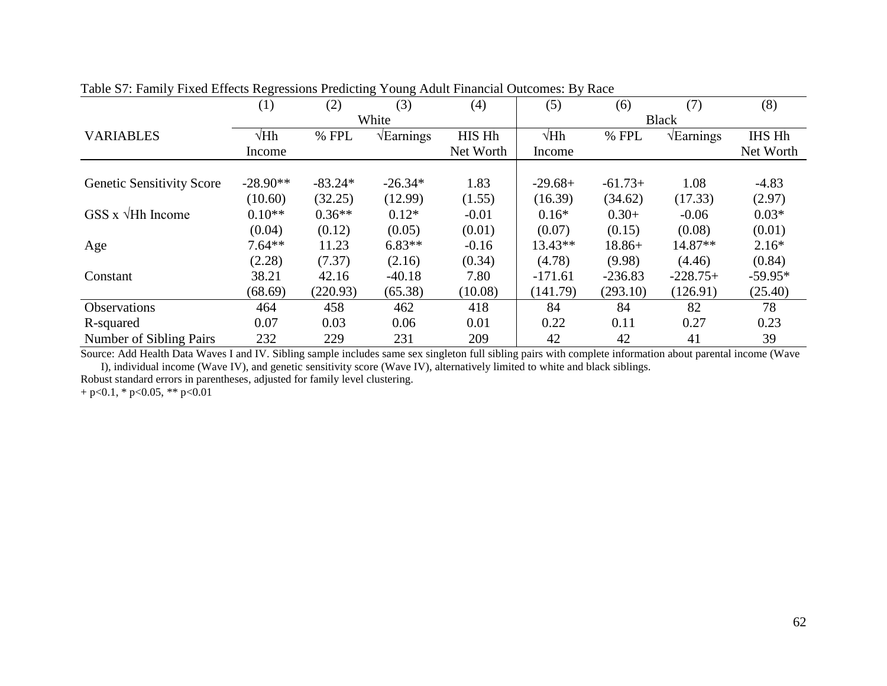|                                  | ັ           |           | ັ<br>ັ                   |           |             |           |                          |               |  |
|----------------------------------|-------------|-----------|--------------------------|-----------|-------------|-----------|--------------------------|---------------|--|
|                                  | (1)         | (2)       | (3)                      | (4)       | (5)         | (6)       | (7)                      | (8)           |  |
|                                  |             |           | White                    |           |             |           | <b>Black</b>             |               |  |
| <b>VARIABLES</b>                 | $\sqrt{Hh}$ | % FPL     | $\sqrt{\text{Earnings}}$ | HIS Hh    | $\sqrt{Hh}$ | % FPL     | $\sqrt{\text{Earnings}}$ | <b>IHS Hh</b> |  |
|                                  | Income      |           |                          | Net Worth | Income      |           |                          | Net Worth     |  |
|                                  |             |           |                          |           |             |           |                          |               |  |
| <b>Genetic Sensitivity Score</b> | $-28.90**$  | $-83.24*$ | $-26.34*$                | 1.83      | $-29.68+$   | $-61.73+$ | 1.08                     | $-4.83$       |  |
|                                  | (10.60)     | (32.25)   | (12.99)                  | (1.55)    | (16.39)     | (34.62)   | (17.33)                  | (2.97)        |  |
| GSS $x \sqrt{Hh}$ Income         | $0.10**$    | $0.36**$  | $0.12*$                  | $-0.01$   | $0.16*$     | $0.30+$   | $-0.06$                  | $0.03*$       |  |
|                                  | (0.04)      | (0.12)    | (0.05)                   | (0.01)    | (0.07)      | (0.15)    | (0.08)                   | (0.01)        |  |
| Age                              | $7.64**$    | 11.23     | $6.83**$                 | $-0.16$   | $13.43**$   | $18.86+$  | 14.87**                  | $2.16*$       |  |
|                                  | (2.28)      | (7.37)    | (2.16)                   | (0.34)    | (4.78)      | (9.98)    | (4.46)                   | (0.84)        |  |
| Constant                         | 38.21       | 42.16     | $-40.18$                 | 7.80      | $-171.61$   | $-236.83$ | $-228.75+$               | $-59.95*$     |  |
|                                  | (68.69)     | (220.93)  | (65.38)                  | (10.08)   | (141.79)    | (293.10)  | (126.91)                 | (25.40)       |  |
| Observations                     | 464         | 458       | 462                      | 418       | 84          | 84        | 82                       | 78            |  |
| R-squared                        | 0.07        | 0.03      | 0.06                     | 0.01      | 0.22        | 0.11      | 0.27                     | 0.23          |  |
| Number of Sibling Pairs          | 232         | 229       | 231                      | 209       | 42          | 42        | 41                       | 39            |  |

Table S7: Family Fixed Effects Regressions Predicting Young Adult Financial Outcomes: By Race

Source: Add Health Data Waves I and IV. Sibling sample includes same sex singleton full sibling pairs with complete information about parental income (Wave I), individual income (Wave IV), and genetic sensitivity score (Wave IV), alternatively limited to white and black siblings.

Robust standard errors in parentheses, adjusted for family level clustering.  $+ p < 0.1$ , \*  $p < 0.05$ , \*\*  $p < 0.01$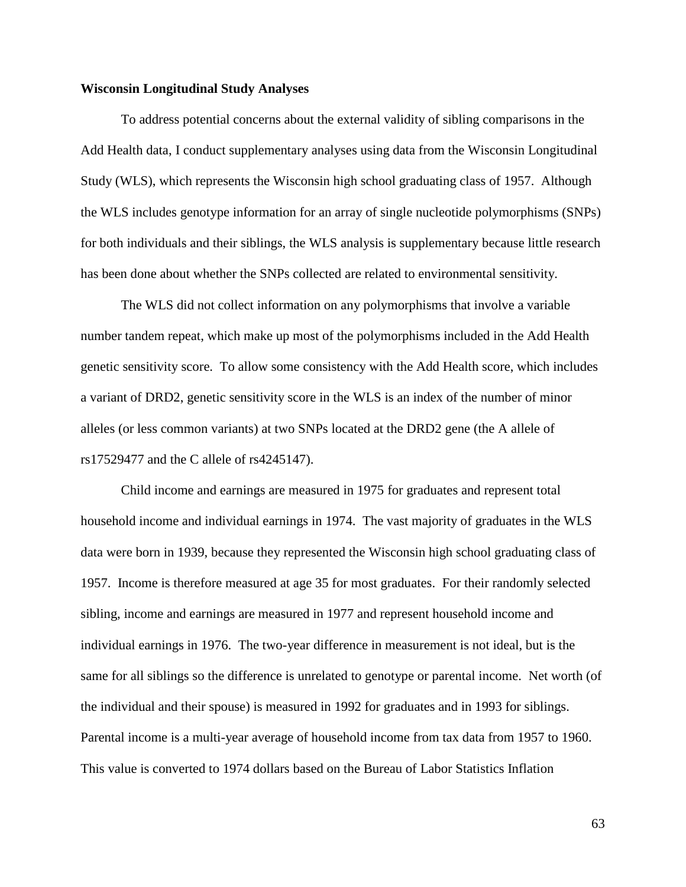## **Wisconsin Longitudinal Study Analyses**

To address potential concerns about the external validity of sibling comparisons in the Add Health data, I conduct supplementary analyses using data from the Wisconsin Longitudinal Study (WLS), which represents the Wisconsin high school graduating class of 1957. Although the WLS includes genotype information for an array of single nucleotide polymorphisms (SNPs) for both individuals and their siblings, the WLS analysis is supplementary because little research has been done about whether the SNPs collected are related to environmental sensitivity.

The WLS did not collect information on any polymorphisms that involve a variable number tandem repeat, which make up most of the polymorphisms included in the Add Health genetic sensitivity score. To allow some consistency with the Add Health score, which includes a variant of DRD2, genetic sensitivity score in the WLS is an index of the number of minor alleles (or less common variants) at two SNPs located at the DRD2 gene (the A allele of rs17529477 and the C allele of rs4245147).

Child income and earnings are measured in 1975 for graduates and represent total household income and individual earnings in 1974. The vast majority of graduates in the WLS data were born in 1939, because they represented the Wisconsin high school graduating class of 1957. Income is therefore measured at age 35 for most graduates. For their randomly selected sibling, income and earnings are measured in 1977 and represent household income and individual earnings in 1976. The two-year difference in measurement is not ideal, but is the same for all siblings so the difference is unrelated to genotype or parental income. Net worth (of the individual and their spouse) is measured in 1992 for graduates and in 1993 for siblings. Parental income is a multi-year average of household income from tax data from 1957 to 1960. This value is converted to 1974 dollars based on the Bureau of Labor Statistics Inflation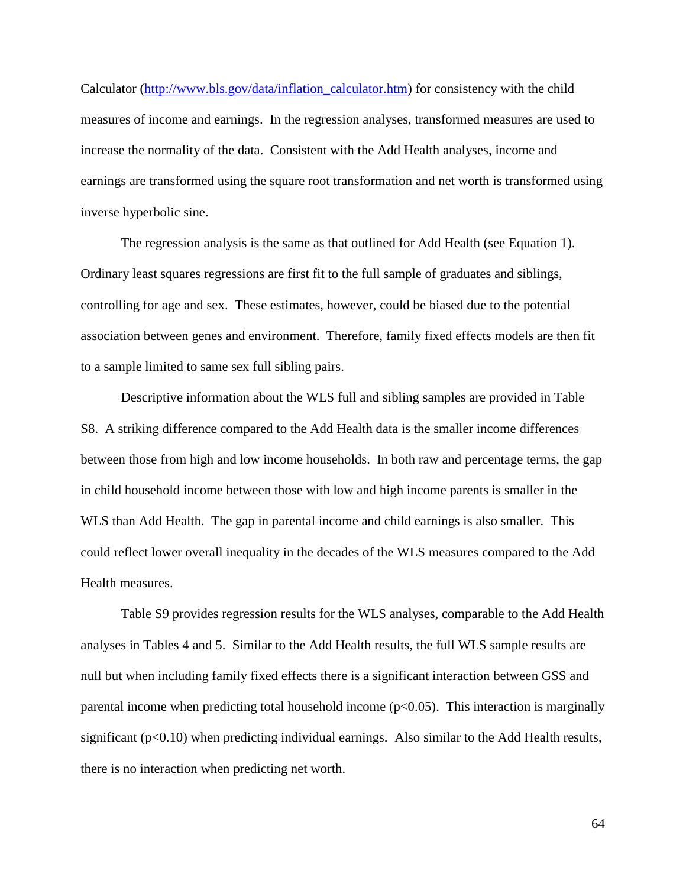Calculator [\(http://www.bls.gov/data/inflation\\_calculator.htm\)](http://www.bls.gov/data/inflation_calculator.htm) for consistency with the child measures of income and earnings. In the regression analyses, transformed measures are used to increase the normality of the data. Consistent with the Add Health analyses, income and earnings are transformed using the square root transformation and net worth is transformed using inverse hyperbolic sine.

The regression analysis is the same as that outlined for Add Health (see Equation 1). Ordinary least squares regressions are first fit to the full sample of graduates and siblings, controlling for age and sex. These estimates, however, could be biased due to the potential association between genes and environment. Therefore, family fixed effects models are then fit to a sample limited to same sex full sibling pairs.

Descriptive information about the WLS full and sibling samples are provided in Table S8. A striking difference compared to the Add Health data is the smaller income differences between those from high and low income households. In both raw and percentage terms, the gap in child household income between those with low and high income parents is smaller in the WLS than Add Health. The gap in parental income and child earnings is also smaller. This could reflect lower overall inequality in the decades of the WLS measures compared to the Add Health measures.

Table S9 provides regression results for the WLS analyses, comparable to the Add Health analyses in Tables 4 and 5. Similar to the Add Health results, the full WLS sample results are null but when including family fixed effects there is a significant interaction between GSS and parental income when predicting total household income  $(p<0.05)$ . This interaction is marginally significant ( $p<0.10$ ) when predicting individual earnings. Also similar to the Add Health results, there is no interaction when predicting net worth.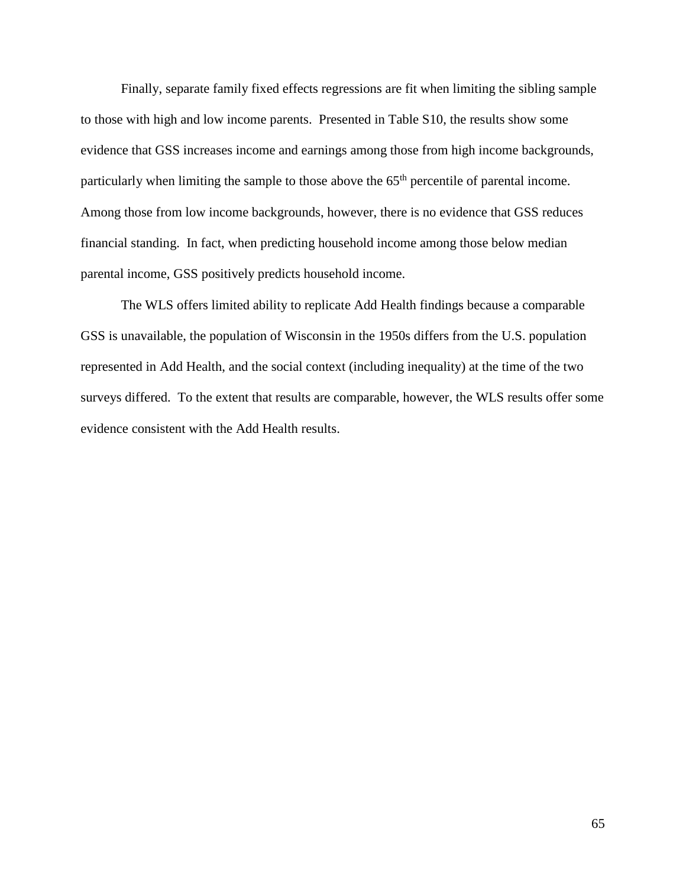Finally, separate family fixed effects regressions are fit when limiting the sibling sample to those with high and low income parents. Presented in Table S10, the results show some evidence that GSS increases income and earnings among those from high income backgrounds, particularly when limiting the sample to those above the  $65<sup>th</sup>$  percentile of parental income. Among those from low income backgrounds, however, there is no evidence that GSS reduces financial standing. In fact, when predicting household income among those below median parental income, GSS positively predicts household income.

The WLS offers limited ability to replicate Add Health findings because a comparable GSS is unavailable, the population of Wisconsin in the 1950s differs from the U.S. population represented in Add Health, and the social context (including inequality) at the time of the two surveys differed. To the extent that results are comparable, however, the WLS results offer some evidence consistent with the Add Health results.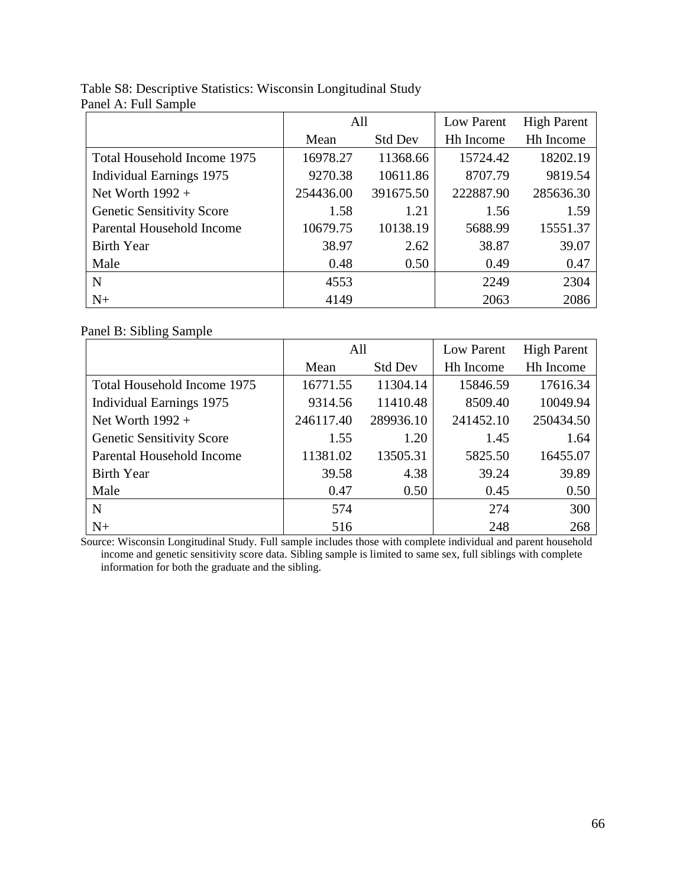|                                  | All       |                | Low Parent | <b>High Parent</b> |
|----------------------------------|-----------|----------------|------------|--------------------|
|                                  | Mean      | <b>Std Dev</b> | Hh Income  | <b>Hh</b> Income   |
| Total Household Income 1975      | 16978.27  | 11368.66       | 15724.42   | 18202.19           |
| Individual Earnings 1975         | 9270.38   | 10611.86       | 8707.79    | 9819.54            |
| Net Worth $1992 +$               | 254436.00 | 391675.50      | 222887.90  | 285636.30          |
| <b>Genetic Sensitivity Score</b> | 1.58      | 1.21           | 1.56       | 1.59               |
| Parental Household Income        | 10679.75  | 10138.19       | 5688.99    | 15551.37           |
| <b>Birth Year</b>                | 38.97     | 2.62           | 38.87      | 39.07              |
| Male                             | 0.48      | 0.50           | 0.49       | 0.47               |
| N                                | 4553      |                | 2249       | 2304               |
| $N+$                             | 4149      |                | 2063       | 2086               |

# Table S8: Descriptive Statistics: Wisconsin Longitudinal Study Panel A: Full Sample

# Panel B: Sibling Sample

|                                  | All       |                | Low Parent       | <b>High Parent</b> |
|----------------------------------|-----------|----------------|------------------|--------------------|
|                                  | Mean      | <b>Std Dev</b> | <b>Hh Income</b> | <b>Hh</b> Income   |
| Total Household Income 1975      | 16771.55  | 11304.14       | 15846.59         | 17616.34           |
| <b>Individual Earnings 1975</b>  | 9314.56   | 11410.48       | 8509.40          | 10049.94           |
| Net Worth $1992 +$               | 246117.40 | 289936.10      | 241452.10        | 250434.50          |
| <b>Genetic Sensitivity Score</b> | 1.55      | 1.20           | 1.45             | 1.64               |
| Parental Household Income        | 11381.02  | 13505.31       | 5825.50          | 16455.07           |
| <b>Birth Year</b>                | 39.58     | 4.38           | 39.24            | 39.89              |
| Male                             | 0.47      | 0.50           | 0.45             | 0.50               |
| N                                | 574       |                | 274              | 300                |
| $N+$                             | 516       |                | 248              | 268                |

Source: Wisconsin Longitudinal Study. Full sample includes those with complete individual and parent household income and genetic sensitivity score data. Sibling sample is limited to same sex, full siblings with complete information for both the graduate and the sibling.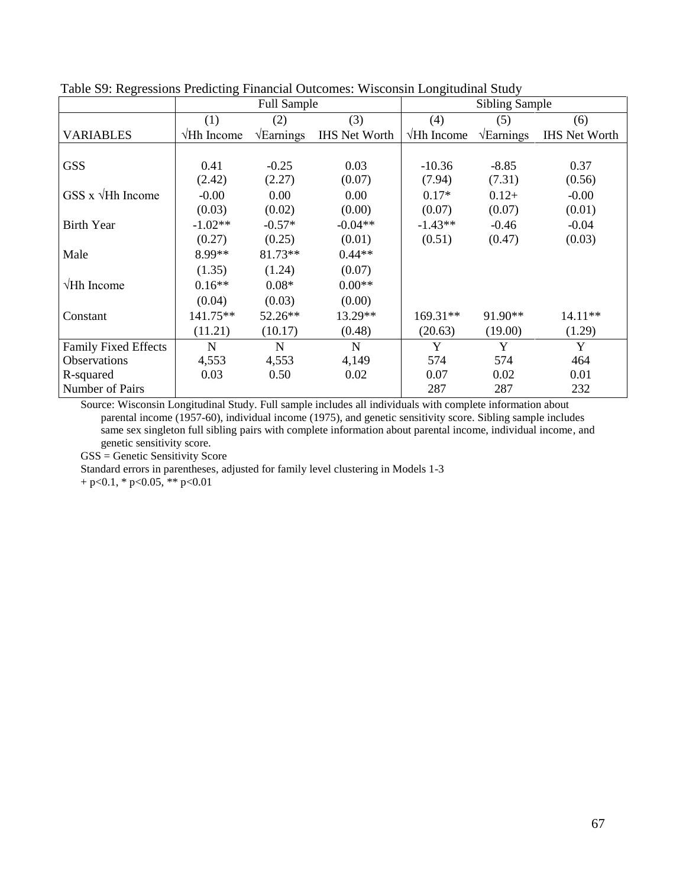|                             | <b>Full Sample</b> |                          |                      | <b>Sibling Sample</b> |                          |                      |  |
|-----------------------------|--------------------|--------------------------|----------------------|-----------------------|--------------------------|----------------------|--|
|                             | (1)                | (2)                      | (3)                  | (4)                   | (5)                      | (6)                  |  |
| <b>VARIABLES</b>            | $\sqrt{Hh}$ Income | $\sqrt{\text{Earnings}}$ | <b>IHS Net Worth</b> | $\sqrt{Hh}$ Income    | $\sqrt{\text{Earnings}}$ | <b>IHS Net Worth</b> |  |
|                             |                    |                          |                      |                       |                          |                      |  |
| <b>GSS</b>                  | 0.41               | $-0.25$                  | 0.03                 | $-10.36$              | $-8.85$                  | 0.37                 |  |
|                             | (2.42)             | (2.27)                   | (0.07)               | (7.94)                | (7.31)                   | (0.56)               |  |
| GSS $x \sqrt{Hh}$ Income    | $-0.00$            | 0.00                     | 0.00                 | $0.17*$               | $0.12+$                  | $-0.00$              |  |
|                             | (0.03)             | (0.02)                   | (0.00)               | (0.07)                | (0.07)                   | (0.01)               |  |
| <b>Birth Year</b>           | $-1.02**$          | $-0.57*$                 | $-0.04**$            | $-1.43**$             | $-0.46$                  | $-0.04$              |  |
|                             | (0.27)             | (0.25)                   | (0.01)               | (0.51)                | (0.47)                   | (0.03)               |  |
| Male                        | 8.99**             | 81.73**                  | $0.44**$             |                       |                          |                      |  |
|                             | (1.35)             | (1.24)                   | (0.07)               |                       |                          |                      |  |
| $\sqrt{Hh}$ Income          | $0.16**$           | $0.08*$                  | $0.00**$             |                       |                          |                      |  |
|                             | (0.04)             | (0.03)                   | (0.00)               |                       |                          |                      |  |
| Constant                    | 141.75**           | 52.26**                  | 13.29**              | 169.31**              | 91.90**                  | $14.11**$            |  |
|                             | (11.21)            | (10.17)                  | (0.48)               | (20.63)               | (19.00)                  | (1.29)               |  |
| <b>Family Fixed Effects</b> | $\mathbf N$        | $\mathbf N$              | $\mathbf N$          | Y                     | Y                        | Y                    |  |
| Observations                | 4,553              | 4,553                    | 4,149                | 574                   | 574                      | 464                  |  |
| R-squared                   | 0.03               | 0.50                     | 0.02                 | 0.07                  | 0.02                     | 0.01                 |  |
| Number of Pairs             |                    |                          |                      | 287                   | 287                      | 232                  |  |

Table S9: Regressions Predicting Financial Outcomes: Wisconsin Longitudinal Study

Source: Wisconsin Longitudinal Study. Full sample includes all individuals with complete information about parental income (1957-60), individual income (1975), and genetic sensitivity score. Sibling sample includes same sex singleton full sibling pairs with complete information about parental income, individual income, and genetic sensitivity score.

GSS = Genetic Sensitivity Score

Standard errors in parentheses, adjusted for family level clustering in Models 1-3

 $+ p < 0.1$ , \*  $p < 0.05$ , \*\*  $p < 0.01$